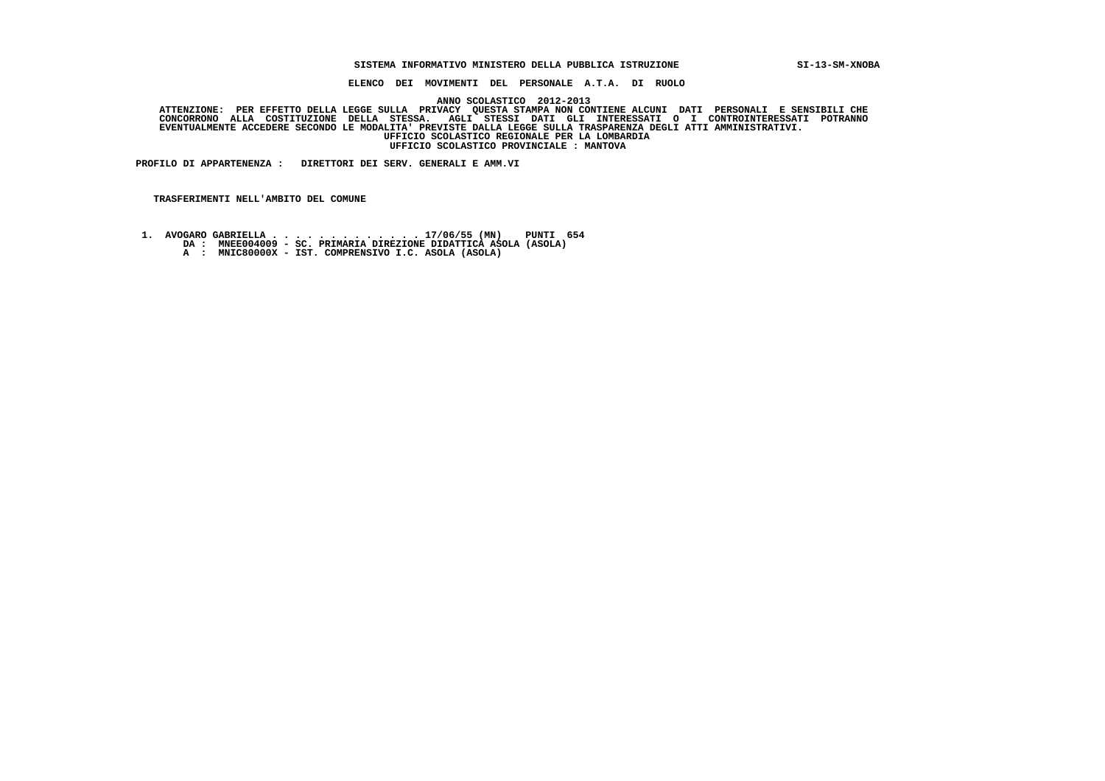## **SISTEMA INFORMATIVO MINISTERO DELLA PUBBLICA ISTRUZIONE SI-13-SM-XNOBA**

 **ELENCO DEI MOVIMENTI DEL PERSONALE A.T.A. DI RUOLO**

 **ANNO SCOLASTICO 2012-2013**

ATTENZIONE: PER EFFETTO DELLA LEGGE SULLA PRIVACY QUESTA STAMPA NON CONTIENE ALCUNI DATI PERSONALI E SENSIBILI<br>CONCORRONO ALLA COSTITUZIONE DELLA STESSA. AGLI STESSI DATI GLI INTERESSATI O I CONTROINTERESSATI POTRANNO  **EVENTUALMENTE ACCEDERE SECONDO LE MODALITA' PREVISTE DALLA LEGGE SULLA TRASPARENZA DEGLI ATTI AMMINISTRATIVI. UFFICIO SCOLASTICO REGIONALE PER LA LOMBARDIA UFFICIO SCOLASTICO PROVINCIALE : MANTOVA**

 **PROFILO DI APPARTENENZA : DIRETTORI DEI SERV. GENERALI E AMM.VI**

 **TRASFERIMENTI NELL'AMBITO DEL COMUNE**

- **1. AVOGARO GABRIELLA . . . . . . . . . . . . . 17/06/55 (MN) PUNTI 654 DA : MNEE004009 SC. PRIMARIA DIREZIONE DIDATTICA ASOLA (ASOLA)**
	-
	- **A : MNIC80000X IST. COMPRENSIVO I.C. ASOLA (ASOLA)**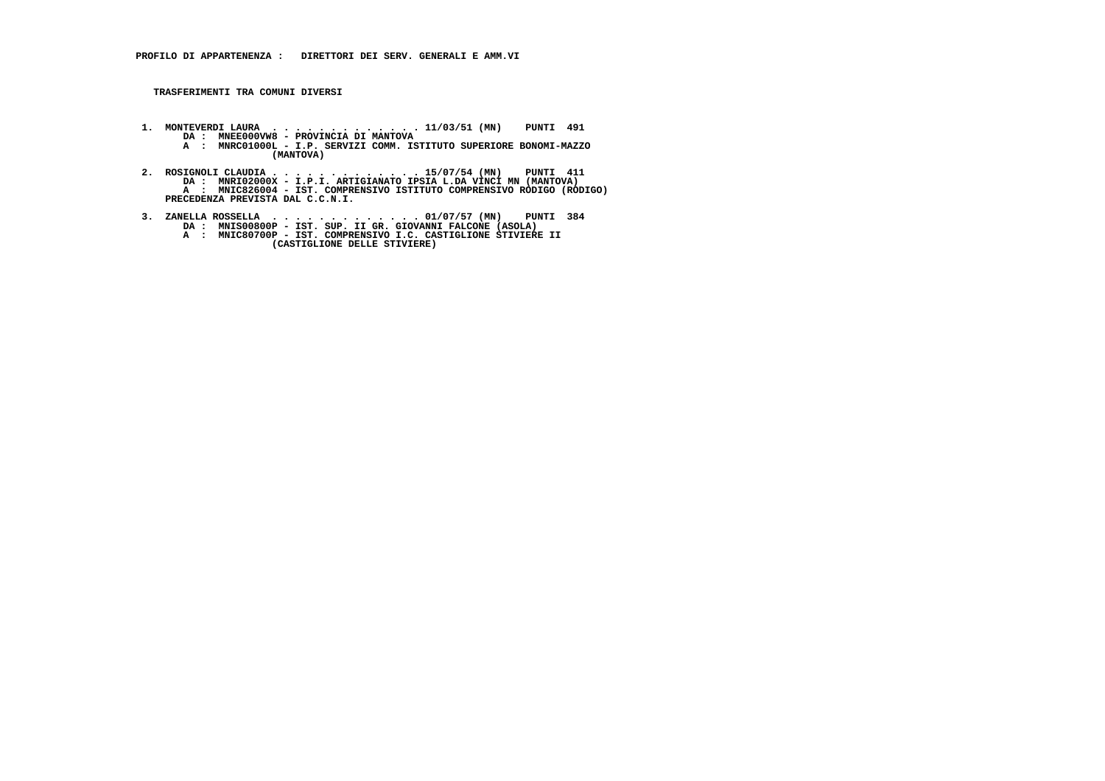- **1. MONTEVERDI LAURA . . . . . . . . . . . . . 11/03/51 (MN) PUNTI 491 DA : MNEE000VW8 PROVINCIA DI MANTOVA A : MNRC01000L I.P. SERVIZI COMM. ISTITUTO SUPERIORE BONOMI-MAZZO (MANTOVA)**
- **2. ROSIGNOLI CLAUDIA . . . . . . . . . . . . . 15/07/54 (MN) PUNTI 411 DA : MNRI02000X I.P.I. ARTIGIANATO IPSIA L.DA VINCI MN (MANTOVA) A : MNIC826004 - IST. COMPRENSIVO ISTITUTO COMPRENSIVO RODIGO (RODIGO) PRECEDENZA PREVISTA DAL C.C.N.I.**
- **3. ZANELLA ROSSELLA . . . . . . . . . . . . . 01/07/57 (MN) PUNTI 384 DA : MNIS00800P IST. SUP. II GR. GIOVANNI FALCONE (ASOLA) A : MNIC80700P IST. COMPRENSIVO I.C. CASTIGLIONE STIVIERE II (CASTIGLIONE DELLE STIVIERE)**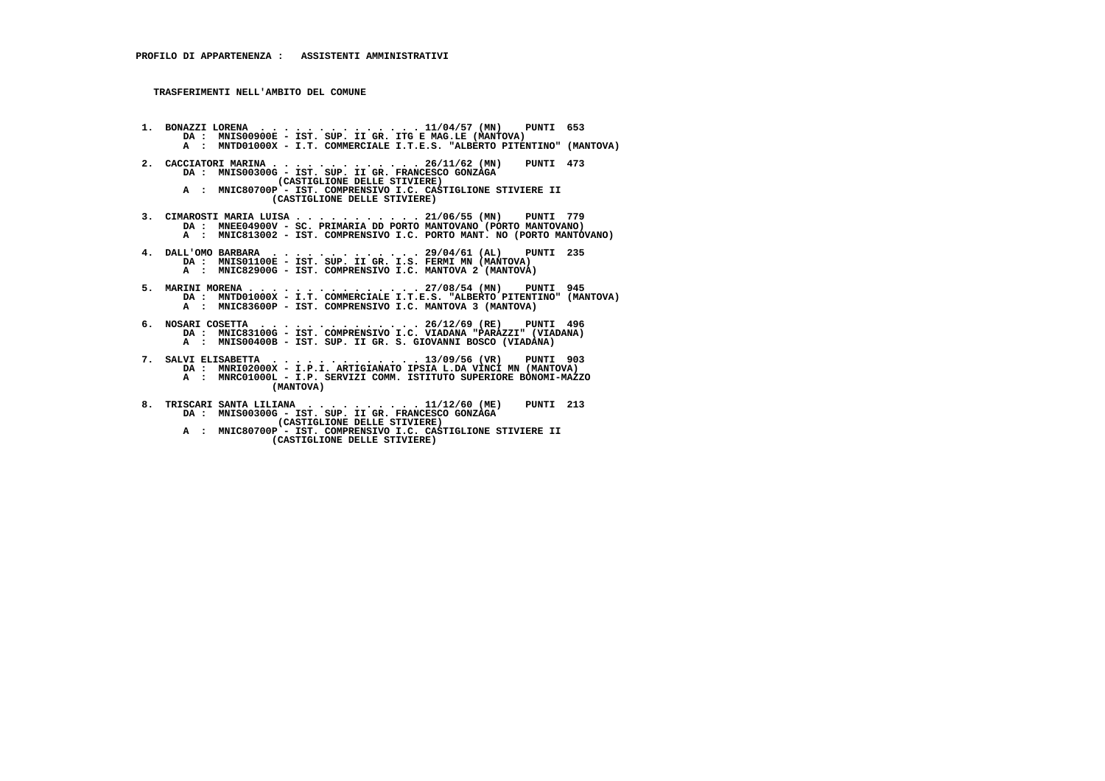**TRASFERIMENTI NELL'AMBITO DEL COMUNE**

- **1. BONAZZI LORENA . . . . . . . . . . . . . . 11/04/57 (MN) PUNTI 653 DA : MNIS00900E IST. SUP. II GR. ITG E MAG.LE (MANTOVA) A : MNTD01000X - I.T. COMMERCIALE I.T.E.S. "ALBERTO PITENTINO" (MANTOVA)**
- **2. CACCIATORI MARINA . . . . . . . . . . . . . 26/11/62 (MN) PUNTI 473 DA : MNIS00300G - IST. SUP. II GR. FRANCESCO GONZAGA (CASTIGLIONE DELLE STIVIERE) A : MNIC80700P - IST. COMPRENSIVO I.C. CASTIGLIONE STIVIERE II (CASTIGLIONE DELLE STIVIERE)**
- **3. CIMAROSTI MARIA LUISA . . . . . . . . . . . 21/06/55 (MN) PUNTI 779 DA : MNEE04900V - SC. PRIMARIA DD PORTO MANTOVANO (PORTO MANTOVANO) A : MNIC813002 - IST. COMPRENSIVO I.C. PORTO MANT. NO (PORTO MANTOVANO)**
- **4. DALL'OMO BARBARA . . . . . . . . . . . . . 29/04/61 (AL) PUNTI 235 DA : MNIS01100E IST. SUP. II GR. I.S. FERMI MN (MANTOVA) A : MNIC82900G - IST. COMPRENSIVO I.C. MANTOVA 2 (MANTOVA)**
- **5. MARINI MORENA . . . . . . . . . . . . . . . 27/08/54 (MN) PUNTI 945 DA : MNTD01000X I.T. COMMERCIALE I.T.E.S. "ALBERTO PITENTINO" (MANTOVA) A : MNIC83600P - IST. COMPRENSIVO I.C. MANTOVA 3 (MANTOVA)**
- **6. NOSARI COSETTA . . . . . . . . . . . . . . 26/12/69 (RE) PUNTI 496 DA : MNIC83100G IST. COMPRENSIVO I.C. VIADANA "PARAZZI" (VIADANA) A : MNIS00400B - IST. SUP. II GR. S. GIOVANNI BOSCO (VIADANA)**
- **7. SALVI ELISABETTA . . . . . . . . . . . . . 13/09/56 (VR) PUNTI 903 DA : MNRI02000X I.P.I. ARTIGIANATO IPSIA L.DA VINCI MN (MANTOVA) A : MNRC01000L - I.P. SERVIZI COMM. ISTITUTO SUPERIORE BONOMI-MAZZO (MANTOVA)**
	- **8. TRISCARI SANTA LILIANA . . . . . . . . . . 11/12/60 (ME) PUNTI 213 DA : MNIS00300G - IST. SUP. II GR. FRANCESCO GONZAGA (CASTIGLIONE DELLE STIVIERE)**
- **A : MNIC80700P IST. COMPRENSIVO I.C. CASTIGLIONE STIVIERE II (CASTIGLIONE DELLE STIVIERE)**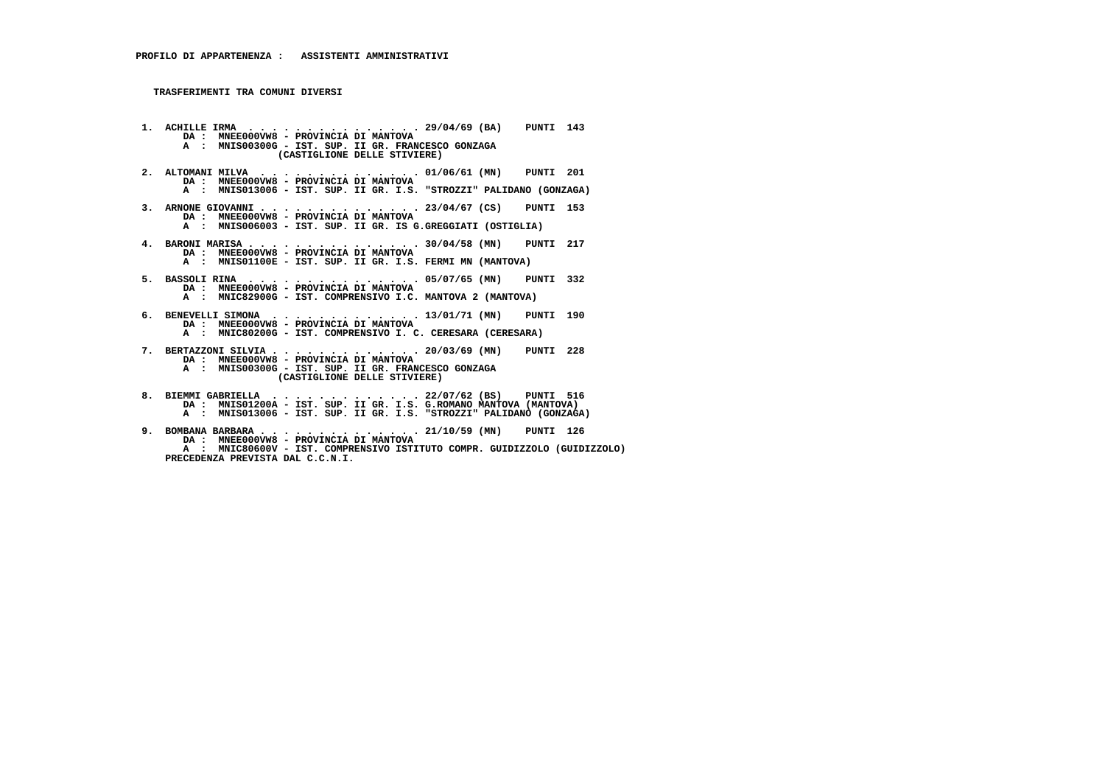- **1. ACHILLE IRMA . . . . . . . . . . . . . . . 29/04/69 (BA) PUNTI 143 DA : MNEE000VW8 PROVINCIA DI MANTOVA A : MNIS00300G - IST. SUP. II GR. FRANCESCO GONZAGA (CASTIGLIONE DELLE STIVIERE) 2. ALTOMANI MILVA . . . . . . . . . . . . . . 01/06/61 (MN) PUNTI 201 DA : MNEE000VW8 - PROVINCIA DI MANTOVA A : MNIS013006 - IST. SUP. II GR. I.S. "STROZZI" PALIDANO (GONZAGA) 3. ARNONE GIOVANNI . . . . . . . . . . . . . . 23/04/67 (CS) PUNTI 153 DA : MNEE000VW8 - PROVINCIA DI MANTOVA A : MNIS006003 - IST. SUP. II GR. IS G.GREGGIATI (OSTIGLIA) 4. BARONI MARISA . . . . . . . . . . . . . . . 30/04/58 (MN) PUNTI 217 DA : MNEE000VW8 - PROVINCIA DI MANTOVA A : MNIS01100E - IST. SUP. II GR. I.S. FERMI MN (MANTOVA) 5. BASSOLI RINA . . . . . . . . . . . . . . . 05/07/65 (MN) PUNTI 332 DA : MNEE000VW8 - PROVINCIA DI MANTOVA A : MNIC82900G - IST. COMPRENSIVO I.C. MANTOVA 2 (MANTOVA) 6. BENEVELLI SIMONA . . . . . . . . . . . . . 13/01/71 (MN) PUNTI 190 DA : MNEE000VW8 - PROVINCIA DI MANTOVA A : MNIC80200G - IST. COMPRENSIVO I. C. CERESARA (CERESARA) 7. BERTAZZONI SILVIA . . . . . . . . . . . . . 20/03/69 (MN) PUNTI 228 DA : MNEE000VW8 - PROVINCIA DI MANTOVA A : MNIS00300G - IST. SUP. II GR. FRANCESCO GONZAGA (CASTIGLIONE DELLE STIVIERE) 8. BIEMMI GABRIELLA . . . . . . . . . . . . . 22/07/62 (BS) PUNTI 516 DA : MNIS01200A - IST. SUP. II GR. I.S. G.ROMANO MANTOVA (MANTOVA) A : MNIS013006 - IST. SUP. II GR. I.S. "STROZZI" PALIDANO (GONZAGA)**
- **9. BOMBANA BARBARA . . . . . . . . . . . . . . 21/10/59 (MN) PUNTI 126 DA : MNEE000VW8 - PROVINCIA DI MANTOVA A : MNIC80600V - IST. COMPRENSIVO ISTITUTO COMPR. GUIDIZZOLO (GUIDIZZOLO) PRECEDENZA PREVISTA DAL C.C.N.I.**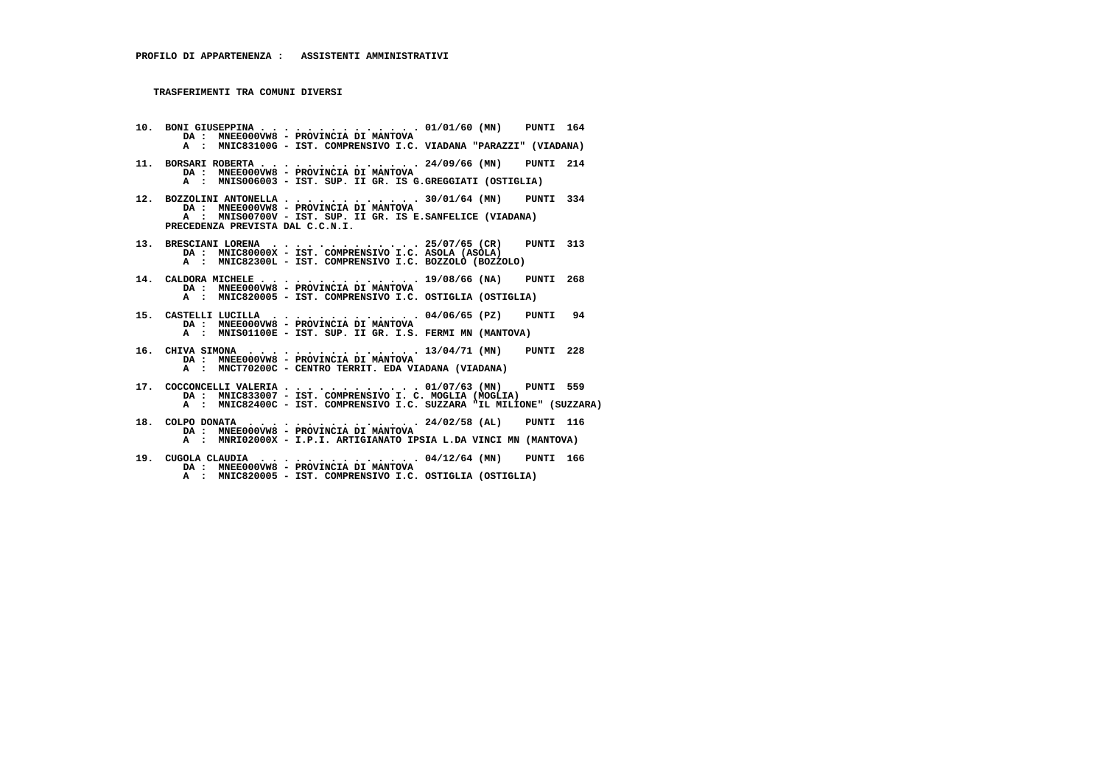- **10. BONI GIUSEPPINA . . . . . . . . . . . . . . 01/01/60 (MN) PUNTI 164 DA : MNEE000VW8 PROVINCIA DI MANTOVA A : MNIC83100G - IST. COMPRENSIVO I.C. VIADANA "PARAZZI" (VIADANA) 11. BORSARI ROBERTA . . . . . . . . . . . . . . 24/09/66 (MN) PUNTI 214 DA : MNEE000VW8 - PROVINCIA DI MANTOVA A : MNIS006003 - IST. SUP. II GR. IS G.GREGGIATI (OSTIGLIA) 12. BOZZOLINI ANTONELLA . . . . . . . . . . . . 30/01/64 (MN) PUNTI 334 DA : MNEE000VW8 - PROVINCIA DI MANTOVA A : MNIS00700V - IST. SUP. II GR. IS E.SANFELICE (VIADANA) PRECEDENZA PREVISTA DAL C.C.N.I. 13. BRESCIANI LORENA . . . . . . . . . . . . . 25/07/65 (CR) PUNTI 313 DA : MNIC80000X - IST. COMPRENSIVO I.C. ASOLA (ASOLA) A : MNIC82300L - IST. COMPRENSIVO I.C. BOZZOLO (BOZZOLO) 14. CALDORA MICHELE . . . . . . . . . . . . . . 19/08/66 (NA) PUNTI 268 DA : MNEE000VW8 - PROVINCIA DI MANTOVA A : MNIC820005 - IST. COMPRENSIVO I.C. OSTIGLIA (OSTIGLIA) 15. CASTELLI LUCILLA . . . . . . . . . . . . . 04/06/65 (PZ) PUNTI 94 DA : MNEE000VW8 - PROVINCIA DI MANTOVA A : MNIS01100E - IST. SUP. II GR. I.S. FERMI MN (MANTOVA) 16. CHIVA SIMONA . . . . . . . . . . . . . . . 13/04/71 (MN) PUNTI 228 DA : MNEE000VW8 - PROVINCIA DI MANTOVA A : MNCT70200C - CENTRO TERRIT. EDA VIADANA (VIADANA) 17. COCCONCELLI VALERIA . . . . . . . . . . . . 01/07/63 (MN) PUNTI 559 DA : MNIC833007 - IST. COMPRENSIVO I. C. MOGLIA (MOGLIA) A : MNIC82400C - IST. COMPRENSIVO I.C. SUZZARA "IL MILIONE" (SUZZARA) 18. COLPO DONATA . . . . . . . . . . . . . . . 24/02/58 (AL) PUNTI 116 DA : MNEE000VW8 - PROVINCIA DI MANTOVA A : MNRI02000X - I.P.I. ARTIGIANATO IPSIA L.DA VINCI MN (MANTOVA) 19. CUGOLA CLAUDIA . . . . . . . . . . . . . . 04/12/64 (MN) PUNTI 166 DA : MNEE000VW8 - PROVINCIA DI MANTOVA**
- **A : MNIC820005 IST. COMPRENSIVO I.C. OSTIGLIA (OSTIGLIA)**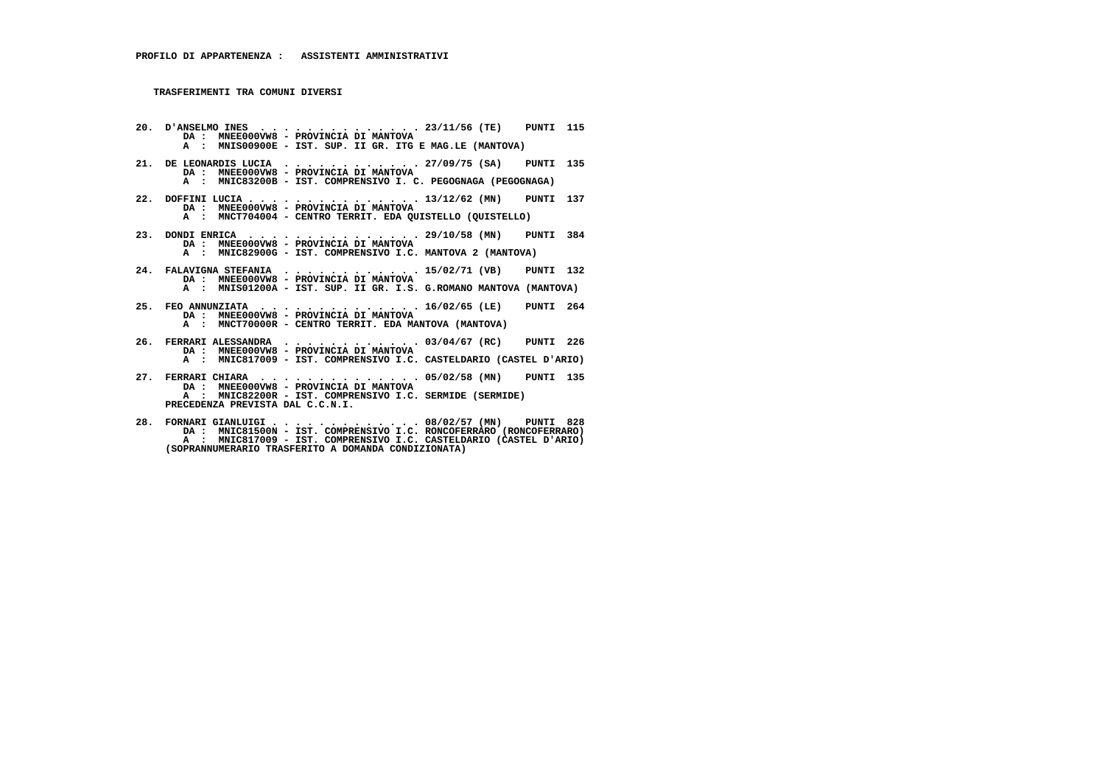**PRECEDENZA PREVISTA DAL C.C.N.I.**

 **20. D'ANSELMO INES . . . . . . . . . . . . . . 23/11/56 (TE) PUNTI 115 DA : MNEE000VW8 - PROVINCIA DI MANTOVA A : MNIS00900E - IST. SUP. II GR. ITG E MAG.LE (MANTOVA) 21. DE LEONARDIS LUCIA . . . . . . . . . . . . 27/09/75 (SA) PUNTI 135 DA : MNEE000VW8 - PROVINCIA DI MANTOVA A : MNIC83200B - IST. COMPRENSIVO I. C. PEGOGNAGA (PEGOGNAGA) 22. DOFFINI LUCIA . . . . . . . . . . . . . . . 13/12/62 (MN) PUNTI 137 DA : MNEE000VW8 - PROVINCIA DI MANTOVA A : MNCT704004 - CENTRO TERRIT. EDA QUISTELLO (QUISTELLO) 23. DONDI ENRICA . . . . . . . . . . . . . . . 29/10/58 (MN) PUNTI 384 DA : MNEE000VW8 - PROVINCIA DI MANTOVA A : MNIC82900G - IST. COMPRENSIVO I.C. MANTOVA 2 (MANTOVA) 24. FALAVIGNA STEFANIA . . . . . . . . . . . . 15/02/71 (VB) PUNTI 132 DA : MNEE000VW8 - PROVINCIA DI MANTOVA A : MNIS01200A - IST. SUP. II GR. I.S. G.ROMANO MANTOVA (MANTOVA) 25. FEO ANNUNZIATA . . . . . . . . . . . . . . 16/02/65 (LE) PUNTI 264 DA : MNEE000VW8 - PROVINCIA DI MANTOVA A : MNCT70000R - CENTRO TERRIT. EDA MANTOVA (MANTOVA) 26. FERRARI ALESSANDRA . . . . . . . . . . . . 03/04/67 (RC) PUNTI 226 DA : MNEE000VW8 - PROVINCIA DI MANTOVA A : MNIC817009 - IST. COMPRENSIVO I.C. CASTELDARIO (CASTEL D'ARIO) 27. FERRARI CHIARA . . . . . . . . . . . . . . 05/02/58 (MN) PUNTI 135 DA : MNEE000VW8 - PROVINCIA DI MANTOVA A : MNIC82200R - IST. COMPRENSIVO I.C. SERMIDE (SERMIDE)**

 **28. FORNARI GIANLUIGI . . . . . . . . . . . . . 08/02/57 (MN) PUNTI 828 DA : MNIC81500N - IST. COMPRENSIVO I.C. RONCOFERRARO (RONCOFERRARO) A : MNIC817009 - IST. COMPRENSIVO I.C. CASTELDARIO (CASTEL D'ARIO) (SOPRANNUMERARIO TRASFERITO A DOMANDA CONDIZIONATA)**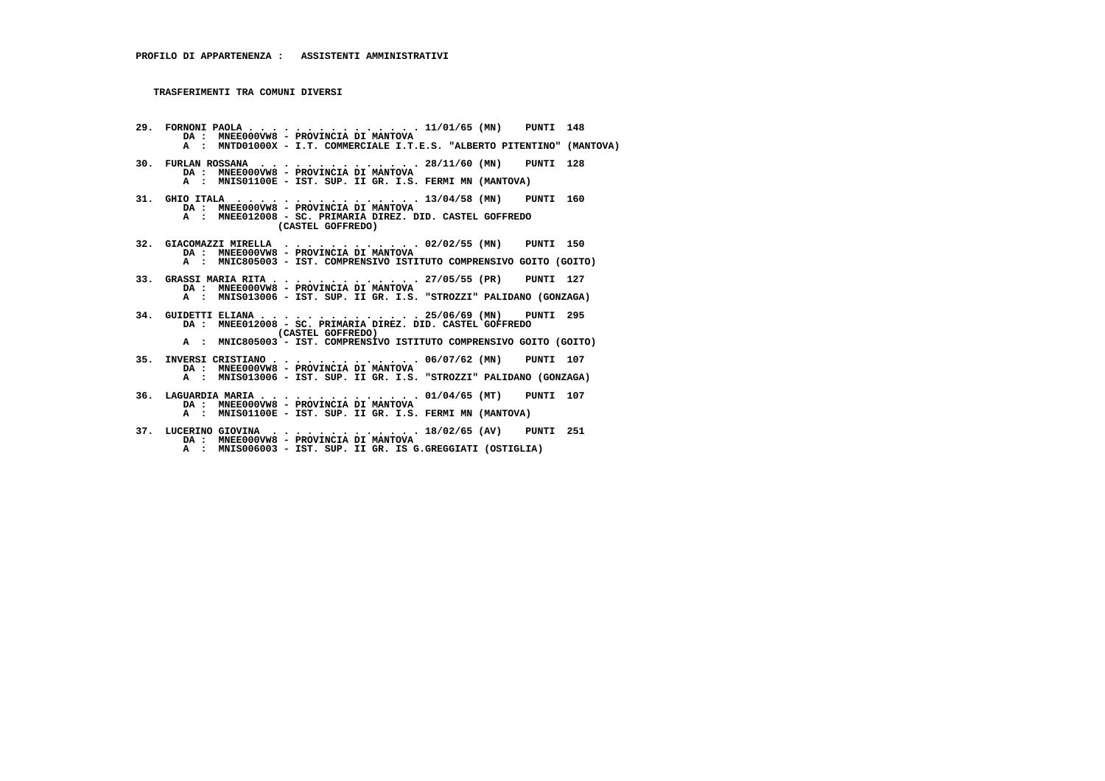- **29. FORNONI PAOLA . . . . . . . . . . . . . . . 11/01/65 (MN) PUNTI 148 DA : MNEE000VW8 PROVINCIA DI MANTOVA A : MNTD01000X - I.T. COMMERCIALE I.T.E.S. "ALBERTO PITENTINO" (MANTOVA) 30. FURLAN ROSSANA . . . . . . . . . . . . . . 28/11/60 (MN) PUNTI 128 DA : MNEE000VW8 - PROVINCIA DI MANTOVA A : MNIS01100E - IST. SUP. II GR. I.S. FERMI MN (MANTOVA) 31. GHIO ITALA . . . . . . . . . . . . . . . . 13/04/58 (MN) PUNTI 160 DA : MNEE000VW8 - PROVINCIA DI MANTOVA A : MNEE012008 - SC. PRIMARIA DIREZ. DID. CASTEL GOFFREDO (CASTEL GOFFREDO) 32. GIACOMAZZI MIRELLA . . . . . . . . . . . . 02/02/55 (MN) PUNTI 150 DA : MNEE000VW8 - PROVINCIA DI MANTOVA A : MNIC805003 - IST. COMPRENSIVO ISTITUTO COMPRENSIVO GOITO (GOITO) 33. GRASSI MARIA RITA . . . . . . . . . . . . . 27/05/55 (PR) PUNTI 127 DA : MNEE000VW8 - PROVINCIA DI MANTOVA A : MNIS013006 - IST. SUP. II GR. I.S. "STROZZI" PALIDANO (GONZAGA) 34. GUIDETTI ELIANA . . . . . . . . . . . . . . 25/06/69 (MN) PUNTI 295 DA : MNEE012008 - SC. PRIMARIA DIREZ. DID. CASTEL GOFFREDO (CASTEL GOFFREDO) A : MNIC805003 - IST. COMPRENSIVO ISTITUTO COMPRENSIVO GOITO (GOITO) 35. INVERSI CRISTIANO . . . . . . . . . . . . . 06/07/62 (MN) PUNTI 107 DA : MNEE000VW8 - PROVINCIA DI MANTOVA A : MNIS013006 - IST. SUP. II GR. I.S. "STROZZI" PALIDANO (GONZAGA) 36. LAGUARDIA MARIA . . . . . . . . . . . . . . 01/04/65 (MT) PUNTI 107 DA : MNEE000VW8 - PROVINCIA DI MANTOVA A : MNIS01100E - IST. SUP. II GR. I.S. FERMI MN (MANTOVA)**
- **37. LUCERINO GIOVINA . . . . . . . . . . . . . 18/02/65 (AV) PUNTI 251 DA : MNEE000VW8 - PROVINCIA DI MANTOVA A : MNIS006003 - IST. SUP. II GR. IS G.GREGGIATI (OSTIGLIA)**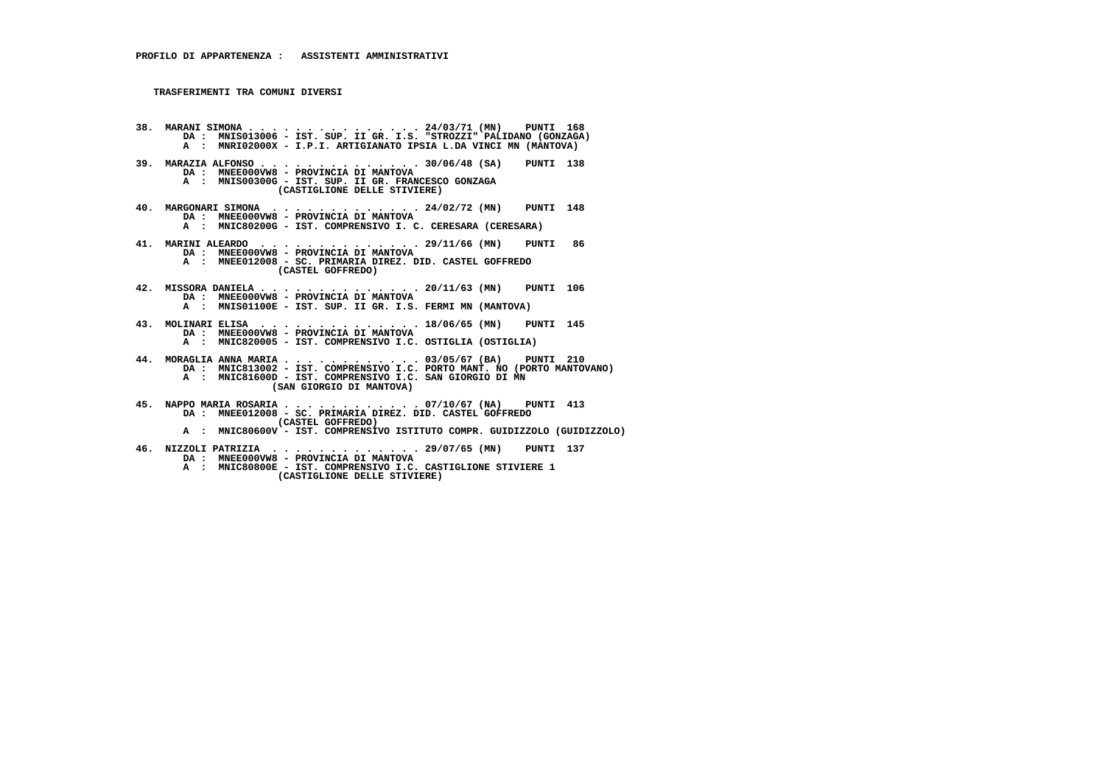- **38. MARANI SIMONA . . . . . . . . . . . . . . . 24/03/71 (MN) PUNTI 168 DA : MNIS013006 IST. SUP. II GR. I.S. "STROZZI" PALIDANO (GONZAGA) A : MNRI02000X - I.P.I. ARTIGIANATO IPSIA L.DA VINCI MN (MANTOVA) 39. MARAZIA ALFONSO . . . . . . . . . . . . . . 30/06/48 (SA) PUNTI 138 DA : MNEE000VW8 - PROVINCIA DI MANTOVA A : MNIS00300G - IST. SUP. II GR. FRANCESCO GONZAGA (CASTIGLIONE DELLE STIVIERE) 40. MARGONARI SIMONA . . . . . . . . . . . . . 24/02/72 (MN) PUNTI 148 DA : MNEE000VW8 - PROVINCIA DI MANTOVA A : MNIC80200G - IST. COMPRENSIVO I. C. CERESARA (CERESARA) 41. MARINI ALEARDO . . . . . . . . . . . . . . 29/11/66 (MN) PUNTI 86 DA : MNEE000VW8 - PROVINCIA DI MANTOVA A : MNEE012008 - SC. PRIMARIA DIREZ. DID. CASTEL GOFFREDO (CASTEL GOFFREDO) 42. MISSORA DANIELA . . . . . . . . . . . . . . 20/11/63 (MN) PUNTI 106 DA : MNEE000VW8 - PROVINCIA DI MANTOVA A : MNIS01100E - IST. SUP. II GR. I.S. FERMI MN (MANTOVA) 43. MOLINARI ELISA . . . . . . . . . . . . . . 18/06/65 (MN) PUNTI 145 DA : MNEE000VW8 - PROVINCIA DI MANTOVA A : MNIC820005 - IST. COMPRENSIVO I.C. OSTIGLIA (OSTIGLIA) 44. MORAGLIA ANNA MARIA . . . . . . . . . . . . 03/05/67 (BA) PUNTI 210 DA : MNIC813002 - IST. COMPRENSIVO I.C. PORTO MANT. NO (PORTO MANTOVANO) A : MNIC81600D - IST. COMPRENSIVO I.C. SAN GIORGIO DI MN (SAN GIORGIO DI MANTOVA)**
	- **45. NAPPO MARIA ROSARIA . . . . . . . . . . . . 07/10/67 (NA) PUNTI 413 DA : MNEE012008 - SC. PRIMARIA DIREZ. DID. CASTEL GOFFREDO (CASTEL GOFFREDO)**
- **A : MNIC80600V IST. COMPRENSIVO ISTITUTO COMPR. GUIDIZZOLO (GUIDIZZOLO)**
	- **46. NIZZOLI PATRIZIA . . . . . . . . . . . . . 29/07/65 (MN) PUNTI 137**
		- **DA : MNEE000VW8 PROVINCIA DI MANTOVA**
- **A : MNIC80800E IST. COMPRENSIVO I.C. CASTIGLIONE STIVIERE 1 (CASTIGLIONE DELLE STIVIERE)**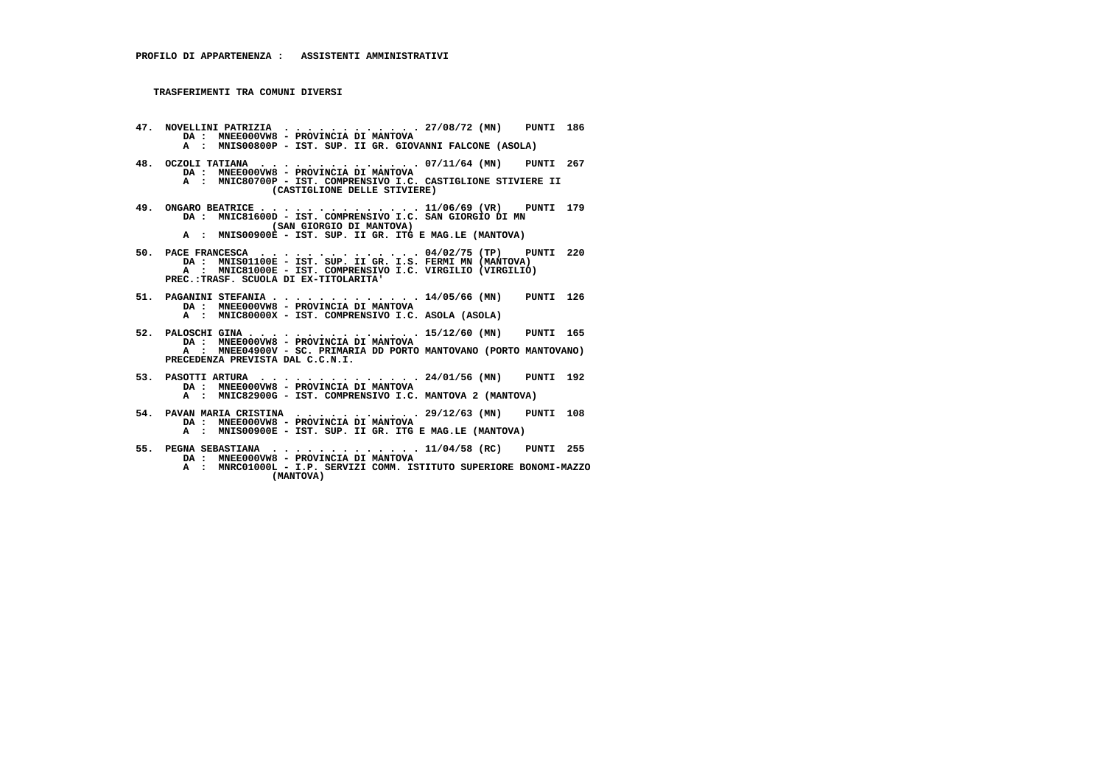- **47. NOVELLINI PATRIZIA . . . . . . . . . . . . 27/08/72 (MN) PUNTI 186 DA : MNEE000VW8 PROVINCIA DI MANTOVA A : MNIS00800P - IST. SUP. II GR. GIOVANNI FALCONE (ASOLA)**
- **48. OCZOLI TATIANA . . . . . . . . . . . . . . 07/11/64 (MN) PUNTI 267 DA : MNEE000VW8 - PROVINCIA DI MANTOVA A : MNIC80700P - IST. COMPRENSIVO I.C. CASTIGLIONE STIVIERE II (CASTIGLIONE DELLE STIVIERE)**
- **49. ONGARO BEATRICE . . . . . . . . . . . . . . 11/06/69 (VR) PUNTI 179 DA : MNIC81600D IST. COMPRENSIVO I.C. SAN GIORGIO DI MN (SAN GIORGIO DI MANTOVA)**
- **A : MNIS00900E IST. SUP. II GR. ITG E MAG.LE (MANTOVA)**
- **50. PACE FRANCESCA . . . . . . . . . . . . . . 04/02/75 (TP) PUNTI 220 DA : MNIS01100E IST. SUP. II GR. I.S. FERMI MN (MANTOVA) A : MNIC81000E - IST. COMPRENSIVO I.C. VIRGILIO (VIRGILIO) PREC.:TRASF. SCUOLA DI EX-TITOLARITA'**
- **51. PAGANINI STEFANIA . . . . . . . . . . . . . 14/05/66 (MN) PUNTI 126 DA : MNEE000VW8 PROVINCIA DI MANTOVA A : MNIC80000X - IST. COMPRENSIVO I.C. ASOLA (ASOLA)**
- **52. PALOSCHI GINA . . . . . . . . . . . . . . . 15/12/60 (MN) PUNTI 165 DA : MNEE000VW8 PROVINCIA DI MANTOVA A : MNEE04900V SC. PRIMARIA DD PORTO MANTOVANO (PORTO MANTOVANO) PRECEDENZA PREVISTA DAL C.C.N.I.**
- **53. PASOTTI ARTURA . . . . . . . . . . . . . . 24/01/56 (MN) PUNTI 192 DA : MNEE000VW8 PROVINCIA DI MANTOVA A : MNIC82900G - IST. COMPRENSIVO I.C. MANTOVA 2 (MANTOVA)**
- **54. PAVAN MARIA CRISTINA . . . . . . . . . . . 29/12/63 (MN) PUNTI 108 DA : MNEE000VW8 PROVINCIA DI MANTOVA**
- **A : MNIS00900E IST. SUP. II GR. ITG E MAG.LE (MANTOVA)**
	- **55. PEGNA SEBASTIANA . . . . . . . . . . . . . 11/04/58 (RC) PUNTI 255 DA : MNEE000VW8 - PROVINCIA DI MANTOVA**
- **A : MNRC01000L I.P. SERVIZI COMM. ISTITUTO SUPERIORE BONOMI-MAZZO (MANTOVA)**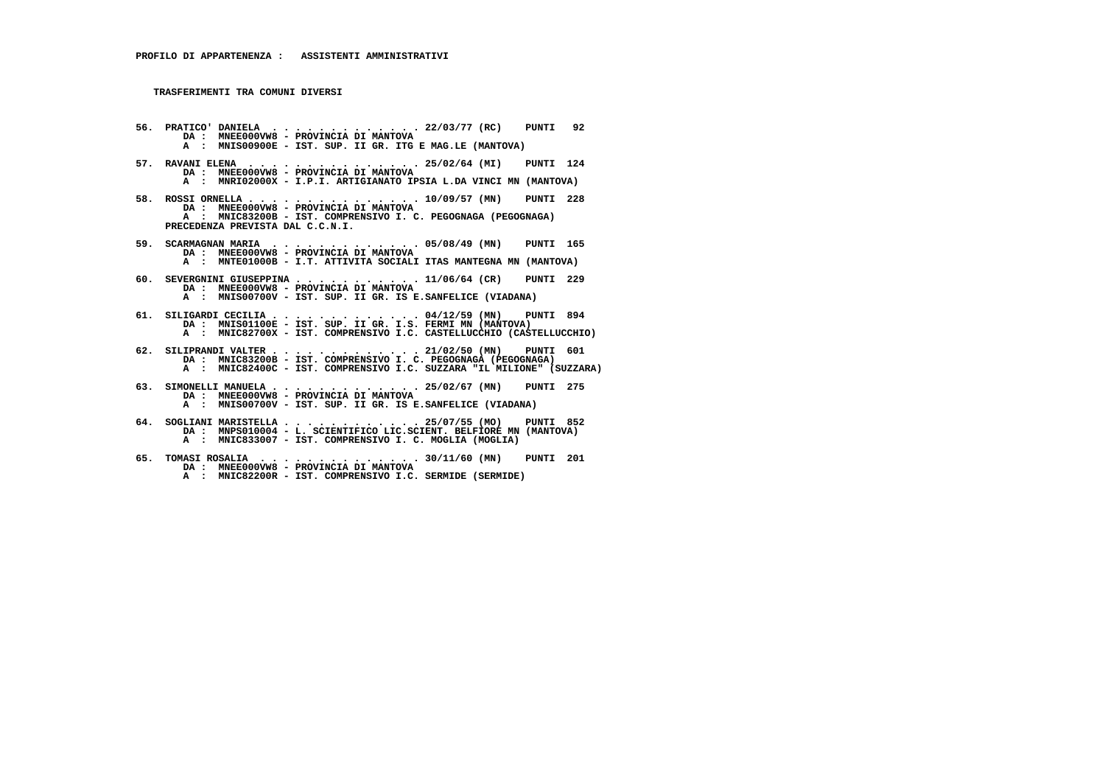- **56. PRATICO' DANIELA . . . . . . . . . . . . . 22/03/77 (RC) PUNTI 92 DA : MNEE000VW8 PROVINCIA DI MANTOVA A : MNIS00900E - IST. SUP. II GR. ITG E MAG.LE (MANTOVA)**
- **57. RAVANI ELENA . . . . . . . . . . . . . . . 25/02/64 (MI) PUNTI 124 DA : MNEE000VW8 - PROVINCIA DI MANTOVA A : MNRI02000X - I.P.I. ARTIGIANATO IPSIA L.DA VINCI MN (MANTOVA)**
- **58. ROSSI ORNELLA . . . . . . . . . . . . . . . 10/09/57 (MN) PUNTI 228 DA : MNEE000VW8 - PROVINCIA DI MANTOVA A : MNIC83200B - IST. COMPRENSIVO I. C. PEGOGNAGA (PEGOGNAGA) PRECEDENZA PREVISTA DAL C.C.N.I.**
- **59. SCARMAGNAN MARIA . . . . . . . . . . . . . 05/08/49 (MN) PUNTI 165 DA : MNEE000VW8 - PROVINCIA DI MANTOVA A : MNTE01000B - I.T. ATTIVITA SOCIALI ITAS MANTEGNA MN (MANTOVA)**
- **60. SEVERGNINI GIUSEPPINA . . . . . . . . . . . 11/06/64 (CR) PUNTI 229 DA : MNEE000VW8 - PROVINCIA DI MANTOVA A : MNIS00700V - IST. SUP. II GR. IS E.SANFELICE (VIADANA)**
- **61. SILIGARDI CECILIA . . . . . . . . . . . . . 04/12/59 (MN) PUNTI 894 DA : MNIS01100E IST. SUP. II GR. I.S. FERMI MN (MANTOVA) A : MNIC82700X - IST. COMPRENSIVO I.C. CASTELLUCCHIO (CASTELLUCCHIO)**
- **62. SILIPRANDI VALTER . . . . . . . . . . . . . 21/02/50 (MN) PUNTI 601 DA : MNIC83200B IST. COMPRENSIVO I. C. PEGOGNAGA (PEGOGNAGA) A : MNIC82400C - IST. COMPRENSIVO I.C. SUZZARA "IL MILIONE" (SUZZARA)**
- **63. SIMONELLI MANUELA . . . . . . . . . . . . . 25/02/67 (MN) PUNTI 275 DA : MNEE000VW8 - PROVINCIA DI MANTOVA A : MNIS00700V - IST. SUP. II GR. IS E.SANFELICE (VIADANA)**
- **64. SOGLIANI MARISTELLA . . . . . . . . . . . . 25/07/55 (MO) PUNTI 852 DA : MNPS010004 - L. SCIENTIFICO LIC.SCIENT. BELFIORE MN (MANTOVA) A : MNIC833007 - IST. COMPRENSIVO I. C. MOGLIA (MOGLIA)**
- **65. TOMASI ROSALIA . . . . . . . . . . . . . . 30/11/60 (MN) PUNTI 201 DA : MNEE000VW8 PROVINCIA DI MANTOVA A : MNIC82200R - IST. COMPRENSIVO I.C. SERMIDE (SERMIDE)**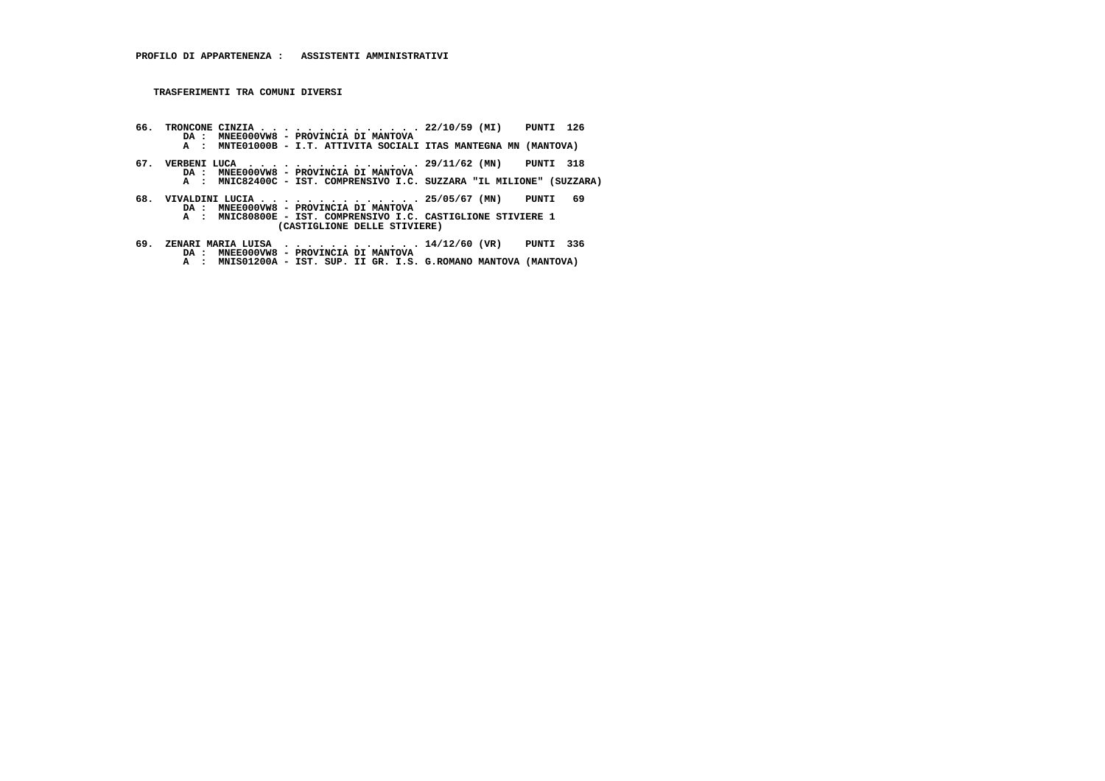- **66. TRONCONE CINZIA . . . . . . . . . . . . . . 22/10/59 (MI) PUNTI 126 DA : MNEE000VW8 PROVINCIA DI MANTOVA A : MNTE01000B - I.T. ATTIVITA SOCIALI ITAS MANTEGNA MN (MANTOVA)**
- **67. VERBENI LUCA . . . . . . . . . . . . . . . 29/11/62 (MN) PUNTI 318 DA : MNEE000VW8 - PROVINCIA DI MANTOVA A : MNIC82400C - IST. COMPRENSIVO I.C. SUZZARA "IL MILIONE" (SUZZARA)**
	-
- **68. VIVALDINI LUCIA . . . . . . . . . . . . . . 25/05/67 (MN) PUNTI 69 DA : MNEE000VW8 PROVINCIA DI MANTOVA A : MNIC80800E - IST. COMPRENSIVO I.C. CASTIGLIONE STIVIERE 1 (CASTIGLIONE DELLE STIVIERE)**
- **69. ZENARI MARIA LUISA . . . . . . . . . . . . 14/12/60 (VR) PUNTI 336 DA : MNEE000VW8 PROVINCIA DI MANTOVA A : MNIS01200A IST. SUP. II GR. I.S. G.ROMANO MANTOVA (MANTOVA)**
	-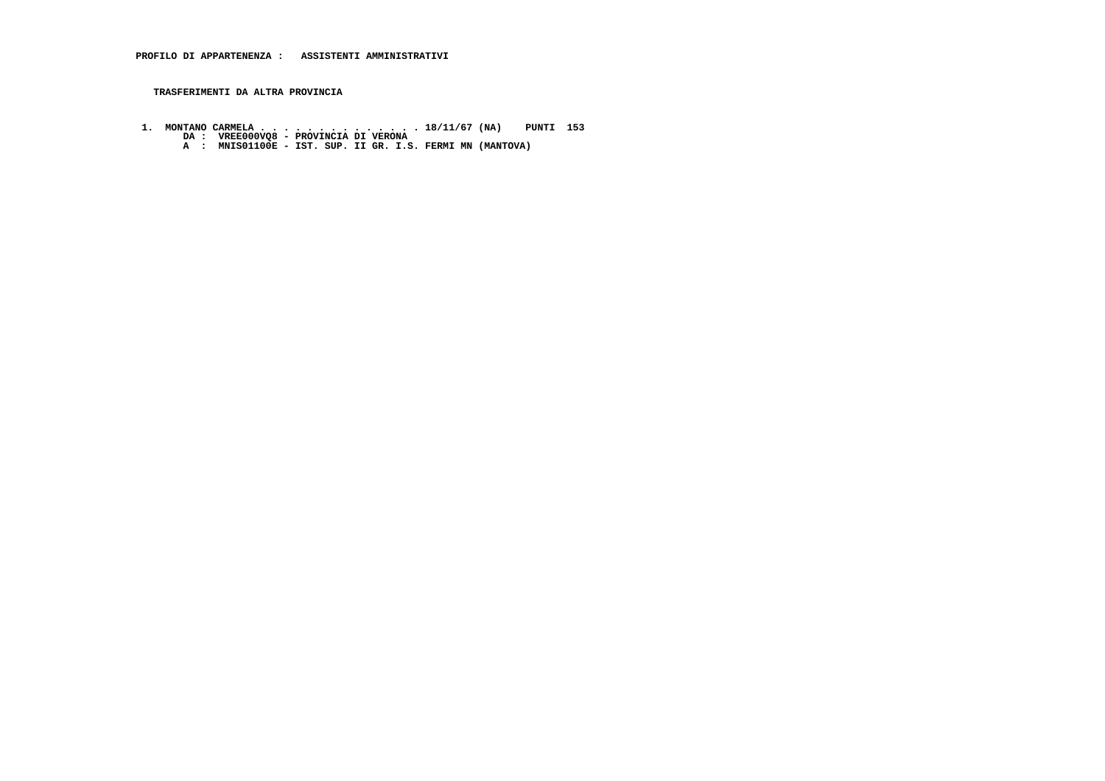**TRASFERIMENTI DA ALTRA PROVINCIA**

- **1. MONTANO CARMELA . . . . . . . . . . . . . . 18/11/67 (NA) PUNTI 153 DA : VREE000VQ8 PROVINCIA DI VERONA A : MNIS01100E IST. SUP. II GR. I.S. FERMI MN (MANTOVA)**
	-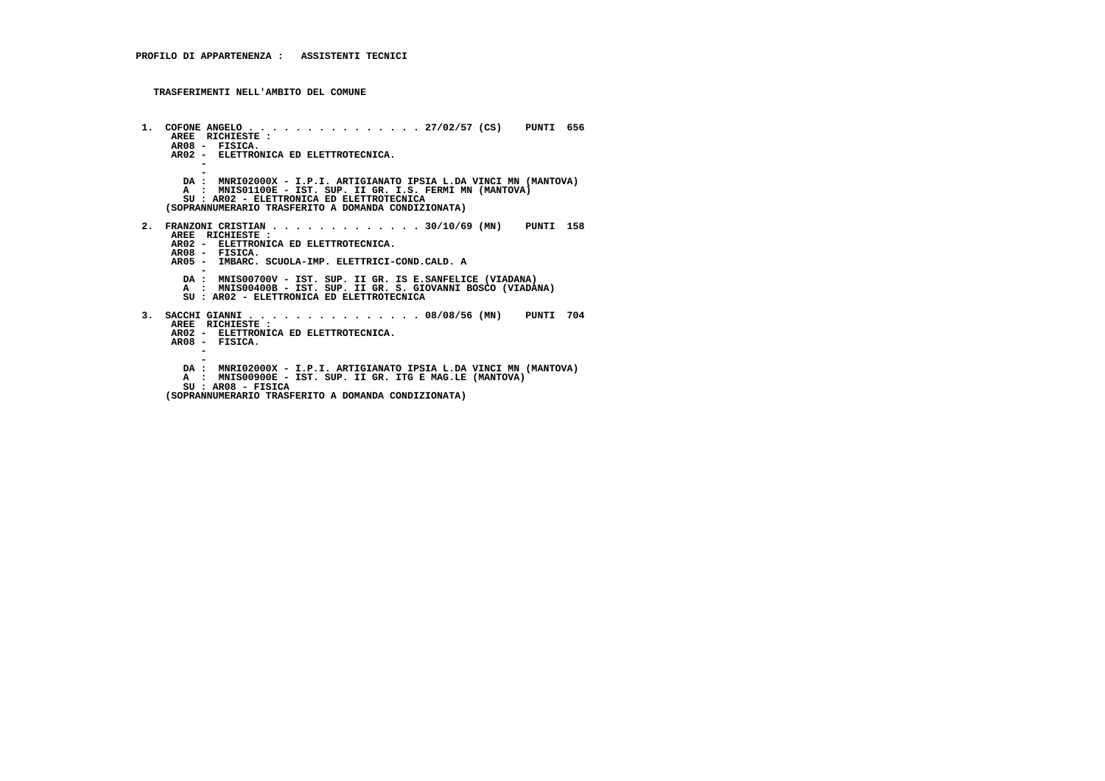**TRASFERIMENTI NELL'AMBITO DEL COMUNE**

 **1. COFONE ANGELO . . . . . . . . . . . . . . . 27/02/57 (CS) PUNTI 656 AREE RICHIESTE : AR08 - FISICA. AR02 - ELETTRONICA ED ELETTROTECNICA. - - DA : MNRI02000X - I.P.I. ARTIGIANATO IPSIA L.DA VINCI MN (MANTOVA)A : MNIS01100E - IST. SUP. II GR. I.S. FERMI MN (MANTOVA) SU : AR02 - ELETTRONICA ED ELETTROTECNICA (SOPRANNUMERARIO TRASFERITO A DOMANDA CONDIZIONATA) 2. FRANZONI CRISTIAN . . . . . . . . . . . . . 30/10/69 (MN) PUNTI 158 AREE RICHIESTE : AR02 - ELETTRONICA ED ELETTROTECNICA. AR08 - FISICA. AR05 - IMBARC. SCUOLA-IMP. ELETTRICI-COND.CALD. A - DA : MNIS00700V - IST. SUP. II GR. IS E.SANFELICE (VIADANA) A : MNIS00400B - IST. SUP. II GR. S. GIOVANNI BOSCO (VIADANA) SU : AR02 - ELETTRONICA ED ELETTROTECNICA 3. SACCHI GIANNI . . . . . . . . . . . . . . . 08/08/56 (MN) PUNTI 704 AREE RICHIESTE : AR02 - ELETTRONICA ED ELETTROTECNICA. AR08 - FISICA. - - DA : MNRI02000X - I.P.I. ARTIGIANATO IPSIA L.DA VINCI MN (MANTOVA)A** : MNIS00900E - IST. SUP. II GR. ITG E MAG.LE (MANTOVA)  **SU : AR08 - FISICA (SOPRANNUMERARIO TRASFERITO A DOMANDA CONDIZIONATA)**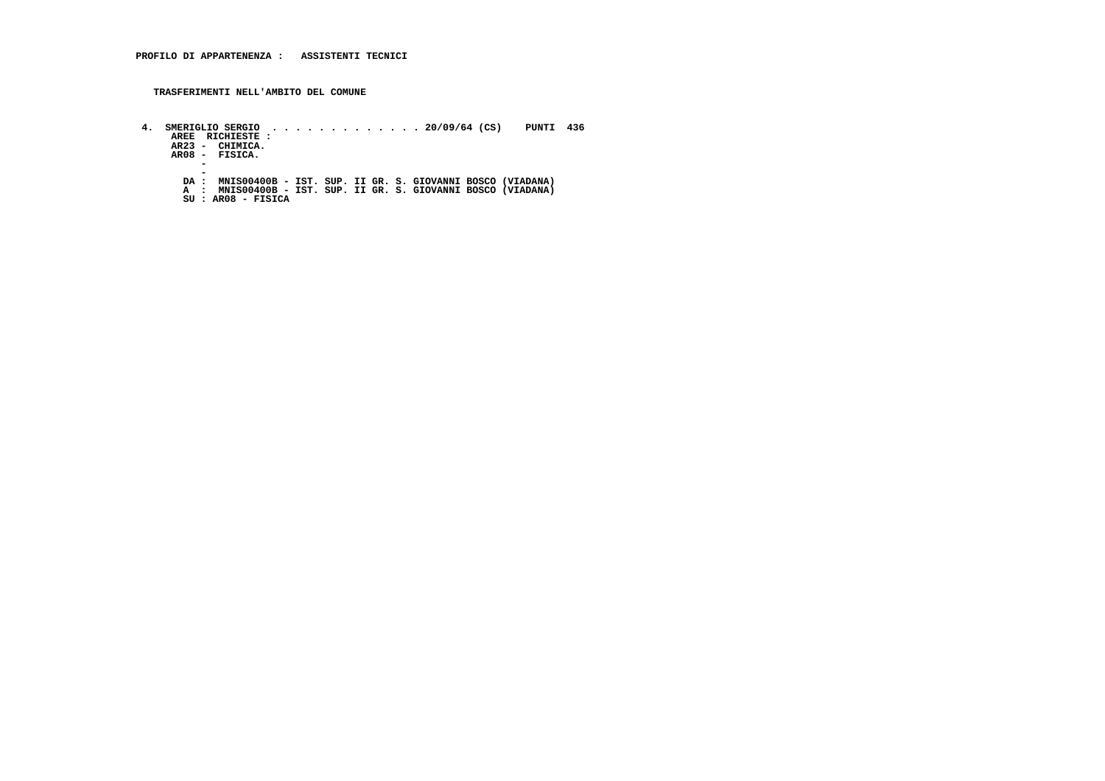**TRASFERIMENTI NELL'AMBITO DEL COMUNE**

 **4. SMERIGLIO SERGIO . . . . . . . . . . . . . 20/09/64 (CS) PUNTI 436 AREE RICHIESTE : AR23 - CHIMICA. AR08 - FISICA. -** $\overline{\phantom{a}}$  **- DA : MNIS00400B - IST. SUP. II GR. S. GIOVANNI BOSCO (VIADANA) A : MNIS00400B - IST. SUP. II GR. S. GIOVANNI BOSCO (VIADANA) SU : AR08 - FISICA**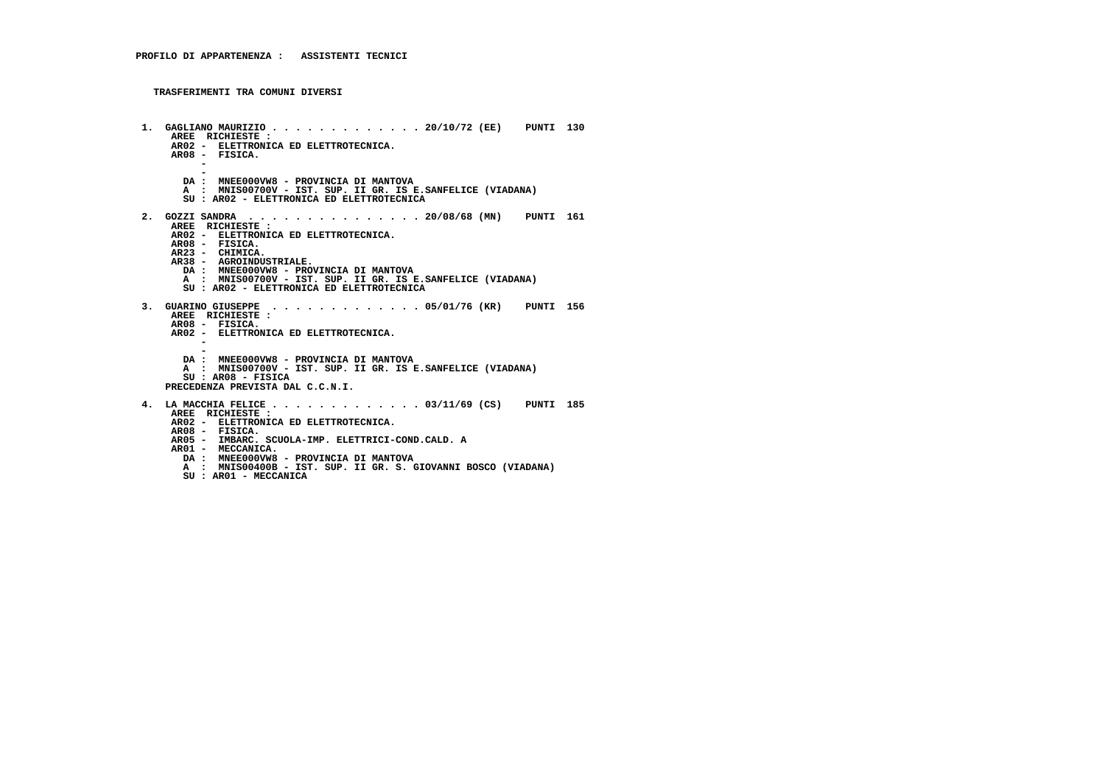```
 1. GAGLIANO MAURIZIO . . . . . . . . . . . . . 20/10/72 (EE) PUNTI 130 AREE RICHIESTE :
AR02 - ELETTRONICA ED ELETTROTECNICA. AR08 - FISICA. - -
DA : MNEE000VW8 - PROVINCIA DI MANTOVA
A : MNIS00700V - IST. SUP. II GR. IS E.SANFELICE (VIADANA) SU : AR02 - ELETTRONICA ED ELETTROTECNICA 2. GOZZI SANDRA . . . . . . . . . . . . . . . 20/08/68 (MN) PUNTI 161 AREE RICHIESTE :
AR02 - ELETTRONICA ED ELETTROTECNICA. AR08 - FISICA.
AR23 - CHIMICA.
AR38 - AGROINDUSTRIALE.
DA : MNEE000VW8 - PROVINCIA DI MANTOVA
A : MNIS00700V - IST. SUP. II GR. IS E.SANFELICE (VIADANA) SU : AR02 - ELETTRONICA ED ELETTROTECNICA 3. GUARINO GIUSEPPE . . . . . . . . . . . . . 05/01/76 (KR) PUNTI 156 AREE RICHIESTE : AR08 - FISICA.
AR02 - ELETTRONICA ED ELETTROTECNICA. - -
DA : MNEE000VW8 - PROVINCIA DI MANTOVA
A : MNIS00700V - IST. SUP. II GR. IS E.SANFELICE (VIADANA) SU : AR08 - FISICA
PRECEDENZA PREVISTA DAL C.C.N.I. 4. LA MACCHIA FELICE . . . . . . . . . . . . . 03/11/69 (CS) PUNTI 185 AREE RICHIESTE :
AR02 - ELETTRONICA ED ELETTROTECNICA. AR08 - FISICA.
AR05 - IMBARC. SCUOLA-IMP. ELETTRICI-COND.CALD. A AR01 - MECCANICA.
DA : MNEE000VW8 - PROVINCIA DI MANTOVA
A : MNIS00400B - IST. SUP. II GR. S. GIOVANNI BOSCO (VIADANA) SU : AR01 - MECCANICA
```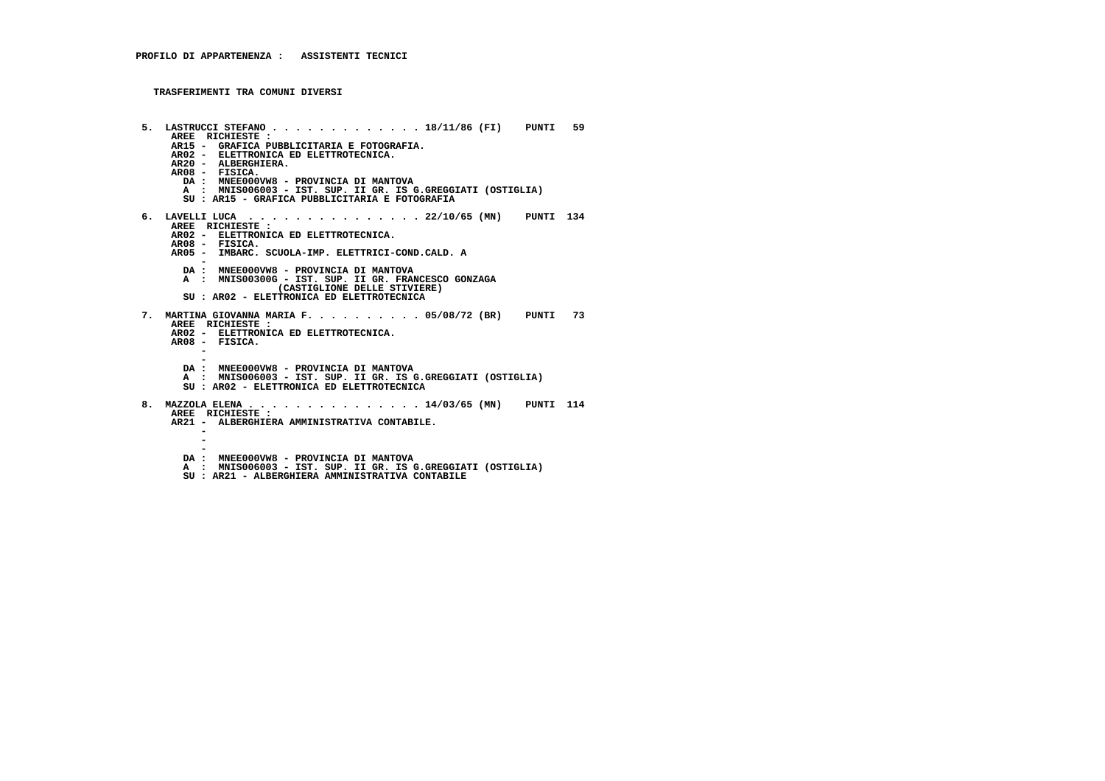```
 5. LASTRUCCI STEFANO . . . . . . . . . . . . . 18/11/86 (FI) PUNTI 59 AREE RICHIESTE :
AR15 - GRAFICA PUBBLICITARIA E FOTOGRAFIA. AR02 - ELETTRONICA ED ELETTROTECNICA. AR20 - ALBERGHIERA. AR08 - FISICA.
DA : MNEE000VW8 - PROVINCIA DI MANTOVA
A : MNIS006003 - IST. SUP. II GR. IS G.GREGGIATI (OSTIGLIA) SU : AR15 - GRAFICA PUBBLICITARIA E FOTOGRAFIA 6. LAVELLI LUCA . . . . . . . . . . . . . . . 22/10/65 (MN) PUNTI 134 AREE RICHIESTE :
AR02 - ELETTRONICA ED ELETTROTECNICA. AR08 - FISICA.
AR05 - IMBARC. SCUOLA-IMP. ELETTRICI-COND.CALD. A -
DA : MNEE000VW8 - PROVINCIA DI MANTOVA
A : MNIS00300G - IST. SUP. II GR. FRANCESCO GONZAGA (CASTIGLIONE DELLE STIVIERE) SU : AR02 - ELETTRONICA ED ELETTROTECNICA 7. MARTINA GIOVANNA MARIA F. . . . . . . . . . 05/08/72 (BR) PUNTI 73 AREE RICHIESTE :
AR02 - ELETTRONICA ED ELETTROTECNICA. AR08 - FISICA. - -
DA : MNEE000VW8 - PROVINCIA DI MANTOVA
A : MNIS006003 - IST. SUP. II GR. IS G.GREGGIATI (OSTIGLIA) SU : AR02 - ELETTRONICA ED ELETTROTECNICA 8. MAZZOLA ELENA . . . . . . . . . . . . . . . 14/03/65 (MN) PUNTI 114 AREE RICHIESTE :
AR21 - ALBERGHIERA AMMINISTRATIVA CONTABILE. - - -
DA : MNEE000VW8 - PROVINCIA DI MANTOVA
A : MNIS006003 - IST. SUP. II GR. IS G.GREGGIATI (OSTIGLIA) SU : AR21 - ALBERGHIERA AMMINISTRATIVA CONTABILE
```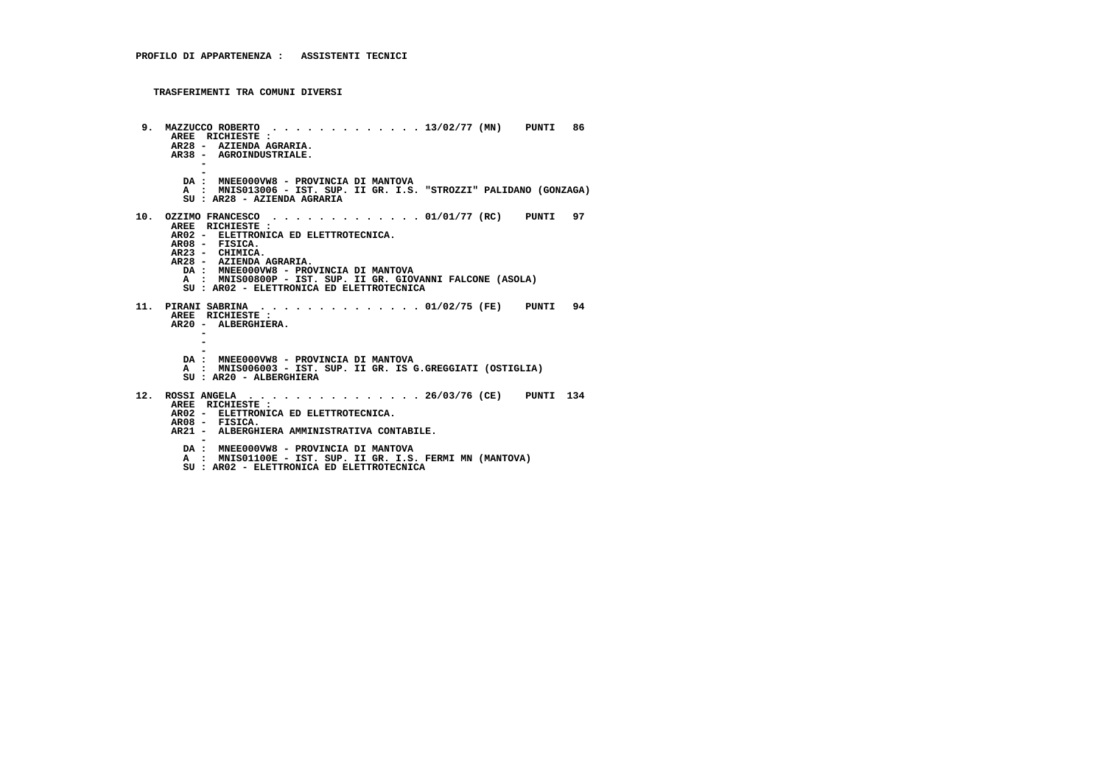```
 9. MAZZUCCO ROBERTO . . . . . . . . . . . . . 13/02/77 (MN) PUNTI 86 AREE RICHIESTE :
AR28 - AZIENDA AGRARIA.
AR38 - AGROINDUSTRIALE. - -
DA : MNEE000VW8 - PROVINCIA DI MANTOVA
A : MNIS013006 - IST. SUP. II GR. I.S. "STROZZI" PALIDANO (GONZAGA) SU : AR28 - AZIENDA AGRARIA 10. OZZIMO FRANCESCO . . . . . . . . . . . . . 01/01/77 (RC) PUNTI 97 AREE RICHIESTE :
AR02 - ELETTRONICA ED ELETTROTECNICA. AR08 - FISICA.
AR23 - CHIMICA.
AR28 - AZIENDA AGRARIA.
DA : MNEE000VW8 - PROVINCIA DI MANTOVA
A : MNIS00800P - IST. SUP. II GR. GIOVANNI FALCONE (ASOLA) SU : AR02 - ELETTRONICA ED ELETTROTECNICA 11. PIRANI SABRINA . . . . . . . . . . . . . . 01/02/75 (FE) PUNTI 94 AREE RICHIESTE :
AR20 - ALBERGHIERA. - - -
DA : MNEE000VW8 - PROVINCIA DI MANTOVA
A : MNIS006003 - IST. SUP. II GR. IS G.GREGGIATI (OSTIGLIA) SU : AR20 - ALBERGHIERA 12. ROSSI ANGELA . . . . . . . . . . . . . . . 26/03/76 (CE) PUNTI 134 AREE RICHIESTE :
AR02 - ELETTRONICA ED ELETTROTECNICA. AR08 - FISICA.
AR21 - ALBERGHIERA AMMINISTRATIVA CONTABILE. -
DA : MNEE000VW8 - PROVINCIA DI MANTOVA
A : MNIS01100E - IST. SUP. II GR. I.S. FERMI MN (MANTOVA)
```
 **SU : AR02 - ELETTRONICA ED ELETTROTECNICA**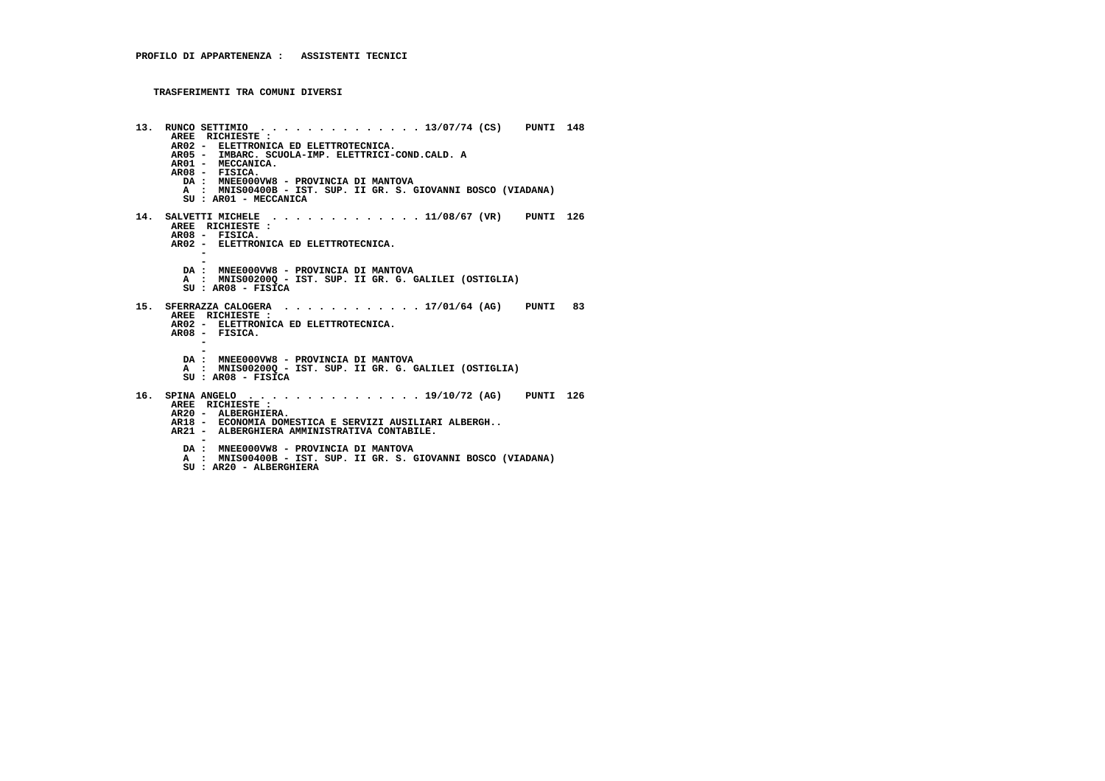| 13. | RUNCO SETTIMIO $\ldots$ , $\ldots$ , $\ldots$ , $\ldots$ , $\frac{13}{07}{74}$ (CS) PUNTI 148<br>AREE RICHIESTE:<br>AR02 - ELETTRONICA ED ELETTROTECNICA.<br>AR05 - IMBARC. SCUOLA-IMP. ELETTRICI-COND.CALD. A<br>AR01 - MECCANICA.<br>AR08 - FISICA.<br>DA: MNEE000VW8 - PROVINCIA DI MANTOVA<br>A : MNIS00400B - IST. SUP. II GR. S. GIOVANNI BOSCO (VIADANA)<br>SU : AR01 - MECCANICA |
|-----|------------------------------------------------------------------------------------------------------------------------------------------------------------------------------------------------------------------------------------------------------------------------------------------------------------------------------------------------------------------------------------------|
|     | AREE RICHIESTE :<br>AR08 - FISICA.<br>AR02 - ELETTRONICA ED ELETTROTECNICA.<br>DA: MNEE000VW8 - PROVINCIA DI MANTOVA<br>A : MNIS002000 - IST. SUP. II GR. G. GALILEI (OSTIGLIA)<br>$SU: AR08 - FISICA$                                                                                                                                                                                   |
|     | 15. SFERRAZZA CALOGERA 17/01/64 (AG) PUNTI 83<br>AREE RICHIESTE:<br>AR02 - ELETTRONICA ED ELETTROTECNICA.<br>AR08 - FISICA.<br>DA : MNEE000VW8 - PROVINCIA DI MANTOVA<br>A : MNIS002000 - IST. SUP. II GR. G. GALILEI (OSTIGLIA)<br>$SU: AR08 - FISICA$                                                                                                                                  |
|     | 16. SPINA ANGELO 19/10/72 (AG) PUNTI 126<br>AREE RICHIESTE:<br>AR20 - ALBERGHIERA.<br>AR18 - ECONOMIA DOMESTICA E SERVIZI AUSILIARI ALBERGH<br>AR21 - ALBERGHIERA AMMINISTRATIVA CONTABILE.<br>DA : MNEE000VW8 - PROVINCIA DI MANTOVA<br>A : MNIS00400B - IST. SUP. II GR. S. GIOVANNI BOSCO (VIADANA)                                                                                   |

 **SU : AR20 - ALBERGHIERA**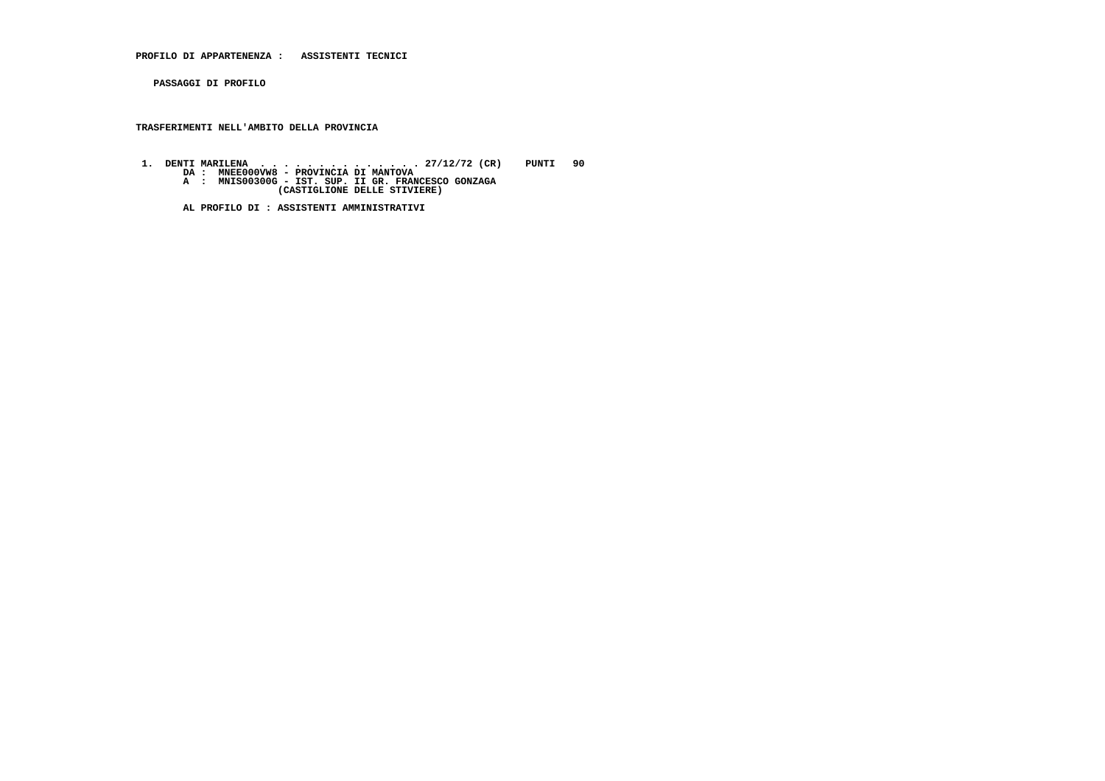**PROFILO DI APPARTENENZA : ASSISTENTI TECNICI**

 **PASSAGGI DI PROFILO**

## **TRASFERIMENTI NELL'AMBITO DELLA PROVINCIA**

 **1. DENTI MARILENA . . . . . . . . . . . . . . 27/12/72 (CR) PUNTI 90 DA : MNEE000VW8 - PROVINCIA DI MANTOVA A : MNIS00300G - IST. SUP. II GR. FRANCESCO GONZAGA (CASTIGLIONE DELLE STIVIERE)**

 **AL PROFILO DI : ASSISTENTI AMMINISTRATIVI**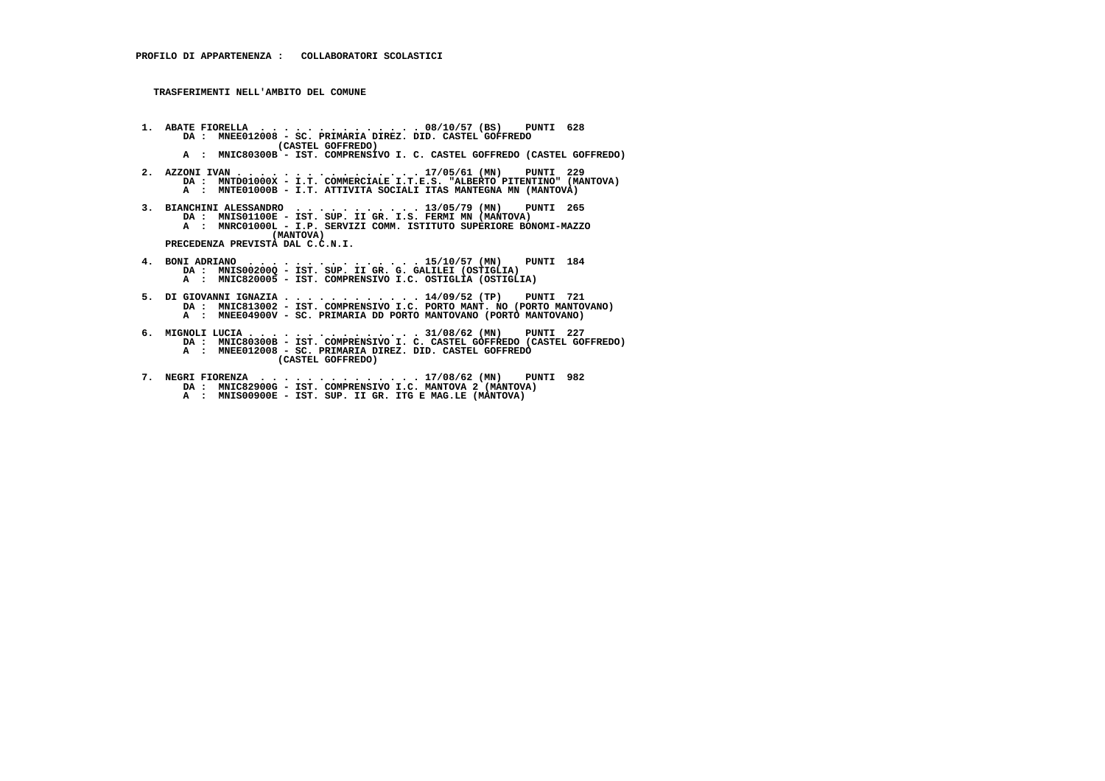**TRASFERIMENTI NELL'AMBITO DEL COMUNE**

- **1. ABATE FIORELLA . . . . . . . . . . . . . . 08/10/57 (BS) PUNTI 628 DA : MNEE012008 SC. PRIMARIA DIREZ. DID. CASTEL GOFFREDO (CASTEL GOFFREDO) A : MNIC80300B - IST. COMPRENSIVO I. C. CASTEL GOFFREDO (CASTEL GOFFREDO)**
- **2. AZZONI IVAN . . . . . . . . . . . . . . . . 17/05/61 (MN) PUNTI 229 DA : MNTD01000X I.T. COMMERCIALE I.T.E.S. "ALBERTO PITENTINO" (MANTOVA) A : MNTE01000B - I.T. ATTIVITA SOCIALI ITAS MANTEGNA MN (MANTOVA)**
- **3. BIANCHINI ALESSANDRO . . . . . . . . . . . 13/05/79 (MN) PUNTI 265 DA : MNIS01100E IST. SUP. II GR. I.S. FERMI MN (MANTOVA) A : MNRC01000L I.P. SERVIZI COMM. ISTITUTO SUPERIORE BONOMI-MAZZO (MANTOVA) PRECEDENZA PREVISTA DAL C.C.N.I.**
- **4. BONI ADRIANO . . . . . . . . . . . . . . . 15/10/57 (MN) PUNTI 184 DA : MNIS00200Q IST. SUP. II GR. G. GALILEI (OSTIGLIA) A : MNIC820005 - IST. COMPRENSIVO I.C. OSTIGLIA (OSTIGLIA)**
- **5. DI GIOVANNI IGNAZIA . . . . . . . . . . . . 14/09/52 (TP) PUNTI 721 DA : MNIC813002 IST. COMPRENSIVO I.C. PORTO MANT. NO (PORTO MANTOVANO) A : MNEE04900V - SC. PRIMARIA DD PORTO MANTOVANO (PORTO MANTOVANO)**
- **6. MIGNOLI LUCIA . . . . . . . . . . . . . . . 31/08/62 (MN) PUNTI 227 DA : MNIC80300B IST. COMPRENSIVO I. C. CASTEL GOFFREDO (CASTEL GOFFREDO) A : MNEE012008 SC. PRIMARIA DIREZ. DID. CASTEL GOFFREDO (CASTEL GOFFREDO)**
- **7. NEGRI FIORENZA . . . . . . . . . . . . . . 17/08/62 (MN) PUNTI 982 DA : MNIC82900G IST. COMPRENSIVO I.C. MANTOVA 2 (MANTOVA)A** : MNIS00900E - IST. SUP. II GR. ITG E MAG.LE (MANTOVA)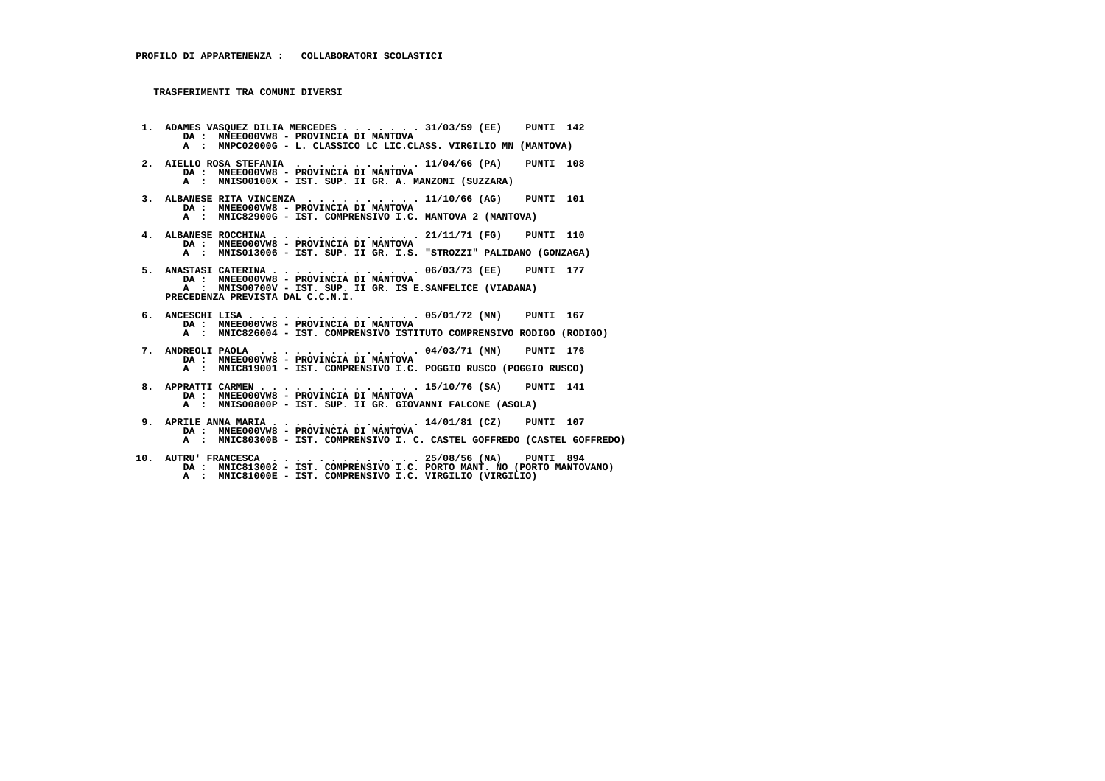- **1. ADAMES VASQUEZ DILIA MERCEDES . . . . . . . 31/03/59 (EE) PUNTI 142 DA : MNEE000VW8 - PROVINCIA DI MANTOVA A : MNPC02000G - L. CLASSICO LC LIC.CLASS. VIRGILIO MN (MANTOVA) 2. AIELLO ROSA STEFANIA . . . . . . . . . . . 11/04/66 (PA) PUNTI 108 DA : MNEE000VW8 - PROVINCIA DI MANTOVA A : MNIS00100X - IST. SUP. II GR. A. MANZONI (SUZZARA) 3. ALBANESE RITA VINCENZA . . . . . . . . . . 11/10/66 (AG) PUNTI 101 DA : MNEE000VW8 - PROVINCIA DI MANTOVA A : MNIC82900G - IST. COMPRENSIVO I.C. MANTOVA 2 (MANTOVA) 4. ALBANESE ROCCHINA . . . . . . . . . . . . . 21/11/71 (FG) PUNTI 110 DA : MNEE000VW8 - PROVINCIA DI MANTOVA A : MNIS013006 - IST. SUP. II GR. I.S. "STROZZI" PALIDANO (GONZAGA) 5. ANASTASI CATERINA . . . . . . . . . . . . . 06/03/73 (EE) PUNTI 177 DA : MNEE000VW8 - PROVINCIA DI MANTOVA A : MNIS00700V - IST. SUP. II GR. IS E.SANFELICE (VIADANA) PRECEDENZA PREVISTA DAL C.C.N.I. 6. ANCESCHI LISA . . . . . . . . . . . . . . . 05/01/72 (MN) PUNTI 167 DA : MNEE000VW8 - PROVINCIA DI MANTOVA A : MNIC826004 - IST. COMPRENSIVO ISTITUTO COMPRENSIVO RODIGO (RODIGO) 7. ANDREOLI PAOLA . . . . . . . . . . . . . . 04/03/71 (MN) PUNTI 176 DA : MNEE000VW8 - PROVINCIA DI MANTOVA A : MNIC819001 - IST. COMPRENSIVO I.C. POGGIO RUSCO (POGGIO RUSCO) 8. APPRATTI CARMEN . . . . . . . . . . . . . . 15/10/76 (SA) PUNTI 141 DA : MNEE000VW8 - PROVINCIA DI MANTOVA A : MNIS00800P - IST. SUP. II GR. GIOVANNI FALCONE (ASOLA) 9. APRILE ANNA MARIA . . . . . . . . . . . . . 14/01/81 (CZ) PUNTI 107 DA : MNEE000VW8 - PROVINCIA DI MANTOVA A : MNIC80300B - IST. COMPRENSIVO I. C. CASTEL GOFFREDO (CASTEL GOFFREDO) 10. AUTRU' FRANCESCA . . . . . . . . . . . . . 25/08/56 (NA) PUNTI 894 DA : MNIC813002 - IST. COMPRENSIVO I.C. PORTO MANT. NO (PORTO MANTOVANO)**
	- **A : MNIC81000E IST. COMPRENSIVO I.C. VIRGILIO (VIRGILIO)**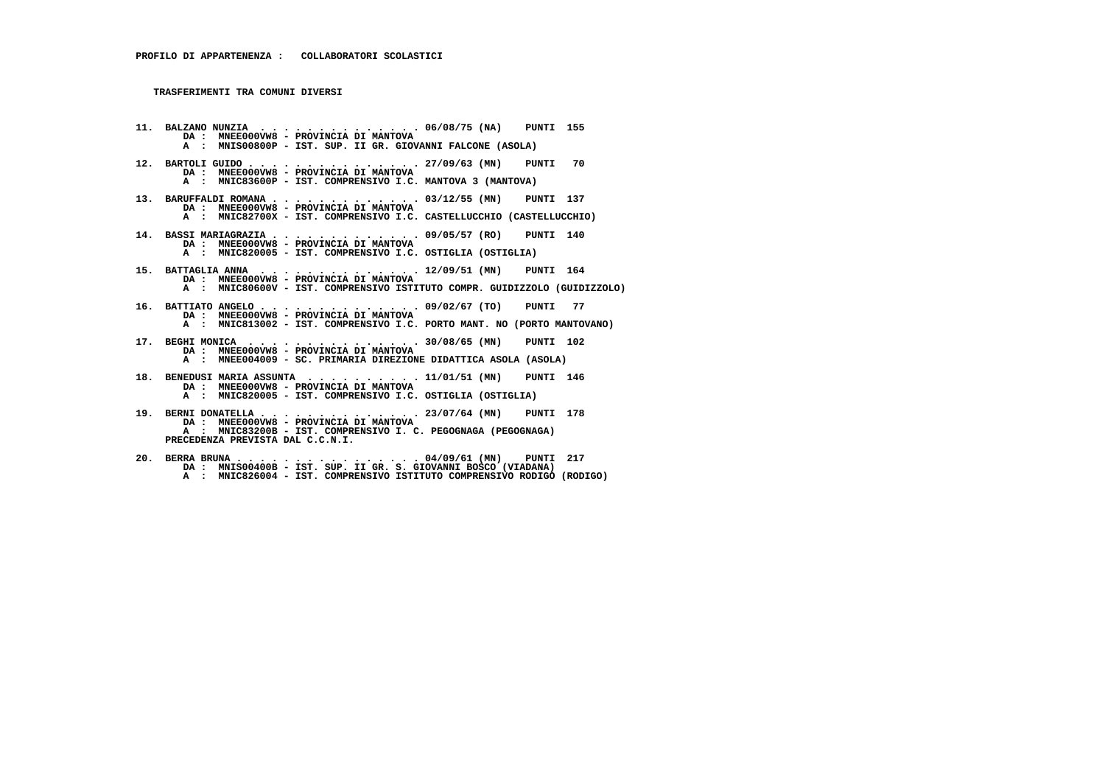**PRECEDENZA PREVISTA DAL C.C.N.I.**

 **11. BALZANO NUNZIA . . . . . . . . . . . . . . 06/08/75 (NA) PUNTI 155 DA : MNEE000VW8 - PROVINCIA DI MANTOVA A : MNIS00800P - IST. SUP. II GR. GIOVANNI FALCONE (ASOLA) 12. BARTOLI GUIDO . . . . . . . . . . . . . . . 27/09/63 (MN) PUNTI 70 DA : MNEE000VW8 - PROVINCIA DI MANTOVA A : MNIC83600P - IST. COMPRENSIVO I.C. MANTOVA 3 (MANTOVA) 13. BARUFFALDI ROMANA . . . . . . . . . . . . . 03/12/55 (MN) PUNTI 137 DA : MNEE000VW8 - PROVINCIA DI MANTOVA A : MNIC82700X - IST. COMPRENSIVO I.C. CASTELLUCCHIO (CASTELLUCCHIO) 14. BASSI MARIAGRAZIA . . . . . . . . . . . . . 09/05/57 (RO) PUNTI 140 DA : MNEE000VW8 - PROVINCIA DI MANTOVA A : MNIC820005 - IST. COMPRENSIVO I.C. OSTIGLIA (OSTIGLIA) 15. BATTAGLIA ANNA . . . . . . . . . . . . . . 12/09/51 (MN) PUNTI 164 DA : MNEE000VW8 - PROVINCIA DI MANTOVA A : MNIC80600V - IST. COMPRENSIVO ISTITUTO COMPR. GUIDIZZOLO (GUIDIZZOLO) 16. BATTIATO ANGELO . . . . . . . . . . . . . . 09/02/67 (TO) PUNTI 77 DA : MNEE000VW8 - PROVINCIA DI MANTOVA A : MNIC813002 - IST. COMPRENSIVO I.C. PORTO MANT. NO (PORTO MANTOVANO) 17. BEGHI MONICA . . . . . . . . . . . . . . . 30/08/65 (MN) PUNTI 102 DA : MNEE000VW8 - PROVINCIA DI MANTOVA A : MNEE004009 - SC. PRIMARIA DIREZIONE DIDATTICA ASOLA (ASOLA) 18. BENEDUSI MARIA ASSUNTA . . . . . . . . . . 11/01/51 (MN) PUNTI 146 DA : MNEE000VW8 - PROVINCIA DI MANTOVA A : MNIC820005 - IST. COMPRENSIVO I.C. OSTIGLIA (OSTIGLIA) 19. BERNI DONATELLA . . . . . . . . . . . . . . 23/07/64 (MN) PUNTI 178 DA : MNEE000VW8 - PROVINCIA DI MANTOVA A : MNIC83200B - IST. COMPRENSIVO I. C. PEGOGNAGA (PEGOGNAGA)**

  **20. BERRA BRUNA . . . . . . . . . . . . . . . . 04/09/61 (MN) PUNTI 217 DA : MNIS00400B - IST. SUP. II GR. S. GIOVANNI BOSCO (VIADANA) A : MNIC826004 - IST. COMPRENSIVO ISTITUTO COMPRENSIVO RODIGO (RODIGO)**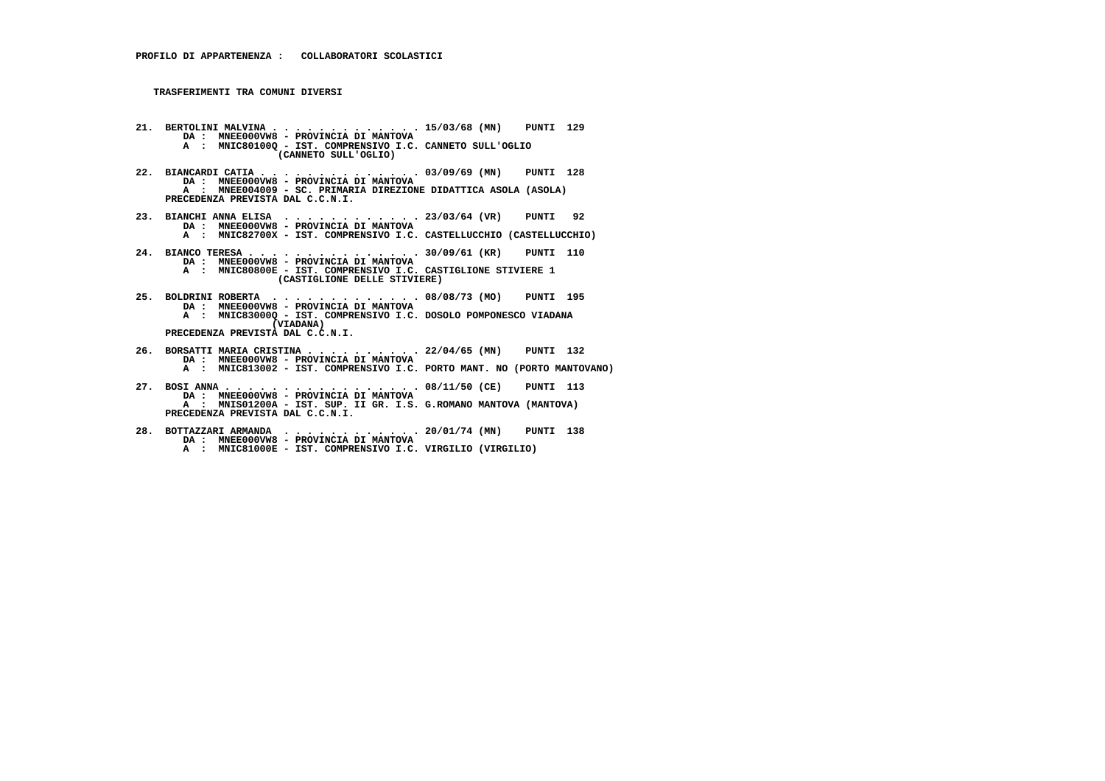- **21. BERTOLINI MALVINA . . . . . . . . . . . . . 15/03/68 (MN) PUNTI 129 DA : MNEE000VW8 PROVINCIA DI MANTOVA A : MNIC80100Q - IST. COMPRENSIVO I.C. CANNETO SULL'OGLIO (CANNETO SULL'OGLIO)**
- **22. BIANCARDI CATIA . . . . . . . . . . . . . . 03/09/69 (MN) PUNTI 128 DA : MNEE000VW8 PROVINCIA DI MANTOVA A : MNEE004009 - SC. PRIMARIA DIREZIONE DIDATTICA ASOLA (ASOLA) PRECEDENZA PREVISTA DAL C.C.N.I.**
- **23. BIANCHI ANNA ELISA . . . . . . . . . . . . 23/03/64 (VR) PUNTI 92 DA : MNEE000VW8 PROVINCIA DI MANTOVA**
- **A : MNIC82700X IST. COMPRENSIVO I.C. CASTELLUCCHIO (CASTELLUCCHIO)**
- **24. BIANCO TERESA . . . . . . . . . . . . . . . 30/09/61 (KR) PUNTI 110 DA : MNEE000VW8 PROVINCIA DI MANTOVA A : MNIC80800E - IST. COMPRENSIVO I.C. CASTIGLIONE STIVIERE 1 (CASTIGLIONE DELLE STIVIERE)**
- **25. BOLDRINI ROBERTA . . . . . . . . . . . . . 08/08/73 (MO) PUNTI 195 DA : MNEE000VW8 PROVINCIA DI MANTOVA A : MNIC83000Q - IST. COMPRENSIVO I.C. DOSOLO POMPONESCO VIADANA (VIADANA) PRECEDENZA PREVISTA DAL C.C.N.I.**
- **26. BORSATTI MARIA CRISTINA . . . . . . . . . . 22/04/65 (MN) PUNTI 132 DA : MNEE000VW8 - PROVINCIA DI MANTOVA A : MNIC813002 - IST. COMPRENSIVO I.C. PORTO MANT. NO (PORTO MANTOVANO)**
- **27. BOSI ANNA . . . . . . . . . . . . . . . . . 08/11/50 (CE) PUNTI 113 DA : MNEE000VW8 - PROVINCIA DI MANTOVA A : MNIS01200A - IST. SUP. II GR. I.S. G.ROMANO MANTOVA (MANTOVA) PRECEDENZA PREVISTA DAL C.C.N.I.**
- **28. BOTTAZZARI ARMANDA . . . . . . . . . . . . 20/01/74 (MN) PUNTI 138 DA : MNEE000VW8 PROVINCIA DI MANTOVA A : MNIC81000E - IST. COMPRENSIVO I.C. VIRGILIO (VIRGILIO)**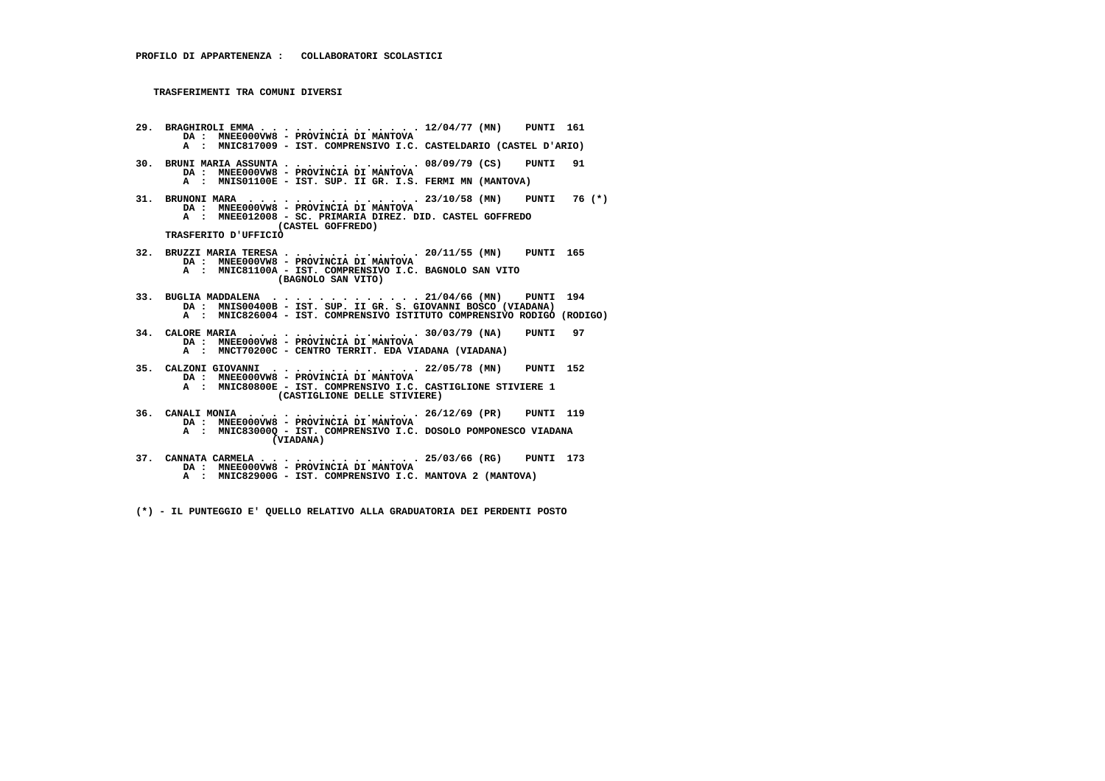**29. BRAGHIROLI EMMA . . . . . . . . . . . . . . 12/04/77 (MN) PUNTI 161 DA : MNEE000VW8 - PROVINCIA DI MANTOVA A : MNIC817009 - IST. COMPRENSIVO I.C. CASTELDARIO (CASTEL D'ARIO) 30. BRUNI MARIA ASSUNTA . . . . . . . . . . . . 08/09/79 (CS) PUNTI 91 DA : MNEE000VW8 - PROVINCIA DI MANTOVA A : MNIS01100E - IST. SUP. II GR. I.S. FERMI MN (MANTOVA) 31. BRUNONI MARA . . . . . . . . . . . . . . . 23/10/58 (MN) PUNTI 76 (\*) DA : MNEE000VW8 - PROVINCIA DI MANTOVA A : MNEE012008 - SC. PRIMARIA DIREZ. DID. CASTEL GOFFREDO (CASTEL GOFFREDO) TRASFERITO D'UFFICIO 32. BRUZZI MARIA TERESA . . . . . . . . . . . . 20/11/55 (MN) PUNTI 165 DA : MNEE000VW8 - PROVINCIA DI MANTOVA A : MNIC81100A - IST. COMPRENSIVO I.C. BAGNOLO SAN VITO (BAGNOLO SAN VITO) 33. BUGLIA MADDALENA . . . . . . . . . . . . . 21/04/66 (MN) PUNTI 194 DA : MNIS00400B - IST. SUP. II GR. S. GIOVANNI BOSCO (VIADANA) A : MNIC826004 - IST. COMPRENSIVO ISTITUTO COMPRENSIVO RODIGO (RODIGO) 34. CALORE MARIA . . . . . . . . . . . . . . . 30/03/79 (NA) PUNTI 97 DA : MNEE000VW8 - PROVINCIA DI MANTOVA A : MNCT70200C - CENTRO TERRIT. EDA VIADANA (VIADANA) 35. CALZONI GIOVANNI . . . . . . . . . . . . . 22/05/78 (MN) PUNTI 152 DA : MNEE000VW8 - PROVINCIA DI MANTOVA A : MNIC80800E - IST. COMPRENSIVO I.C. CASTIGLIONE STIVIERE 1 (CASTIGLIONE DELLE STIVIERE) 36. CANALI MONIA . . . . . . . . . . . . . . . 26/12/69 (PR) PUNTI 119 DA : MNEE000VW8 - PROVINCIA DI MANTOVA A : MNIC83000Q - IST. COMPRENSIVO I.C. DOSOLO POMPONESCO VIADANA (VIADANA) 37. CANNATA CARMELA . . . . . . . . . . . . . . 25/03/66 (RG) PUNTI 173 DA : MNEE000VW8 - PROVINCIA DI MANTOVA**

 **A : MNIC82900G - IST. COMPRENSIVO I.C. MANTOVA 2 (MANTOVA)**

 **(\*) - IL PUNTEGGIO E' QUELLO RELATIVO ALLA GRADUATORIA DEI PERDENTI POSTO**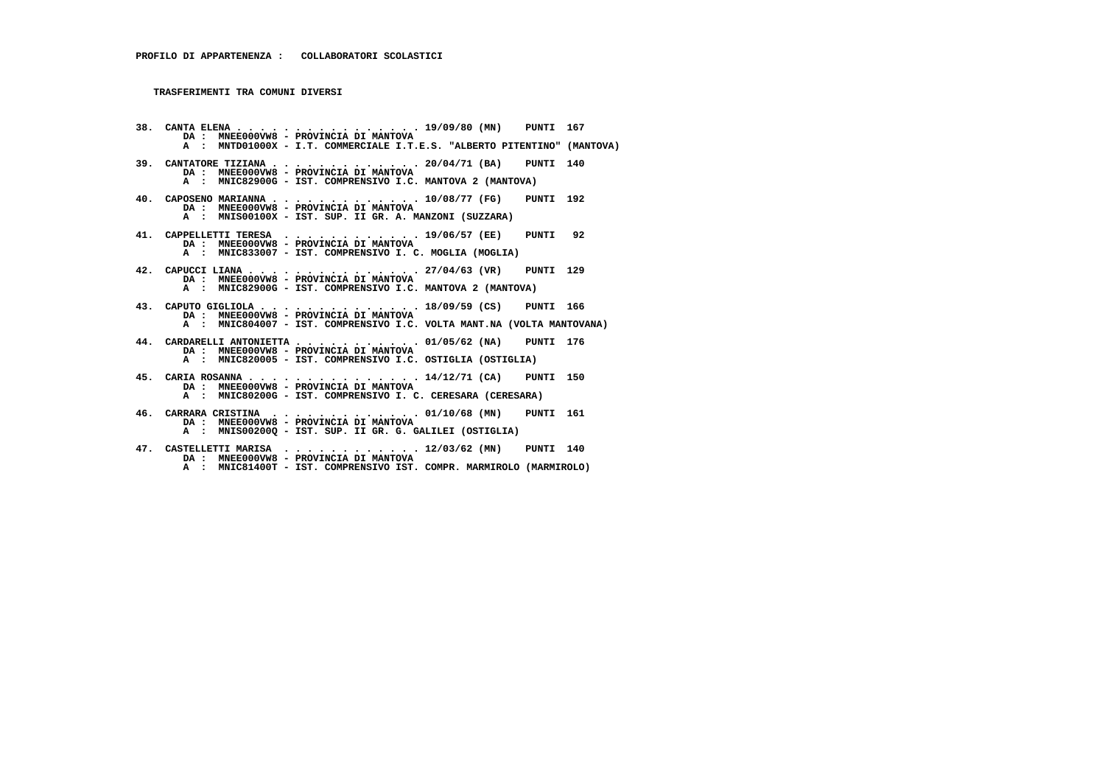**38. CANTA ELENA . . . . . . . . . . . . . . . . 19/09/80 (MN) PUNTI 167 DA : MNEE000VW8 - PROVINCIA DI MANTOVA A : MNTD01000X - I.T. COMMERCIALE I.T.E.S. "ALBERTO PITENTINO" (MANTOVA) 39. CANTATORE TIZIANA . . . . . . . . . . . . . 20/04/71 (BA) PUNTI 140 DA : MNEE000VW8 - PROVINCIA DI MANTOVA A : MNIC82900G - IST. COMPRENSIVO I.C. MANTOVA 2 (MANTOVA) 40. CAPOSENO MARIANNA . . . . . . . . . . . . . 10/08/77 (FG) PUNTI 192 DA : MNEE000VW8 - PROVINCIA DI MANTOVA A : MNIS00100X - IST. SUP. II GR. A. MANZONI (SUZZARA) 41. CAPPELLETTI TERESA . . . . . . . . . . . . 19/06/57 (EE) PUNTI 92 DA : MNEE000VW8 - PROVINCIA DI MANTOVA A : MNIC833007 - IST. COMPRENSIVO I. C. MOGLIA (MOGLIA) 42. CAPUCCI LIANA . . . . . . . . . . . . . . . 27/04/63 (VR) PUNTI 129 DA : MNEE000VW8 - PROVINCIA DI MANTOVA A : MNIC82900G - IST. COMPRENSIVO I.C. MANTOVA 2 (MANTOVA) 43. CAPUTO GIGLIOLA . . . . . . . . . . . . . . 18/09/59 (CS) PUNTI 166 DA : MNEE000VW8 - PROVINCIA DI MANTOVA A : MNIC804007 - IST. COMPRENSIVO I.C. VOLTA MANT.NA (VOLTA MANTOVANA) 44. CARDARELLI ANTONIETTA . . . . . . . . . . . 01/05/62 (NA) PUNTI 176 DA : MNEE000VW8 - PROVINCIA DI MANTOVA A : MNIC820005 - IST. COMPRENSIVO I.C. OSTIGLIA (OSTIGLIA) 45. CARIA ROSANNA . . . . . . . . . . . . . . . 14/12/71 (CA) PUNTI 150 DA : MNEE000VW8 - PROVINCIA DI MANTOVA A : MNIC80200G - IST. COMPRENSIVO I. C. CERESARA (CERESARA) 46. CARRARA CRISTINA . . . . . . . . . . . . . 01/10/68 (MN) PUNTI 161 DA : MNEE000VW8 - PROVINCIA DI MANTOVA A : MNIS00200Q - IST. SUP. II GR. G. GALILEI (OSTIGLIA)**

 **47. CASTELLETTI MARISA . . . . . . . . . . . . 12/03/62 (MN) PUNTI 140 DA : MNEE000VW8 - PROVINCIA DI MANTOVA**

 **A : MNIC81400T - IST. COMPRENSIVO IST. COMPR. MARMIROLO (MARMIROLO)**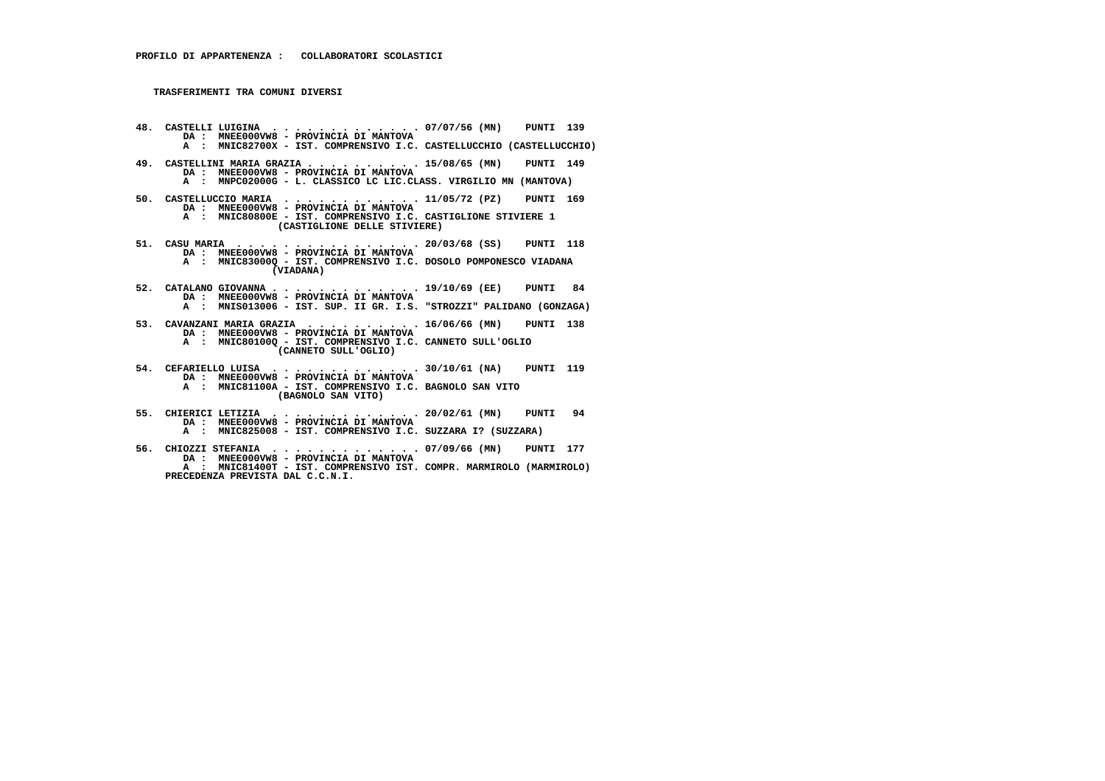- **48. CASTELLI LUIGINA . . . . . . . . . . . . . 07/07/56 (MN) PUNTI 139 DA : MNEE000VW8 PROVINCIA DI MANTOVA A : MNIC82700X - IST. COMPRENSIVO I.C. CASTELLUCCHIO (CASTELLUCCHIO)**
- **49. CASTELLINI MARIA GRAZIA . . . . . . . . . . 15/08/65 (MN) PUNTI 149 DA : MNEE000VW8 - PROVINCIA DI MANTOVA A : MNPC02000G - L. CLASSICO LC LIC.CLASS. VIRGILIO MN (MANTOVA)**
- **50. CASTELLUCCIO MARIA . . . . . . . . . . . . 11/05/72 (PZ) PUNTI 169 DA : MNEE000VW8 PROVINCIA DI MANTOVA A : MNIC80800E - IST. COMPRENSIVO I.C. CASTIGLIONE STIVIERE 1 (CASTIGLIONE DELLE STIVIERE)**
- **51. CASU MARIA . . . . . . . . . . . . . . . . 20/03/68 (SS) PUNTI 118 DA : MNEE000VW8 - PROVINCIA DI MANTOVA A : MNIC83000Q - IST. COMPRENSIVO I.C. DOSOLO POMPONESCO VIADANA (VIADANA)**
- **52. CATALANO GIOVANNA . . . . . . . . . . . . . 19/10/69 (EE) PUNTI 84 DA : MNEE000VW8 PROVINCIA DI MANTOVA A : MNIS013006 - IST. SUP. II GR. I.S. "STROZZI" PALIDANO (GONZAGA)**
- **53. CAVANZANI MARIA GRAZIA . . . . . . . . . . 16/06/66 (MN) PUNTI 138 DA : MNEE000VW8 - PROVINCIA DI MANTOVA A : MNIC80100Q - IST. COMPRENSIVO I.C. CANNETO SULL'OGLIO (CANNETO SULL'OGLIO)**
- **54. CEFARIELLO LUISA . . . . . . . . . . . . . 30/10/61 (NA) PUNTI 119 DA : MNEE000VW8 - PROVINCIA DI MANTOVA A : MNIC81100A - IST. COMPRENSIVO I.C. BAGNOLO SAN VITO (BAGNOLO SAN VITO)**
- **55. CHIERICI LETIZIA . . . . . . . . . . . . . 20/02/61 (MN) PUNTI 94 DA : MNEE000VW8 PROVINCIA DI MANTOVA A : MNIC825008 - IST. COMPRENSIVO I.C. SUZZARA I? (SUZZARA)**
- **56. CHIOZZI STEFANIA . . . . . . . . . . . . . 07/09/66 (MN) PUNTI 177 DA : MNEE000VW8 - PROVINCIA DI MANTOVA A : MNIC81400T - IST. COMPRENSIVO IST. COMPR. MARMIROLO (MARMIROLO) PRECEDENZA PREVISTA DAL C.C.N.I.**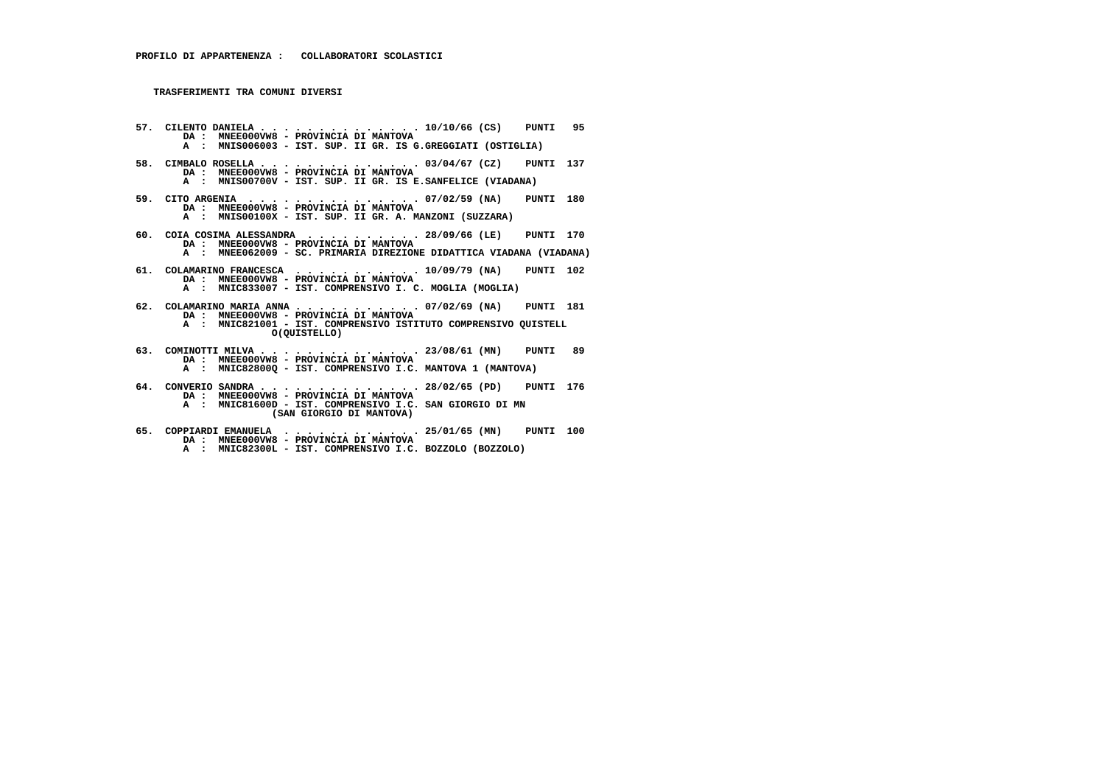- **57. CILENTO DANIELA . . . . . . . . . . . . . . 10/10/66 (CS) PUNTI 95 DA : MNEE000VW8 PROVINCIA DI MANTOVA A : MNIS006003 - IST. SUP. II GR. IS G.GREGGIATI (OSTIGLIA)**
- **58. CIMBALO ROSELLA . . . . . . . . . . . . . . 03/04/67 (CZ) PUNTI 137 DA : MNEE000VW8 - PROVINCIA DI MANTOVA A : MNIS00700V - IST. SUP. II GR. IS E.SANFELICE (VIADANA)**
- **59. CITO ARGENIA . . . . . . . . . . . . . . . 07/02/59 (NA) PUNTI 180 DA : MNEE000VW8 PROVINCIA DI MANTOVA A : MNIS00100X - IST. SUP. II GR. A. MANZONI (SUZZARA)**
- **60. COIA COSIMA ALESSANDRA . . . . . . . . . . 28/09/66 (LE) PUNTI 170 DA : MNEE000VW8 PROVINCIA DI MANTOVA A : MNEE062009 - SC. PRIMARIA DIREZIONE DIDATTICA VIADANA (VIADANA)**
- **61. COLAMARINO FRANCESCA . . . . . . . . . . . 10/09/79 (NA) PUNTI 102 DA : MNEE000VW8 - PROVINCIA DI MANTOVA A : MNIC833007 - IST. COMPRENSIVO I. C. MOGLIA (MOGLIA)**
- **62. COLAMARINO MARIA ANNA . . . . . . . . . . . 07/02/69 (NA) PUNTI 181 DA : MNEE000VW8 - PROVINCIA DI MANTOVA A : MNIC821001 - IST. COMPRENSIVO ISTITUTO COMPRENSIVO QUISTELL O(QUISTELLO)**
- **63. COMINOTTI MILVA . . . . . . . . . . . . . . 23/08/61 (MN) PUNTI 89 DA : MNEE000VW8 PROVINCIA DI MANTOVA A : MNIC82800Q - IST. COMPRENSIVO I.C. MANTOVA 1 (MANTOVA)**
- **64. CONVERIO SANDRA . . . . . . . . . . . . . . 28/02/65 (PD) PUNTI 176 DA : MNEE000VW8 - PROVINCIA DI MANTOVA A : MNIC81600D - IST. COMPRENSIVO I.C. SAN GIORGIO DI MN (SAN GIORGIO DI MANTOVA)**
- **65. COPPIARDI EMANUELA . . . . . . . . . . . . 25/01/65 (MN) PUNTI 100 DA : MNEE000VW8 PROVINCIA DI MANTOVA**
- **A : MNIC82300L IST. COMPRENSIVO I.C. BOZZOLO (BOZZOLO)**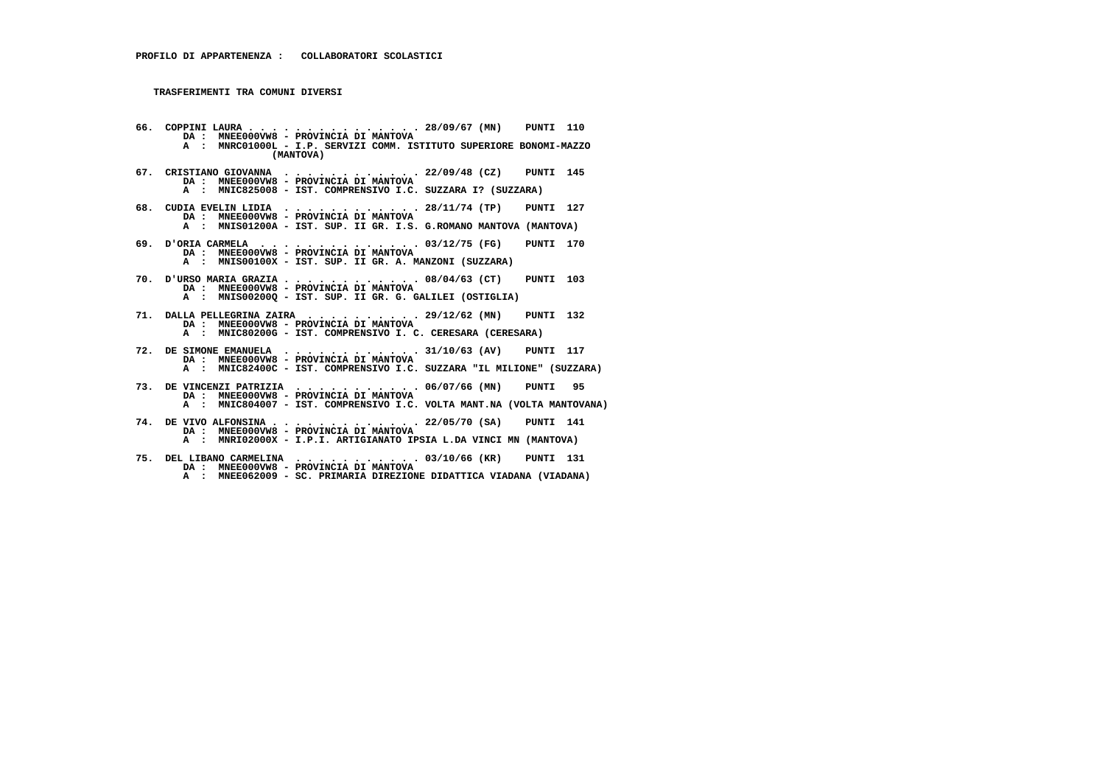- **66. COPPINI LAURA . . . . . . . . . . . . . . . 28/09/67 (MN) PUNTI 110 DA : MNEE000VW8 PROVINCIA DI MANTOVA A : MNRC01000L - I.P. SERVIZI COMM. ISTITUTO SUPERIORE BONOMI-MAZZO (MANTOVA)**
- **67. CRISTIANO GIOVANNA . . . . . . . . . . . . 22/09/48 (CZ) PUNTI 145 DA : MNEE000VW8 PROVINCIA DI MANTOVA A : MNIC825008 - IST. COMPRENSIVO I.C. SUZZARA I? (SUZZARA)**
- **68. CUDIA EVELIN LIDIA . . . . . . . . . . . . 28/11/74 (TP) PUNTI 127 DA : MNEE000VW8 PROVINCIA DI MANTOVA A : MNIS01200A - IST. SUP. II GR. I.S. G.ROMANO MANTOVA (MANTOVA)**
- **69. D'ORIA CARMELA . . . . . . . . . . . . . . 03/12/75 (FG) PUNTI 170 DA : MNEE000VW8 - PROVINCIA DI MANTOVA A : MNIS00100X - IST. SUP. II GR. A. MANZONI (SUZZARA)**
- **70. D'URSO MARIA GRAZIA . . . . . . . . . . . . 08/04/63 (CT) PUNTI 103 DA : MNEE000VW8 - PROVINCIA DI MANTOVA A : MNIS00200Q - IST. SUP. II GR. G. GALILEI (OSTIGLIA)**
- **71. DALLA PELLEGRINA ZAIRA . . . . . . . . . . 29/12/62 (MN) PUNTI 132 DA : MNEE000VW8 PROVINCIA DI MANTOVA A : MNIC80200G - IST. COMPRENSIVO I. C. CERESARA (CERESARA)**
- **72. DE SIMONE EMANUELA . . . . . . . . . . . . 31/10/63 (AV) PUNTI 117 DA : MNEE000VW8 PROVINCIA DI MANTOVA A : MNIC82400C - IST. COMPRENSIVO I.C. SUZZARA "IL MILIONE" (SUZZARA)**
- **73. DE VINCENZI PATRIZIA . . . . . . . . . . . 06/07/66 (MN) PUNTI 95 DA : MNEE000VW8 - PROVINCIA DI MANTOVA A : MNIC804007 - IST. COMPRENSIVO I.C. VOLTA MANT.NA (VOLTA MANTOVANA)**
- **74. DE VIVO ALFONSINA . . . . . . . . . . . . . 22/05/70 (SA) PUNTI 141 DA : MNEE000VW8 PROVINCIA DI MANTOVA A : MNRI02000X - I.P.I. ARTIGIANATO IPSIA L.DA VINCI MN (MANTOVA)**
- **75. DEL LIBANO CARMELINA . . . . . . . . . . . 03/10/66 (KR) PUNTI 131 DA : MNEE000VW8 - PROVINCIA DI MANTOVA A : MNEE062009 - SC. PRIMARIA DIREZIONE DIDATTICA VIADANA (VIADANA)**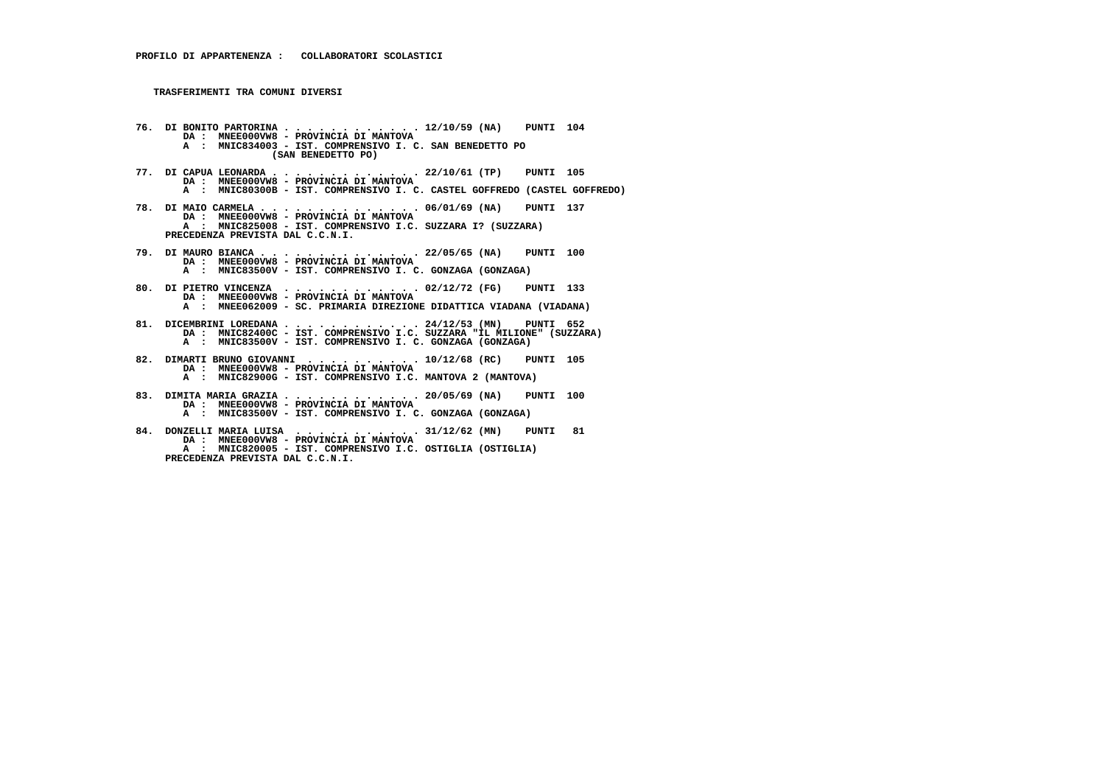- **76. DI BONITO PARTORINA . . . . . . . . . . . . 12/10/59 (NA) PUNTI 104 DA : MNEE000VW8 - PROVINCIA DI MANTOVA A : MNIC834003 - IST. COMPRENSIVO I. C. SAN BENEDETTO PO (SAN BENEDETTO PO)**
- **77. DI CAPUA LEONARDA . . . . . . . . . . . . . 22/10/61 (TP) PUNTI 105 DA : MNEE000VW8 PROVINCIA DI MANTOVA A : MNIC80300B - IST. COMPRENSIVO I. C. CASTEL GOFFREDO (CASTEL GOFFREDO)**
- **78. DI MAIO CARMELA . . . . . . . . . . . . . . 06/01/69 (NA) PUNTI 137 DA : MNEE000VW8 PROVINCIA DI MANTOVA A : MNIC825008 - IST. COMPRENSIVO I.C. SUZZARA I? (SUZZARA) PRECEDENZA PREVISTA DAL C.C.N.I.**
- **79. DI MAURO BIANCA . . . . . . . . . . . . . . 22/05/65 (NA) PUNTI 100 DA : MNEE000VW8 PROVINCIA DI MANTOVA A : MNIC83500V - IST. COMPRENSIVO I. C. GONZAGA (GONZAGA)**
- **80. DI PIETRO VINCENZA . . . . . . . . . . . . 02/12/72 (FG) PUNTI 133 DA : MNEE000VW8 PROVINCIA DI MANTOVA A : MNEE062009 - SC. PRIMARIA DIREZIONE DIDATTICA VIADANA (VIADANA)**
- **81. DICEMBRINI LOREDANA . . . . . . . . . . . . 24/12/53 (MN) PUNTI 652 DA : MNIC82400C IST. COMPRENSIVO I.C. SUZZARA "IL MILIONE" (SUZZARA) A : MNIC83500V IST. COMPRENSIVO I. C. GONZAGA (GONZAGA)**
- **82. DIMARTI BRUNO GIOVANNI . . . . . . . . . . 10/12/68 (RC) PUNTI 105 DA : MNEE000VW8 PROVINCIA DI MANTOVA A : MNIC82900G - IST. COMPRENSIVO I.C. MANTOVA 2 (MANTOVA)**
- **83. DIMITA MARIA GRAZIA . . . . . . . . . . . . 20/05/69 (NA) PUNTI 100 DA : MNEE000VW8 - PROVINCIA DI MANTOVA A : MNIC83500V - IST. COMPRENSIVO I. C. GONZAGA (GONZAGA)**
	- **84. DONZELLI MARIA LUISA . . . . . . . . . . . 31/12/62 (MN) PUNTI 81 DA : MNEE000VW8 - PROVINCIA DI MANTOVA**
- **A : MNIC820005 IST. COMPRENSIVO I.C. OSTIGLIA (OSTIGLIA) PRECEDENZA PREVISTA DAL C.C.N.I.**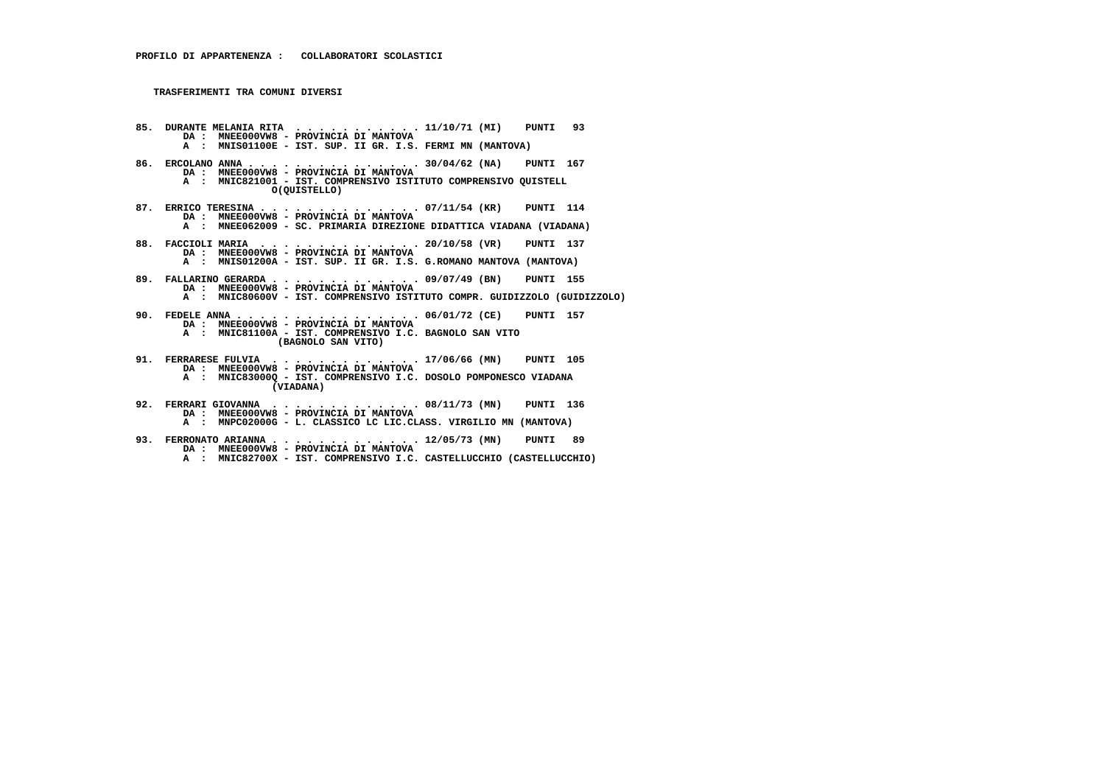- **85. DURANTE MELANIA RITA . . . . . . . . . . . 11/10/71 (MI) PUNTI 93 DA : MNEE000VW8 - PROVINCIA DI MANTOVA A : MNIS01100E - IST. SUP. II GR. I.S. FERMI MN (MANTOVA)**
- **86. ERCOLANO ANNA . . . . . . . . . . . . . . . 30/04/62 (NA) PUNTI 167 DA : MNEE000VW8 - PROVINCIA DI MANTOVA A : MNIC821001 - IST. COMPRENSIVO ISTITUTO COMPRENSIVO QUISTELL O(QUISTELLO)**
- **87. ERRICO TERESINA . . . . . . . . . . . . . . 07/11/54 (KR) PUNTI 114 DA : MNEE000VW8 PROVINCIA DI MANTOVA A : MNEE062009 SC. PRIMARIA DIREZIONE DIDATTICA VIADANA (VIADANA)**
- **88. FACCIOLI MARIA . . . . . . . . . . . . . . 20/10/58 (VR) PUNTI 137 DA : MNEE000VW8 - PROVINCIA DI MANTOVA A : MNIS01200A - IST. SUP. II GR. I.S. G.ROMANO MANTOVA (MANTOVA)**
- **89. FALLARINO GERARDA . . . . . . . . . . . . . 09/07/49 (BN) PUNTI 155 DA : MNEE000VW8 - PROVINCIA DI MANTOVA A : MNIC80600V - IST. COMPRENSIVO ISTITUTO COMPR. GUIDIZZOLO (GUIDIZZOLO)**
- **90. FEDELE ANNA . . . . . . . . . . . . . . . . 06/01/72 (CE) PUNTI 157 DA : MNEE000VW8 PROVINCIA DI MANTOVA A : MNIC81100A - IST. COMPRENSIVO I.C. BAGNOLO SAN VITO (BAGNOLO SAN VITO)**
- **91. FERRARESE FULVIA . . . . . . . . . . . . . 17/06/66 (MN) PUNTI 105 DA : MNEE000VW8 PROVINCIA DI MANTOVA A : MNIC83000Q - IST. COMPRENSIVO I.C. DOSOLO POMPONESCO VIADANA (VIADANA)**
- **92. FERRARI GIOVANNA . . . . . . . . . . . . . 08/11/73 (MN) PUNTI 136 DA : MNEE000VW8 - PROVINCIA DI MANTOVA A : MNPC02000G - L. CLASSICO LC LIC.CLASS. VIRGILIO MN (MANTOVA)**
	-
- **93. FERRONATO ARIANNA . . . . . . . . . . . . . 12/05/73 (MN) PUNTI 89 DA : MNEE000VW8 PROVINCIA DI MANTOVA A : MNIC82700X - IST. COMPRENSIVO I.C. CASTELLUCCHIO (CASTELLUCCHIO)**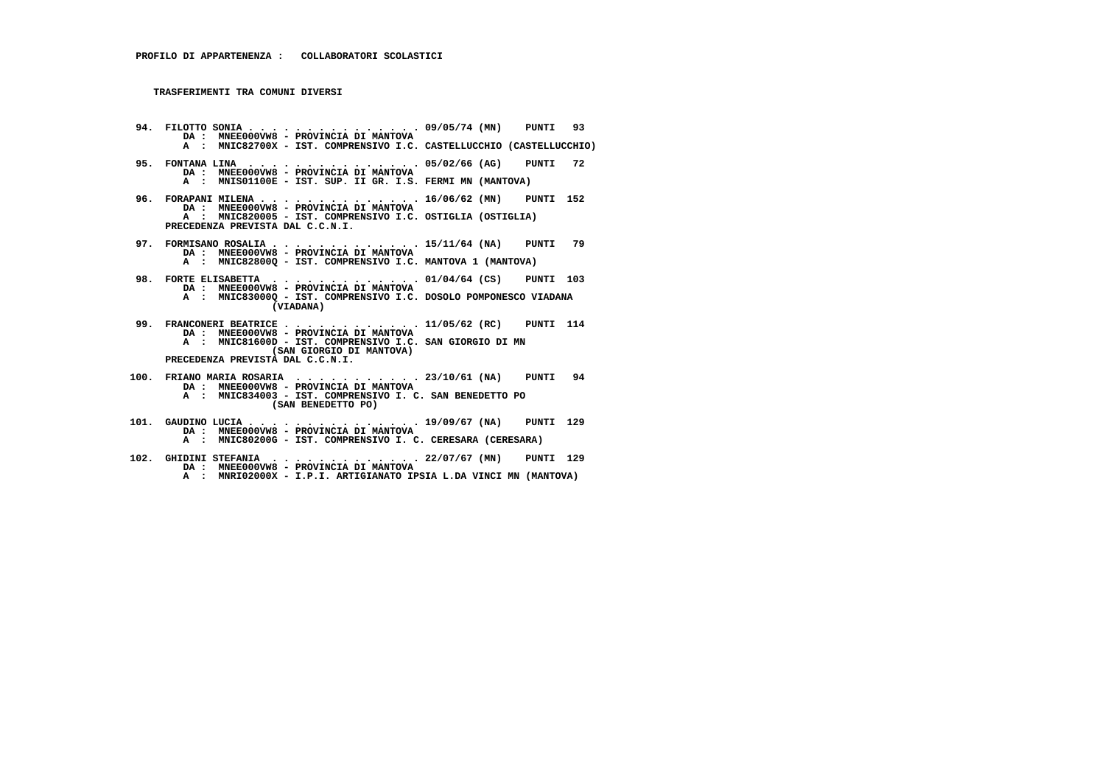- **94. FILOTTO SONIA . . . . . . . . . . . . . . . 09/05/74 (MN) PUNTI 93 DA : MNEE000VW8 PROVINCIA DI MANTOVA A : MNIC82700X - IST. COMPRENSIVO I.C. CASTELLUCCHIO (CASTELLUCCHIO)**
- **95. FONTANA LINA . . . . . . . . . . . . . . . 05/02/66 (AG) PUNTI 72 DA : MNEE000VW8 - PROVINCIA DI MANTOVA A : MNIS01100E - IST. SUP. II GR. I.S. FERMI MN (MANTOVA)**
- **96. FORAPANI MILENA . . . . . . . . . . . . . . 16/06/62 (MN) PUNTI 152 DA : MNEE000VW8 - PROVINCIA DI MANTOVA A : MNIC820005 - IST. COMPRENSIVO I.C. OSTIGLIA (OSTIGLIA) PRECEDENZA PREVISTA DAL C.C.N.I.**
- **97. FORMISANO ROSALIA . . . . . . . . . . . . . 15/11/64 (NA) PUNTI 79 DA : MNEE000VW8 - PROVINCIA DI MANTOVA A : MNIC82800Q - IST. COMPRENSIVO I.C. MANTOVA 1 (MANTOVA)**
- **98. FORTE ELISABETTA . . . . . . . . . . . . . 01/04/64 (CS) PUNTI 103 DA : MNEE000VW8 - PROVINCIA DI MANTOVA A : MNIC83000Q - IST. COMPRENSIVO I.C. DOSOLO POMPONESCO VIADANA (VIADANA)**
- **99. FRANCONERI BEATRICE . . . . . . . . . . . . 11/05/62 (RC) PUNTI 114 DA : MNEE000VW8 - PROVINCIA DI MANTOVA A : MNIC81600D - IST. COMPRENSIVO I.C. SAN GIORGIO DI MN (SAN GIORGIO DI MANTOVA) PRECEDENZA PREVISTA DAL C.C.N.I.**
- **100. FRIANO MARIA ROSARIA . . . . . . . . . . . 23/10/61 (NA) PUNTI 94 DA : MNEE000VW8 - PROVINCIA DI MANTOVA A : MNIC834003 - IST. COMPRENSIVO I. C. SAN BENEDETTO PO (SAN BENEDETTO PO)**
- **101. GAUDINO LUCIA . . . . . . . . . . . . . . . 19/09/67 (NA) PUNTI 129 DA : MNEE000VW8 PROVINCIA DI MANTOVA A : MNIC80200G - IST. COMPRENSIVO I. C. CERESARA (CERESARA)**
- **102. GHIDINI STEFANIA . . . . . . . . . . . . . 22/07/67 (MN) PUNTI 129 DA : MNEE000VW8 PROVINCIA DI MANTOVA A : MNRI02000X - I.P.I. ARTIGIANATO IPSIA L.DA VINCI MN (MANTOVA)**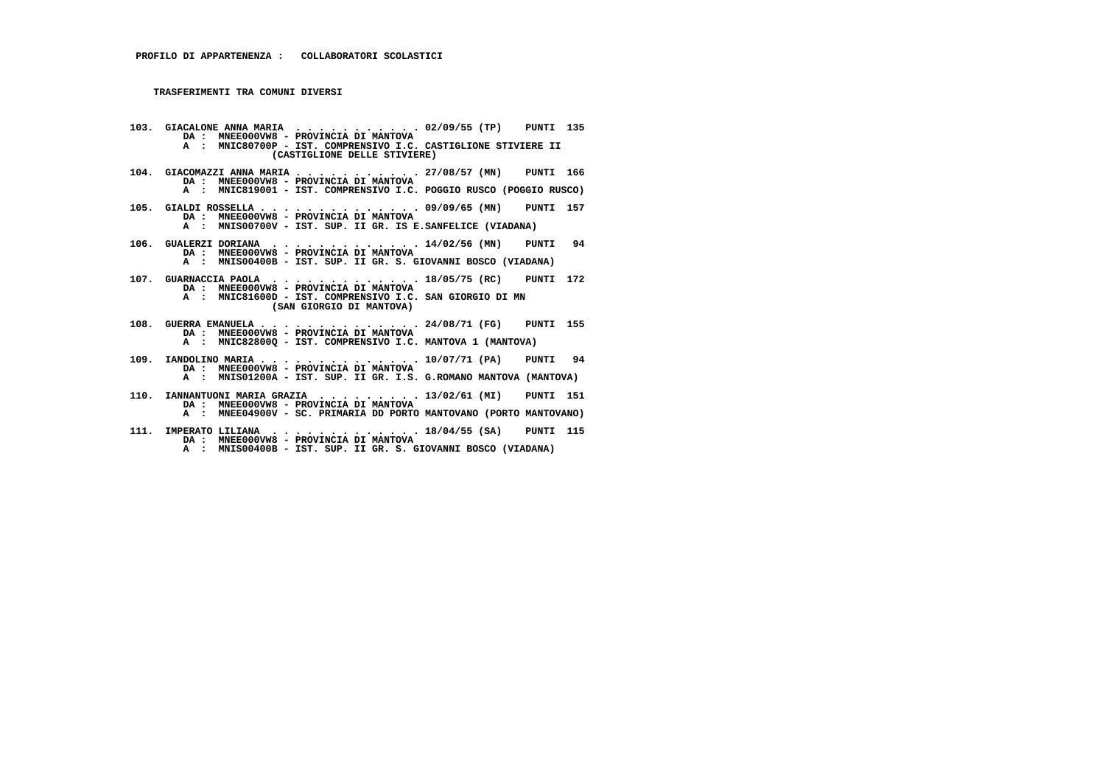- **103. GIACALONE ANNA MARIA . . . . . . . . . . . 02/09/55 (TP) PUNTI 135 DA : MNEE000VW8 - PROVINCIA DI MANTOVA A : MNIC80700P - IST. COMPRENSIVO I.C. CASTIGLIONE STIVIERE II (CASTIGLIONE DELLE STIVIERE)**
- **104. GIACOMAZZI ANNA MARIA . . . . . . . . . . . 27/08/57 (MN) PUNTI 166 DA : MNEE000VW8 - PROVINCIA DI MANTOVA A : MNIC819001 - IST. COMPRENSIVO I.C. POGGIO RUSCO (POGGIO RUSCO)**
- **105. GIALDI ROSSELLA . . . . . . . . . . . . . . 09/09/65 (MN) PUNTI 157 DA : MNEE000VW8 PROVINCIA DI MANTOVA A : MNIS00700V - IST. SUP. II GR. IS E.SANFELICE (VIADANA)**
- **106. GUALERZI DORIANA . . . . . . . . . . . . . 14/02/56 (MN) PUNTI 94 DA : MNEE000VW8 - PROVINCIA DI MANTOVA A : MNIS00400B - IST. SUP. II GR. S. GIOVANNI BOSCO (VIADANA)**
- **107. GUARNACCIA PAOLA . . . . . . . . . . . . . 18/05/75 (RC) PUNTI 172 DA : MNEE000VW8 - PROVINCIA DI MANTOVA A : MNIC81600D - IST. COMPRENSIVO I.C. SAN GIORGIO DI MN (SAN GIORGIO DI MANTOVA)**
- **108. GUERRA EMANUELA . . . . . . . . . . . . . . 24/08/71 (FG) PUNTI 155 DA : MNEE000VW8 - PROVINCIA DI MANTOVA A : MNIC82800Q - IST. COMPRENSIVO I.C. MANTOVA 1 (MANTOVA)**
- **109. IANDOLINO MARIA . . . . . . . . . . . . . . 10/07/71 (PA) PUNTI 94 DA : MNEE000VW8 PROVINCIA DI MANTOVA A : MNIS01200A - IST. SUP. II GR. I.S. G.ROMANO MANTOVA (MANTOVA)**
- **110. IANNANTUONI MARIA GRAZIA . . . . . . . . . 13/02/61 (MI) PUNTI 151 DA : MNEE000VW8 - PROVINCIA DI MANTOVA A : MNEE04900V - SC. PRIMARIA DD PORTO MANTOVANO (PORTO MANTOVANO)**
- **111. IMPERATO LILIANA . . . . . . . . . . . . . 18/04/55 (SA) PUNTI 115 DA : MNEE000VW8 - PROVINCIA DI MANTOVA**
- **A : MNIS00400B IST. SUP. II GR. S. GIOVANNI BOSCO (VIADANA)**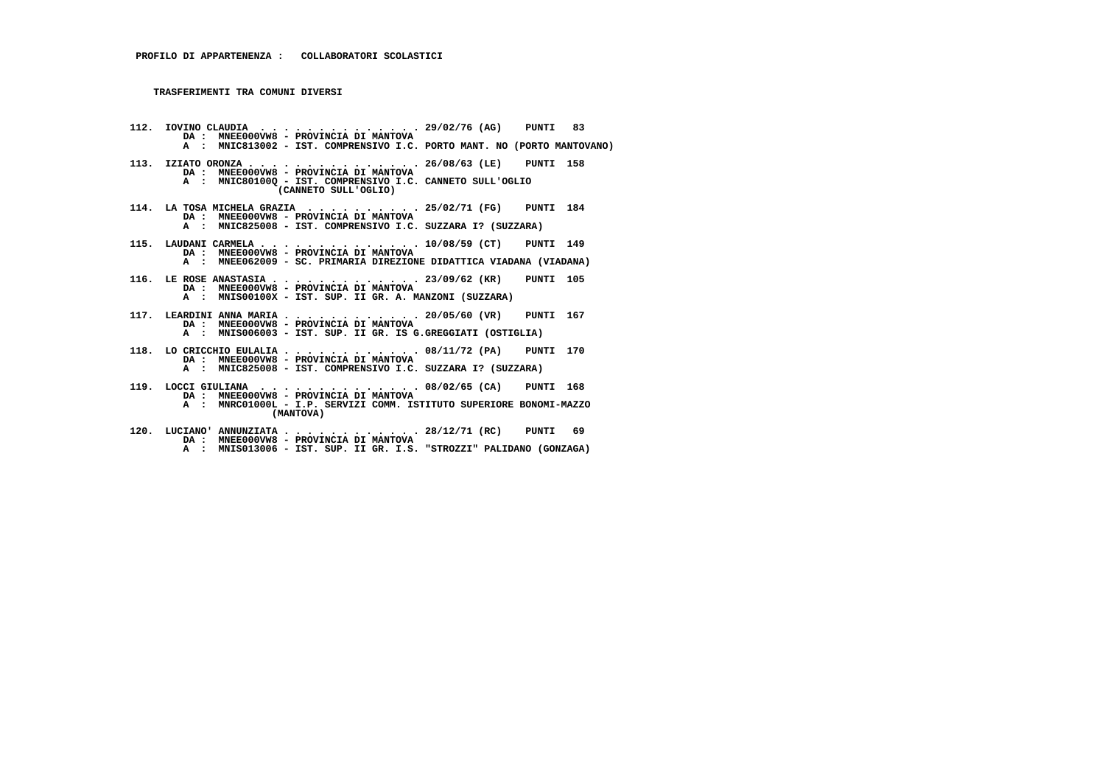- **112. IOVINO CLAUDIA . . . . . . . . . . . . . . 29/02/76 (AG) PUNTI 83 DA : MNEE000VW8 PROVINCIA DI MANTOVA A : MNIC813002 - IST. COMPRENSIVO I.C. PORTO MANT. NO (PORTO MANTOVANO) 113. IZIATO ORONZA . . . . . . . . . . . . . . . 26/08/63 (LE) PUNTI 158 DA : MNEE000VW8 - PROVINCIA DI MANTOVA A : MNIC80100Q - IST. COMPRENSIVO I.C. CANNETO SULL'OGLIO (CANNETO SULL'OGLIO) 114. LA TOSA MICHELA GRAZIA . . . . . . . . . . 25/02/71 (FG) PUNTI 184 DA : MNEE000VW8 - PROVINCIA DI MANTOVA A : MNIC825008 - IST. COMPRENSIVO I.C. SUZZARA I? (SUZZARA) 115. LAUDANI CARMELA . . . . . . . . . . . . . . 10/08/59 (CT) PUNTI 149 DA : MNEE000VW8 - PROVINCIA DI MANTOVA A : MNEE062009 - SC. PRIMARIA DIREZIONE DIDATTICA VIADANA (VIADANA) 116. LE ROSE ANASTASIA . . . . . . . . . . . . . 23/09/62 (KR) PUNTI 105 DA : MNEE000VW8 - PROVINCIA DI MANTOVA A : MNIS00100X - IST. SUP. II GR. A. MANZONI (SUZZARA) 117. LEARDINI ANNA MARIA . . . . . . . . . . . . 20/05/60 (VR) PUNTI 167 DA : MNEE000VW8 - PROVINCIA DI MANTOVA A : MNIS006003 - IST. SUP. II GR. IS G.GREGGIATI (OSTIGLIA) 118. LO CRICCHIO EULALIA . . . . . . . . . . . . 08/11/72 (PA) PUNTI 170 DA : MNEE000VW8 - PROVINCIA DI MANTOVA A : MNIC825008 - IST. COMPRENSIVO I.C. SUZZARA I? (SUZZARA) 119. LOCCI GIULIANA . . . . . . . . . . . . . . 08/02/65 (CA) PUNTI 168**
- **DA : MNEE000VW8 PROVINCIA DI MANTOVA A : MNRC01000L - I.P. SERVIZI COMM. ISTITUTO SUPERIORE BONOMI-MAZZO (MANTOVA)**
- **120. LUCIANO' ANNUNZIATA . . . . . . . . . . . . 28/12/71 (RC) PUNTI 69 DA : MNEE000VW8 - PROVINCIA DI MANTOVA A : MNIS013006 - IST. SUP. II GR. I.S. "STROZZI" PALIDANO (GONZAGA)**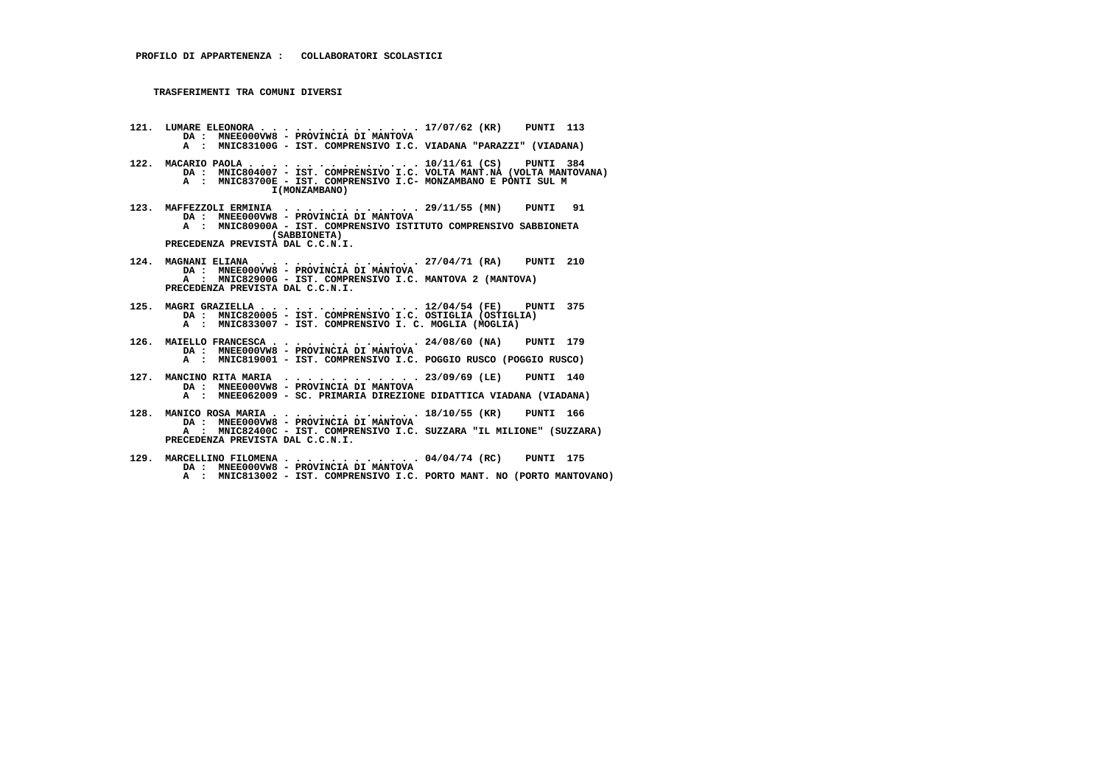- **121. LUMARE ELEONORA . . . . . . . . . . . . . . 17/07/62 (KR) PUNTI 113 DA : MNEE000VW8 PROVINCIA DI MANTOVA A : MNIC83100G - IST. COMPRENSIVO I.C. VIADANA "PARAZZI" (VIADANA)**
- **122. MACARIO PAOLA . . . . . . . . . . . . . . . 10/11/61 (CS) PUNTI 384 DA : MNIC804007 - IST. COMPRENSIVO I.C. VOLTA MANT.NA (VOLTA MANTOVANA) A : MNIC83700E - IST. COMPRENSIVO I.C- MONZAMBANO E PONTI SUL M I(MONZAMBANO)**
- **123. MAFFEZZOLI ERMINIA . . . . . . . . . . . . 29/11/55 (MN) PUNTI 91 DA : MNEE000VW8 PROVINCIA DI MANTOVA A : MNIC80900A - IST. COMPRENSIVO ISTITUTO COMPRENSIVO SABBIONETA (SABBIONETA) PRECEDENZA PREVISTA DAL C.C.N.I.**
- **124. MAGNANI ELIANA . . . . . . . . . . . . . . 27/04/71 (RA) PUNTI 210 DA : MNEE000VW8 - PROVINCIA DI MANTOVA A : MNIC82900G - IST. COMPRENSIVO I.C. MANTOVA 2 (MANTOVA) PRECEDENZA PREVISTA DAL C.C.N.I.**
- **125. MAGRI GRAZIELLA . . . . . . . . . . . . . . 12/04/54 (FE) PUNTI 375 DA : MNIC820005 IST. COMPRENSIVO I.C. OSTIGLIA (OSTIGLIA) A : MNIC833007 - IST. COMPRENSIVO I. C. MOGLIA (MOGLIA)**
- **126. MAIELLO FRANCESCA . . . . . . . . . . . . . 24/08/60 (NA) PUNTI 179 DA : MNEE000VW8 PROVINCIA DI MANTOVA A : MNIC819001 - IST. COMPRENSIVO I.C. POGGIO RUSCO (POGGIO RUSCO)**
- **127. MANCINO RITA MARIA . . . . . . . . . . . . 23/09/69 (LE) PUNTI 140 DA : MNEE000VW8 PROVINCIA DI MANTOVA A : MNEE062009 - SC. PRIMARIA DIREZIONE DIDATTICA VIADANA (VIADANA)**
- **128. MANICO ROSA MARIA . . . . . . . . . . . . . 18/10/55 (KR) PUNTI 166 DA : MNEE000VW8 PROVINCIA DI MANTOVA A : MNIC82400C - IST. COMPRENSIVO I.C. SUZZARA "IL MILIONE" (SUZZARA) PRECEDENZA PREVISTA DAL C.C.N.I.**
- **129. MARCELLINO FILOMENA . . . . . . . . . . . . 04/04/74 (RC) PUNTI 175 DA : MNEE000VW8 - PROVINCIA DI MANTOVA A : MNIC813002 - IST. COMPRENSIVO I.C. PORTO MANT. NO (PORTO MANTOVANO)**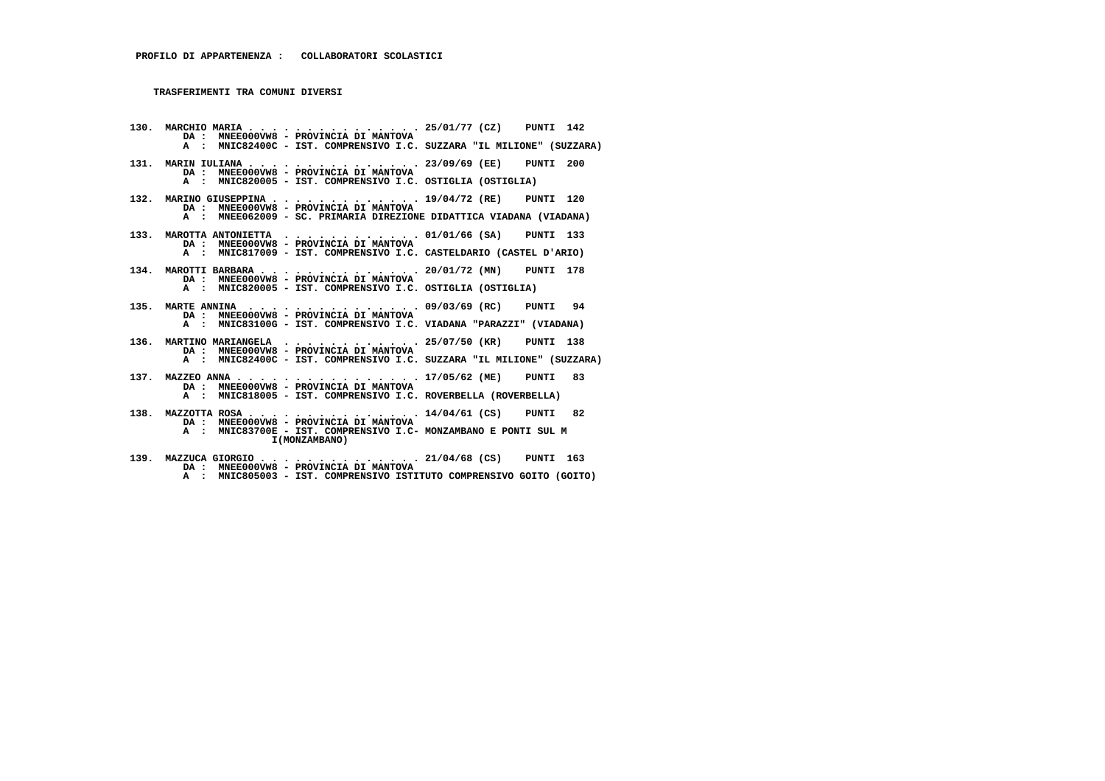**130. MARCHIO MARIA . . . . . . . . . . . . . . . 25/01/77 (CZ) PUNTI 142 DA : MNEE000VW8 - PROVINCIA DI MANTOVA A : MNIC82400C - IST. COMPRENSIVO I.C. SUZZARA "IL MILIONE" (SUZZARA) 131. MARIN IULIANA . . . . . . . . . . . . . . . 23/09/69 (EE) PUNTI 200 DA : MNEE000VW8 - PROVINCIA DI MANTOVA A : MNIC820005 - IST. COMPRENSIVO I.C. OSTIGLIA (OSTIGLIA) 132. MARINO GIUSEPPINA . . . . . . . . . . . . . 19/04/72 (RE) PUNTI 120 DA : MNEE000VW8 - PROVINCIA DI MANTOVA A : MNEE062009 - SC. PRIMARIA DIREZIONE DIDATTICA VIADANA (VIADANA) 133. MAROTTA ANTONIETTA . . . . . . . . . . . . 01/01/66 (SA) PUNTI 133 DA : MNEE000VW8 - PROVINCIA DI MANTOVA A : MNIC817009 - IST. COMPRENSIVO I.C. CASTELDARIO (CASTEL D'ARIO) 134. MAROTTI BARBARA . . . . . . . . . . . . . . 20/01/72 (MN) PUNTI 178 DA : MNEE000VW8 - PROVINCIA DI MANTOVA A : MNIC820005 - IST. COMPRENSIVO I.C. OSTIGLIA (OSTIGLIA) 135. MARTE ANNINA . . . . . . . . . . . . . . . 09/03/69 (RC) PUNTI 94 DA : MNEE000VW8 - PROVINCIA DI MANTOVA A : MNIC83100G - IST. COMPRENSIVO I.C. VIADANA "PARAZZI" (VIADANA) 136. MARTINO MARIANGELA . . . . . . . . . . . . 25/07/50 (KR) PUNTI 138 DA : MNEE000VW8 - PROVINCIA DI MANTOVA A : MNIC82400C - IST. COMPRENSIVO I.C. SUZZARA "IL MILIONE" (SUZZARA) 137. MAZZEO ANNA . . . . . . . . . . . . . . . . 17/05/62 (ME) PUNTI 83 DA : MNEE000VW8 - PROVINCIA DI MANTOVA A : MNIC818005 - IST. COMPRENSIVO I.C. ROVERBELLA (ROVERBELLA) 138. MAZZOTTA ROSA . . . . . . . . . . . . . . . 14/04/61 (CS) PUNTI 82 DA : MNEE000VW8 - PROVINCIA DI MANTOVA A : MNIC83700E - IST. COMPRENSIVO I.C- MONZAMBANO E PONTI SUL M I(MONZAMBANO)**

 **139. MAZZUCA GIORGIO . . . . . . . . . . . . . . 21/04/68 (CS) PUNTI 163 DA : MNEE000VW8 - PROVINCIA DI MANTOVA A : MNIC805003 - IST. COMPRENSIVO ISTITUTO COMPRENSIVO GOITO (GOITO)**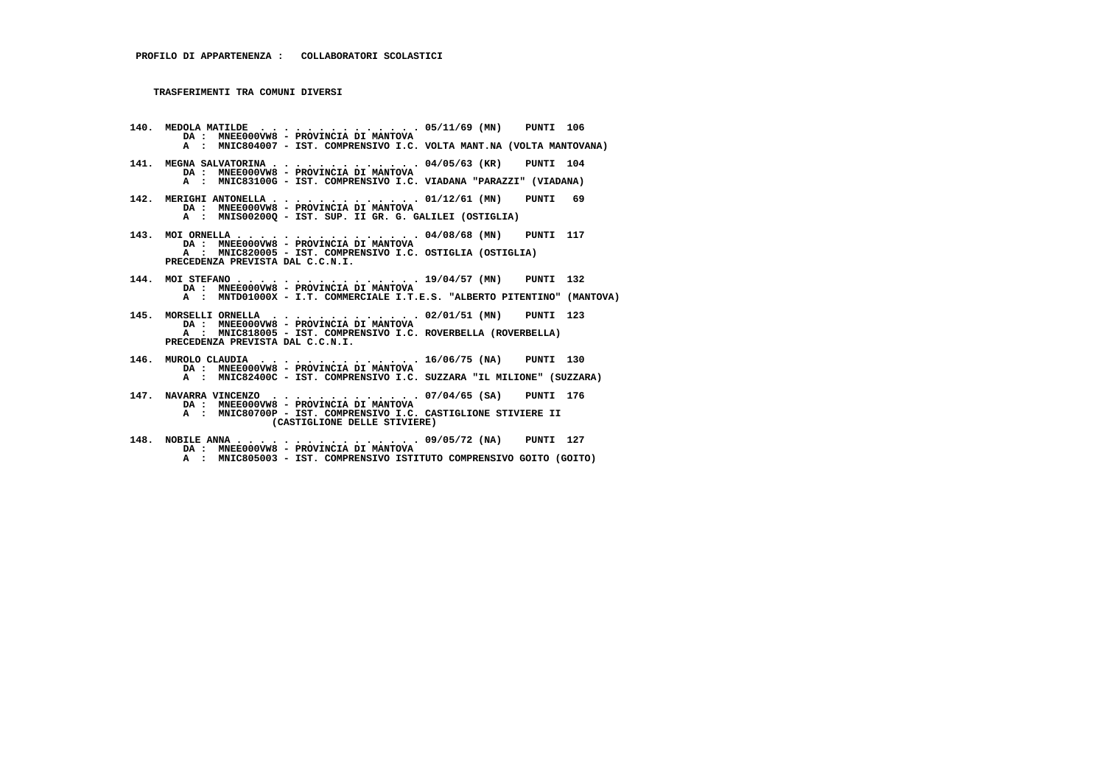- **140. MEDOLA MATILDE . . . . . . . . . . . . . . 05/11/69 (MN) PUNTI 106 DA : MNEE000VW8 PROVINCIA DI MANTOVA A : MNIC804007 - IST. COMPRENSIVO I.C. VOLTA MANT.NA (VOLTA MANTOVANA)**
- **141. MEGNA SALVATORINA . . . . . . . . . . . . . 04/05/63 (KR) PUNTI 104 DA : MNEE000VW8 - PROVINCIA DI MANTOVA A : MNIC83100G - IST. COMPRENSIVO I.C. VIADANA "PARAZZI" (VIADANA)**
- **142. MERIGHI ANTONELLA . . . . . . . . . . . . . 01/12/61 (MN) PUNTI 69 DA : MNEE000VW8 - PROVINCIA DI MANTOVA A : MNIS00200Q - IST. SUP. II GR. G. GALILEI (OSTIGLIA)**
- **143. MOI ORNELLA . . . . . . . . . . . . . . . . 04/08/68 (MN) PUNTI 117 DA : MNEE000VW8 PROVINCIA DI MANTOVA A : MNIC820005 - IST. COMPRENSIVO I.C. OSTIGLIA (OSTIGLIA) PRECEDENZA PREVISTA DAL C.C.N.I.**
- **144. MOI STEFANO . . . . . . . . . . . . . . . . 19/04/57 (MN) PUNTI 132 DA : MNEE000VW8 - PROVINCIA DI MANTOVA A : MNTD01000X - I.T. COMMERCIALE I.T.E.S. "ALBERTO PITENTINO" (MANTOVA)**
- **145. MORSELLI ORNELLA . . . . . . . . . . . . . 02/01/51 (MN) PUNTI 123 DA : MNEE000VW8 PROVINCIA DI MANTOVA A : MNIC818005 - IST. COMPRENSIVO I.C. ROVERBELLA (ROVERBELLA) PRECEDENZA PREVISTA DAL C.C.N.I.**
- **146. MUROLO CLAUDIA . . . . . . . . . . . . . . 16/06/75 (NA) PUNTI 130 DA : MNEE000VW8 PROVINCIA DI MANTOVA A : MNIC82400C - IST. COMPRENSIVO I.C. SUZZARA "IL MILIONE" (SUZZARA)**
- **147. NAVARRA VINCENZO . . . . . . . . . . . . . 07/04/65 (SA) PUNTI 176 DA : MNEE000VW8 - PROVINCIA DI MANTOVA A : MNIC80700P - IST. COMPRENSIVO I.C. CASTIGLIONE STIVIERE II (CASTIGLIONE DELLE STIVIERE)**
- **148. NOBILE ANNA . . . . . . . . . . . . . . . . 09/05/72 (NA) PUNTI 127 DA : MNEE000VW8 PROVINCIA DI MANTOVA A : MNIC805003 - IST. COMPRENSIVO ISTITUTO COMPRENSIVO GOITO (GOITO)**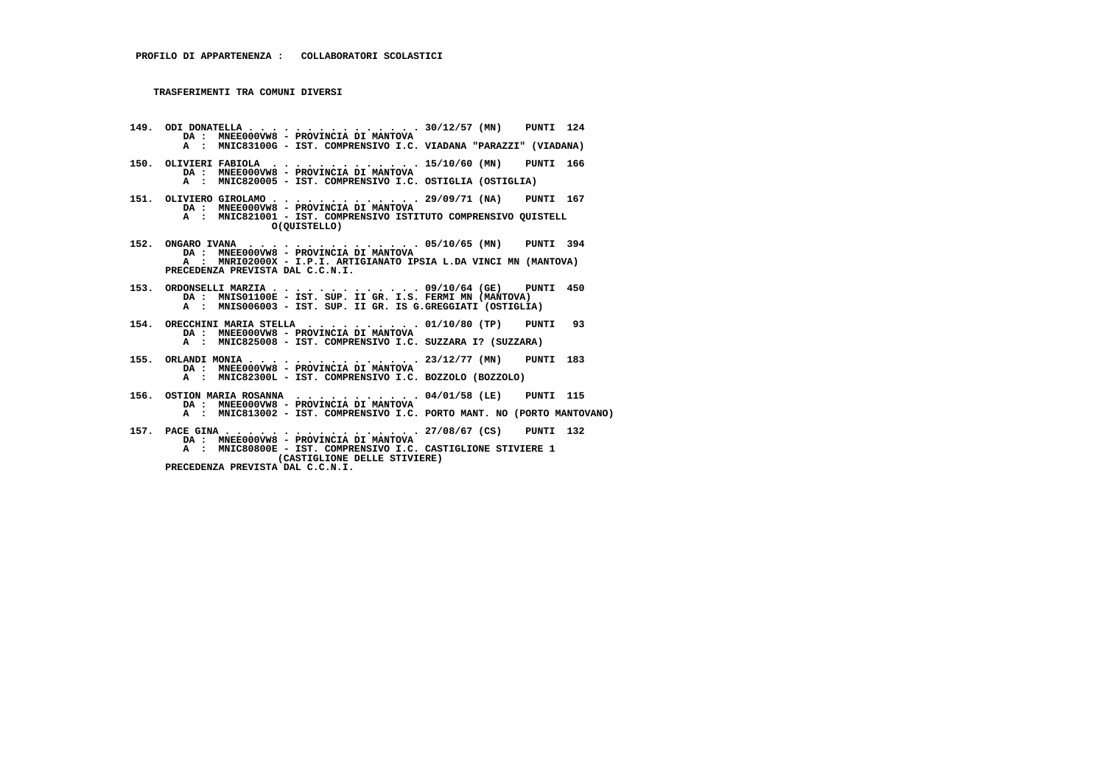- **149. ODI DONATELLA . . . . . . . . . . . . . . . 30/12/57 (MN) PUNTI 124 DA : MNEE000VW8 PROVINCIA DI MANTOVA A : MNIC83100G - IST. COMPRENSIVO I.C. VIADANA "PARAZZI" (VIADANA)**
- **150. OLIVIERI FABIOLA . . . . . . . . . . . . . 15/10/60 (MN) PUNTI 166 DA : MNEE000VW8 - PROVINCIA DI MANTOVA A : MNIC820005 - IST. COMPRENSIVO I.C. OSTIGLIA (OSTIGLIA)**
- **151. OLIVIERO GIROLAMO . . . . . . . . . . . . . 29/09/71 (NA) PUNTI 167 DA : MNEE000VW8 - PROVINCIA DI MANTOVA A : MNIC821001 - IST. COMPRENSIVO ISTITUTO COMPRENSIVO QUISTELL O(QUISTELLO)**
- **152. ONGARO IVANA . . . . . . . . . . . . . . . 05/10/65 (MN) PUNTI 394 DA : MNEE000VW8 - PROVINCIA DI MANTOVA A : MNRI02000X - I.P.I. ARTIGIANATO IPSIA L.DA VINCI MN (MANTOVA) PRECEDENZA PREVISTA DAL C.C.N.I.**
- **153. ORDONSELLI MARZIA . . . . . . . . . . . . . 09/10/64 (GE) PUNTI 450 DA : MNIS01100E IST. SUP. II GR. I.S. FERMI MN (MANTOVA) A : MNIS006003 - IST. SUP. II GR. IS G.GREGGIATI (OSTIGLIA)**
- **154. ORECCHINI MARIA STELLA . . . . . . . . . . 01/10/80 (TP) PUNTI 93 DA : MNEE000VW8 - PROVINCIA DI MANTOVA A : MNIC825008 - IST. COMPRENSIVO I.C. SUZZARA I? (SUZZARA)**
- **155. ORLANDI MONIA . . . . . . . . . . . . . . . 23/12/77 (MN) PUNTI 183 DA : MNEE000VW8 PROVINCIA DI MANTOVA A : MNIC82300L - IST. COMPRENSIVO I.C. BOZZOLO (BOZZOLO)**
- **156. OSTION MARIA ROSANNA . . . . . . . . . . . 04/01/58 (LE) PUNTI 115 DA : MNEE000VW8 - PROVINCIA DI MANTOVA A : MNIC813002 - IST. COMPRENSIVO I.C. PORTO MANT. NO (PORTO MANTOVANO)**
- **157. PACE GINA . . . . . . . . . . . . . . . . . 27/08/67 (CS) PUNTI 132 DA : MNEE000VW8 - PROVINCIA DI MANTOVA A : MNIC80800E - IST. COMPRENSIVO I.C. CASTIGLIONE STIVIERE 1 (CASTIGLIONE DELLE STIVIERE) PRECEDENZA PREVISTA DAL C.C.N.I.**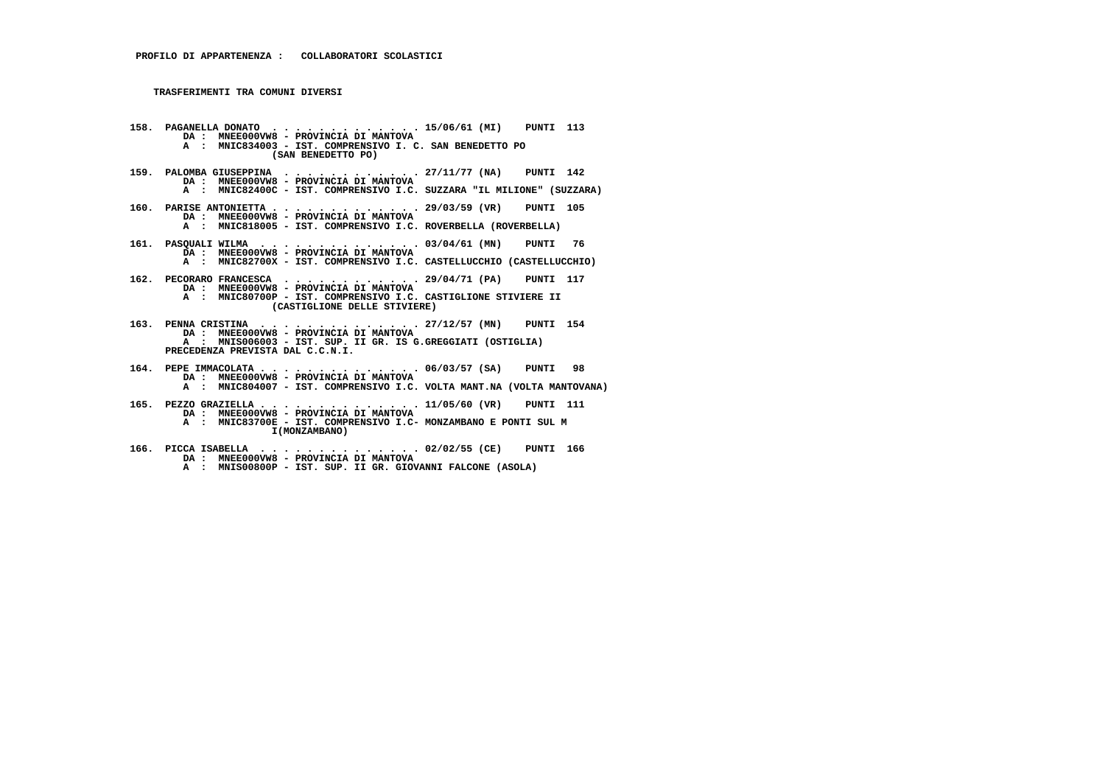- **158. PAGANELLA DONATO . . . . . . . . . . . . . 15/06/61 (MI) PUNTI 113 DA : MNEE000VW8 PROVINCIA DI MANTOVA A : MNIC834003 - IST. COMPRENSIVO I. C. SAN BENEDETTO PO (SAN BENEDETTO PO) 159. PALOMBA GIUSEPPINA . . . . . . . . . . . . 27/11/77 (NA) PUNTI 142 DA : MNEE000VW8 - PROVINCIA DI MANTOVA A : MNIC82400C - IST. COMPRENSIVO I.C. SUZZARA "IL MILIONE" (SUZZARA) 160. PARISE ANTONIETTA . . . . . . . . . . . . . 29/03/59 (VR) PUNTI 105 DA : MNEE000VW8 - PROVINCIA DI MANTOVA A : MNIC818005 - IST. COMPRENSIVO I.C. ROVERBELLA (ROVERBELLA) 161. PASQUALI WILMA . . . . . . . . . . . . . . 03/04/61 (MN) PUNTI 76 DA : MNEE000VW8 - PROVINCIA DI MANTOVA A : MNIC82700X - IST. COMPRENSIVO I.C. CASTELLUCCHIO (CASTELLUCCHIO) 162. PECORARO FRANCESCA . . . . . . . . . . . . 29/04/71 (PA) PUNTI 117 DA : MNEE000VW8 - PROVINCIA DI MANTOVA A : MNIC80700P - IST. COMPRENSIVO I.C. CASTIGLIONE STIVIERE II (CASTIGLIONE DELLE STIVIERE) 163. PENNA CRISTINA . . . . . . . . . . . . . . 27/12/57 (MN) PUNTI 154 DA : MNEE000VW8 - PROVINCIA DI MANTOVA A : MNIS006003 - IST. SUP. II GR. IS G.GREGGIATI (OSTIGLIA) PRECEDENZA PREVISTA DAL C.C.N.I. 164. PEPE IMMACOLATA . . . . . . . . . . . . . . 06/03/57 (SA) PUNTI 98 DA : MNEE000VW8 - PROVINCIA DI MANTOVA**
- **A : MNIC804007 IST. COMPRENSIVO I.C. VOLTA MANT.NA (VOLTA MANTOVANA)**
- **165. PEZZO GRAZIELLA . . . . . . . . . . . . . . 11/05/60 (VR) PUNTI 111 DA : MNEE000VW8 - PROVINCIA DI MANTOVA A : MNIC83700E - IST. COMPRENSIVO I.C- MONZAMBANO E PONTI SUL M I(MONZAMBANO)**
- **166. PICCA ISABELLA . . . . . . . . . . . . . . 02/02/55 (CE) PUNTI 166 DA : MNEE000VW8 - PROVINCIA DI MANTOVA**
- **A : MNIS00800P IST. SUP. II GR. GIOVANNI FALCONE (ASOLA)**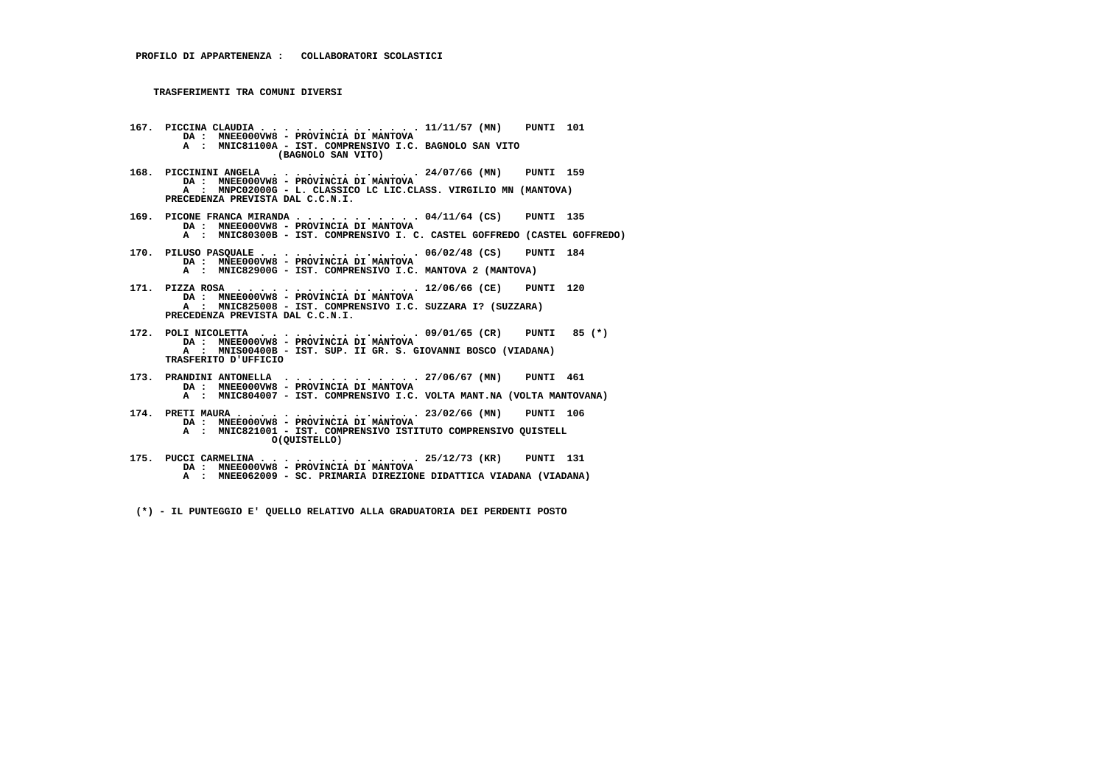- **167. PICCINA CLAUDIA . . . . . . . . . . . . . . 11/11/57 (MN) PUNTI 101 DA : MNEE000VW8 PROVINCIA DI MANTOVA A : MNIC81100A - IST. COMPRENSIVO I.C. BAGNOLO SAN VITO (BAGNOLO SAN VITO)**
- **168. PICCININI ANGELA . . . . . . . . . . . . . 24/07/66 (MN) PUNTI 159 DA : MNEE000VW8 PROVINCIA DI MANTOVA A : MNPC02000G - L. CLASSICO LC LIC.CLASS. VIRGILIO MN (MANTOVA) PRECEDENZA PREVISTA DAL C.C.N.I.**
- **169. PICONE FRANCA MIRANDA . . . . . . . . . . . 04/11/64 (CS) PUNTI 135 DA : MNEE000VW8 PROVINCIA DI MANTOVA A : MNIC80300B - IST. COMPRENSIVO I. C. CASTEL GOFFREDO (CASTEL GOFFREDO)**
- **170. PILUSO PASQUALE . . . . . . . . . . . . . . 06/02/48 (CS) PUNTI 184 DA : MNEE000VW8 PROVINCIA DI MANTOVA A : MNIC82900G - IST. COMPRENSIVO I.C. MANTOVA 2 (MANTOVA)**
- **171. PIZZA ROSA . . . . . . . . . . . . . . . . 12/06/66 (CE) PUNTI 120 DA : MNEE000VW8 PROVINCIA DI MANTOVA A : MNIC825008 - IST. COMPRENSIVO I.C. SUZZARA I? (SUZZARA) PRECEDENZA PREVISTA DAL C.C.N.I.**
- **172. POLI NICOLETTA . . . . . . . . . . . . . . 09/01/65 (CR) PUNTI 85 (\*) DA : MNEE000VW8 PROVINCIA DI MANTOVA A : MNIS00400B - IST. SUP. II GR. S. GIOVANNI BOSCO (VIADANA) TRASFERITO D'UFFICIO**
- **173. PRANDINI ANTONELLA . . . . . . . . . . . . 27/06/67 (MN) PUNTI 461 DA : MNEE000VW8 PROVINCIA DI MANTOVA A : MNIC804007 - IST. COMPRENSIVO I.C. VOLTA MANT.NA (VOLTA MANTOVANA)**
- **174. PRETI MAURA . . . . . . . . . . . . . . . . 23/02/66 (MN) PUNTI 106 DA : MNEE000VW8 PROVINCIA DI MANTOVA A : MNIC821001 IST. COMPRENSIVO ISTITUTO COMPRENSIVO QUISTELL O(QUISTELLO)**
- **175. PUCCI CARMELINA . . . . . . . . . . . . . . 25/12/73 (KR) PUNTI 131 DA : MNEE000VW8 PROVINCIA DI MANTOVA A : MNEE062009 - SC. PRIMARIA DIREZIONE DIDATTICA VIADANA (VIADANA)**

 **(\*) - IL PUNTEGGIO E' QUELLO RELATIVO ALLA GRADUATORIA DEI PERDENTI POSTO**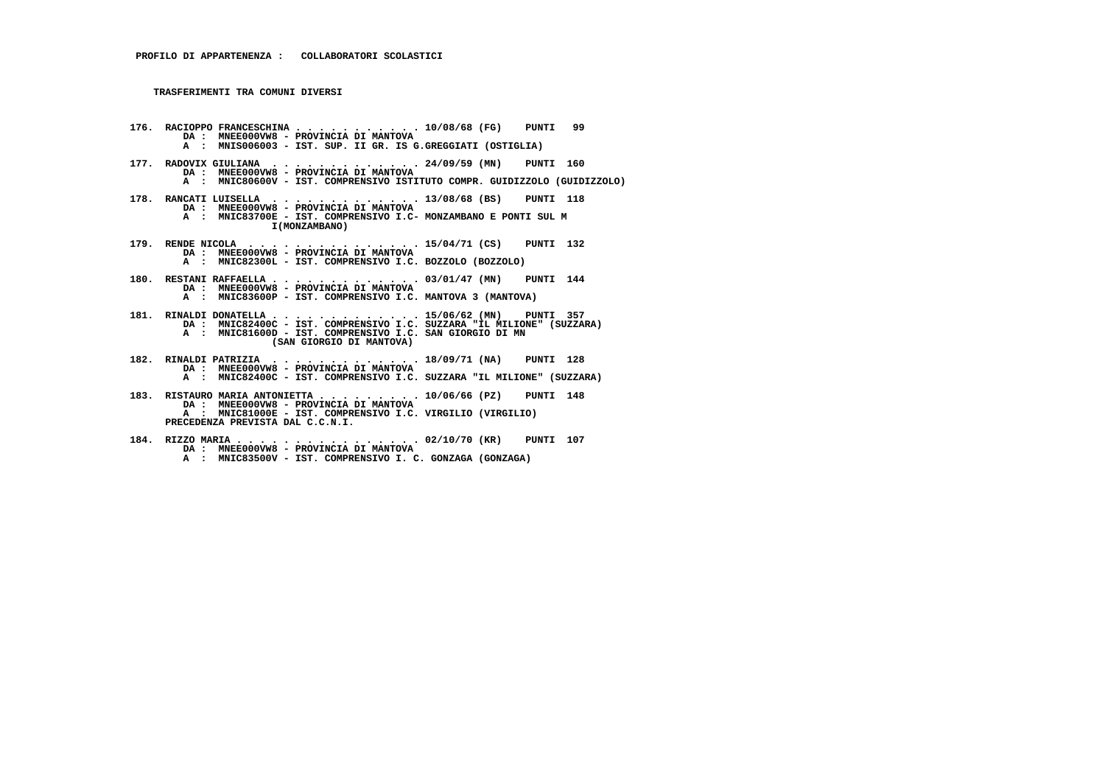- **176. RACIOPPO FRANCESCHINA . . . . . . . . . . . 10/08/68 (FG) PUNTI 99 DA : MNEE000VW8 - PROVINCIA DI MANTOVA A : MNIS006003 - IST. SUP. II GR. IS G.GREGGIATI (OSTIGLIA)**
- **177. RADOVIX GIULIANA . . . . . . . . . . . . . 24/09/59 (MN) PUNTI 160 DA : MNEE000VW8 - PROVINCIA DI MANTOVA A : MNIC80600V - IST. COMPRENSIVO ISTITUTO COMPR. GUIDIZZOLO (GUIDIZZOLO)**
- **178. RANCATI LUISELLA . . . . . . . . . . . . . 13/08/68 (BS) PUNTI 118 DA : MNEE000VW8 - PROVINCIA DI MANTOVA A : MNIC83700E - IST. COMPRENSIVO I.C- MONZAMBANO E PONTI SUL M I(MONZAMBANO)**
- **179. RENDE NICOLA . . . . . . . . . . . . . . . 15/04/71 (CS) PUNTI 132 DA : MNEE000VW8 - PROVINCIA DI MANTOVA A : MNIC82300L - IST. COMPRENSIVO I.C. BOZZOLO (BOZZOLO)**
- **180. RESTANI RAFFAELLA . . . . . . . . . . . . . 03/01/47 (MN) PUNTI 144 DA : MNEE000VW8 - PROVINCIA DI MANTOVA A : MNIC83600P - IST. COMPRENSIVO I.C. MANTOVA 3 (MANTOVA)**
- **181. RINALDI DONATELLA . . . . . . . . . . . . . 15/06/62 (MN) PUNTI 357 DA : MNIC82400C IST. COMPRENSIVO I.C. SUZZARA "IL MILIONE" (SUZZARA) A : MNIC81600D - IST. COMPRENSIVO I.C. SAN GIORGIO DI MN (SAN GIORGIO DI MANTOVA)**
- **182. RINALDI PATRIZIA . . . . . . . . . . . . . 18/09/71 (NA) PUNTI 128 DA : MNEE000VW8 PROVINCIA DI MANTOVA A : MNIC82400C - IST. COMPRENSIVO I.C. SUZZARA "IL MILIONE" (SUZZARA)**
- **183. RISTAURO MARIA ANTONIETTA . . . . . . . . . 10/06/66 (PZ) PUNTI 148 DA : MNEE000VW8 - PROVINCIA DI MANTOVA A : MNIC81000E - IST. COMPRENSIVO I.C. VIRGILIO (VIRGILIO) PRECEDENZA PREVISTA DAL C.C.N.I.**
- **184. RIZZO MARIA . . . . . . . . . . . . . . . . 02/10/70 (KR) PUNTI 107 DA : MNEE000VW8 PROVINCIA DI MANTOVA A : MNIC83500V - IST. COMPRENSIVO I. C. GONZAGA (GONZAGA)**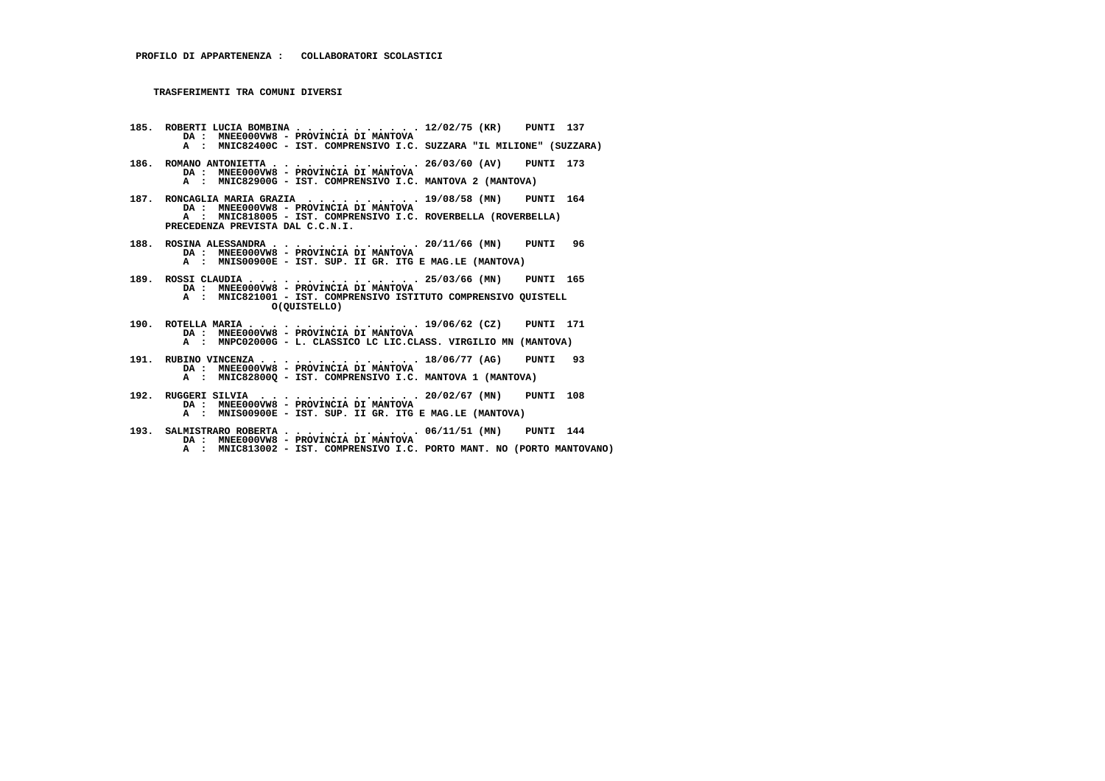- **185. ROBERTI LUCIA BOMBINA . . . . . . . . . . . 12/02/75 (KR) PUNTI 137 DA : MNEE000VW8 - PROVINCIA DI MANTOVA A : MNIC82400C - IST. COMPRENSIVO I.C. SUZZARA "IL MILIONE" (SUZZARA)**
- **186. ROMANO ANTONIETTA . . . . . . . . . . . . . 26/03/60 (AV) PUNTI 173 DA : MNEE000VW8 - PROVINCIA DI MANTOVA A : MNIC82900G - IST. COMPRENSIVO I.C. MANTOVA 2 (MANTOVA)**
- **187. RONCAGLIA MARIA GRAZIA . . . . . . . . . . 19/08/58 (MN) PUNTI 164 DA : MNEE000VW8 - PROVINCIA DI MANTOVA A : MNIC818005 - IST. COMPRENSIVO I.C. ROVERBELLA (ROVERBELLA) PRECEDENZA PREVISTA DAL C.C.N.I.**
- **188. ROSINA ALESSANDRA . . . . . . . . . . . . . 20/11/66 (MN) PUNTI 96 DA : MNEE000VW8 - PROVINCIA DI MANTOVA A : MNIS00900E - IST. SUP. II GR. ITG E MAG.LE (MANTOVA)**
- **189. ROSSI CLAUDIA . . . . . . . . . . . . . . . 25/03/66 (MN) PUNTI 165 DA : MNEE000VW8 - PROVINCIA DI MANTOVA A : MNIC821001 - IST. COMPRENSIVO ISTITUTO COMPRENSIVO QUISTELL O(QUISTELLO)**
- **190. ROTELLA MARIA . . . . . . . . . . . . . . . 19/06/62 (CZ) PUNTI 171 DA : MNEE000VW8 - PROVINCIA DI MANTOVA A : MNPC02000G - L. CLASSICO LC LIC.CLASS. VIRGILIO MN (MANTOVA)**
- **191. RUBINO VINCENZA . . . . . . . . . . . . . . 18/06/77 (AG) PUNTI 93 DA : MNEE000VW8 PROVINCIA DI MANTOVA A : MNIC82800Q - IST. COMPRENSIVO I.C. MANTOVA 1 (MANTOVA)**
- **192. RUGGERI SILVIA . . . . . . . . . . . . . . 20/02/67 (MN) PUNTI 108 DA : MNEE000VW8 - PROVINCIA DI MANTOVA A : MNIS00900E - IST. SUP. II GR. ITG E MAG.LE (MANTOVA)**
- **193. SALMISTRARO ROBERTA . . . . . . . . . . . . 06/11/51 (MN) PUNTI 144 DA : MNEE000VW8 - PROVINCIA DI MANTOVA A : MNIC813002 - IST. COMPRENSIVO I.C. PORTO MANT. NO (PORTO MANTOVANO)**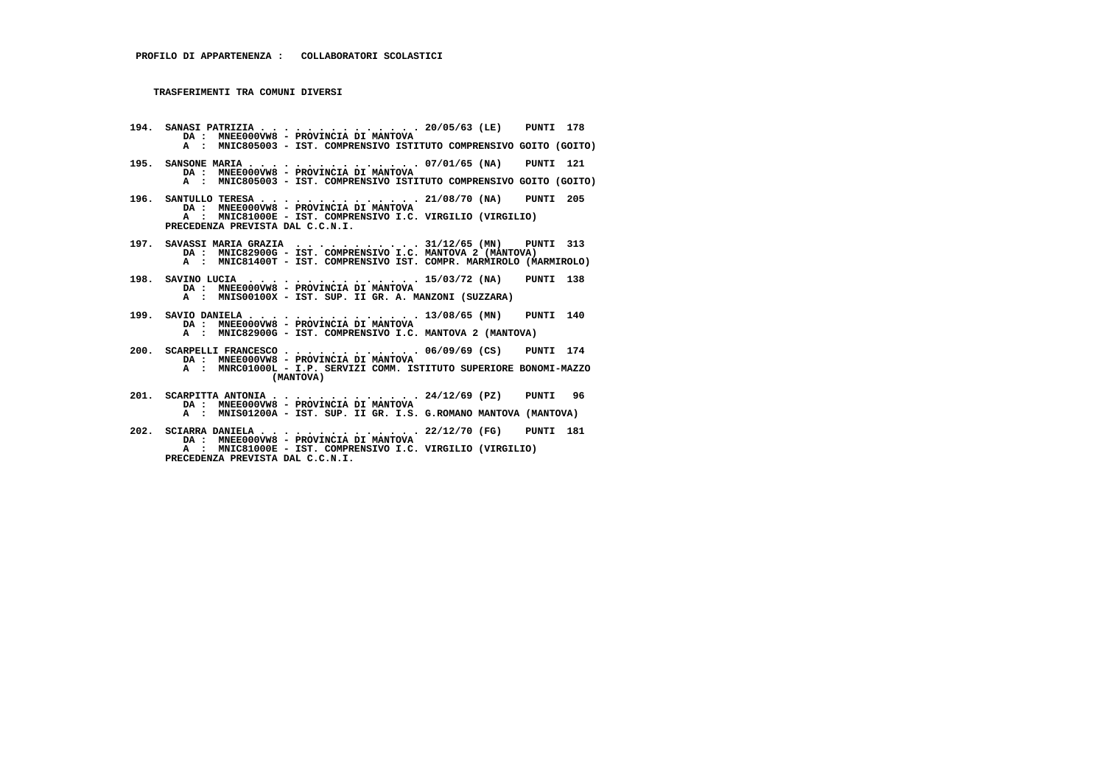- **194. SANASI PATRIZIA . . . . . . . . . . . . . . 20/05/63 (LE) PUNTI 178 DA : MNEE000VW8 PROVINCIA DI MANTOVA A : MNIC805003 - IST. COMPRENSIVO ISTITUTO COMPRENSIVO GOITO (GOITO)**
- **195. SANSONE MARIA . . . . . . . . . . . . . . . 07/01/65 (NA) PUNTI 121 DA : MNEE000VW8 - PROVINCIA DI MANTOVA**
- **A : MNIC805003 IST. COMPRENSIVO ISTITUTO COMPRENSIVO GOITO (GOITO)**
- **196. SANTULLO TERESA . . . . . . . . . . . . . . 21/08/70 (NA) PUNTI 205 DA : MNEE000VW8 - PROVINCIA DI MANTOVA A : MNIC81000E - IST. COMPRENSIVO I.C. VIRGILIO (VIRGILIO) PRECEDENZA PREVISTA DAL C.C.N.I.**
- **197. SAVASSI MARIA GRAZIA . . . . . . . . . . . 31/12/65 (MN) PUNTI 313 DA : MNIC82900G - IST. COMPRENSIVO I.C. MANTOVA 2 (MANTOVA) A : MNIC81400T - IST. COMPRENSIVO IST. COMPR. MARMIROLO (MARMIROLO)**
- **198. SAVINO LUCIA . . . . . . . . . . . . . . . 15/03/72 (NA) PUNTI 138 DA : MNEE000VW8 - PROVINCIA DI MANTOVA A : MNIS00100X - IST. SUP. II GR. A. MANZONI (SUZZARA)**
- **199. SAVIO DANIELA . . . . . . . . . . . . . . . 13/08/65 (MN) PUNTI 140 DA : MNEE000VW8 PROVINCIA DI MANTOVA A : MNIC82900G - IST. COMPRENSIVO I.C. MANTOVA 2 (MANTOVA)**
- **200. SCARPELLI FRANCESCO . . . . . . . . . . . . 06/09/69 (CS) PUNTI 174 DA : MNEE000VW8 - PROVINCIA DI MANTOVA**
- **A : MNRC01000L I.P. SERVIZI COMM. ISTITUTO SUPERIORE BONOMI-MAZZO (MANTOVA)**
- **201. SCARPITTA ANTONIA . . . . . . . . . . . . . 24/12/69 (PZ) PUNTI 96 DA : MNEE000VW8 - PROVINCIA DI MANTOVA A : MNIS01200A - IST. SUP. II GR. I.S. G.ROMANO MANTOVA (MANTOVA)**
- **202. SCIARRA DANIELA . . . . . . . . . . . . . . 22/12/70 (FG) PUNTI 181 DA : MNEE000VW8 - PROVINCIA DI MANTOVA A : MNIC81000E - IST. COMPRENSIVO I.C. VIRGILIO (VIRGILIO) PRECEDENZA PREVISTA DAL C.C.N.I.**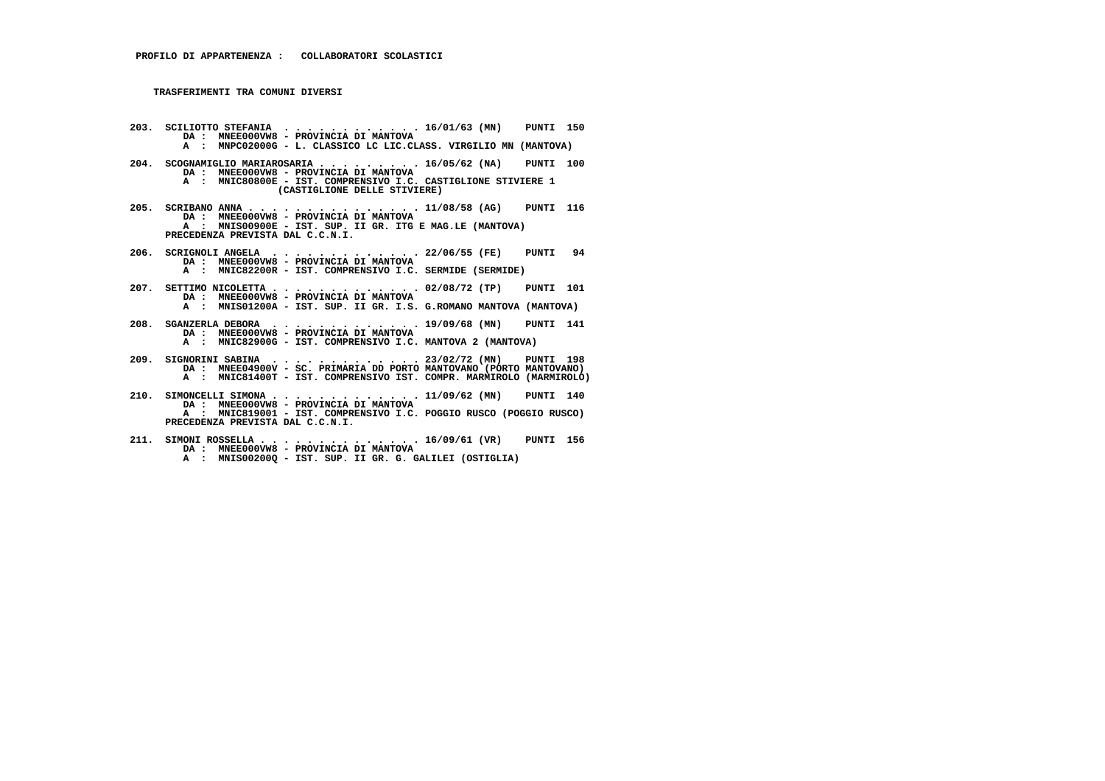- **203. SCILIOTTO STEFANIA . . . . . . . . . . . . 16/01/63 (MN) PUNTI 150 DA : MNEE000VW8 PROVINCIA DI MANTOVA A : MNPC02000G - L. CLASSICO LC LIC.CLASS. VIRGILIO MN (MANTOVA)**
- **204. SCOGNAMIGLIO MARIAROSARIA . . . . . . . . . 16/05/62 (NA) PUNTI 100 DA : MNEE000VW8 - PROVINCIA DI MANTOVA A : MNIC80800E - IST. COMPRENSIVO I.C. CASTIGLIONE STIVIERE 1 (CASTIGLIONE DELLE STIVIERE)**
- **205. SCRIBANO ANNA . . . . . . . . . . . . . . . 11/08/58 (AG) PUNTI 116 DA : MNEE000VW8 PROVINCIA DI MANTOVA A : MNIS00900E - IST. SUP. II GR. ITG E MAG.LE (MANTOVA) PRECEDENZA PREVISTA DAL C.C.N.I.**
- **206. SCRIGNOLI ANGELA . . . . . . . . . . . . . 22/06/55 (FE) PUNTI 94 DA : MNEE000VW8 PROVINCIA DI MANTOVA A : MNIC82200R - IST. COMPRENSIVO I.C. SERMIDE (SERMIDE)**
- **207. SETTIMO NICOLETTA . . . . . . . . . . . . . 02/08/72 (TP) PUNTI 101 DA : MNEE000VW8 PROVINCIA DI MANTOVA A : MNIS01200A - IST. SUP. II GR. I.S. G.ROMANO MANTOVA (MANTOVA)**
- **208. SGANZERLA DEBORA . . . . . . . . . . . . . 19/09/68 (MN) PUNTI 141 DA : MNEE000VW8 PROVINCIA DI MANTOVA A : MNIC82900G - IST. COMPRENSIVO I.C. MANTOVA 2 (MANTOVA)**
- **209. SIGNORINI SABINA . . . . . . . . . . . . . 23/02/72 (MN) PUNTI 198 DA : MNEE04900V SC. PRIMARIA DD PORTO MANTOVANO (PORTO MANTOVANO) A : MNIC81400T - IST. COMPRENSIVO IST. COMPR. MARMIROLO (MARMIROLO)**
- **210. SIMONCELLI SIMONA . . . . . . . . . . . . . 11/09/62 (MN) PUNTI 140 DA : MNEE000VW8 - PROVINCIA DI MANTOVA A : MNIC819001 - IST. COMPRENSIVO I.C. POGGIO RUSCO (POGGIO RUSCO) PRECEDENZA PREVISTA DAL C.C.N.I.**
- **211. SIMONI ROSSELLA . . . . . . . . . . . . . . 16/09/61 (VR) PUNTI 156 DA : MNEE000VW8 PROVINCIA DI MANTOVA A : MNIS00200Q - IST. SUP. II GR. G. GALILEI (OSTIGLIA)**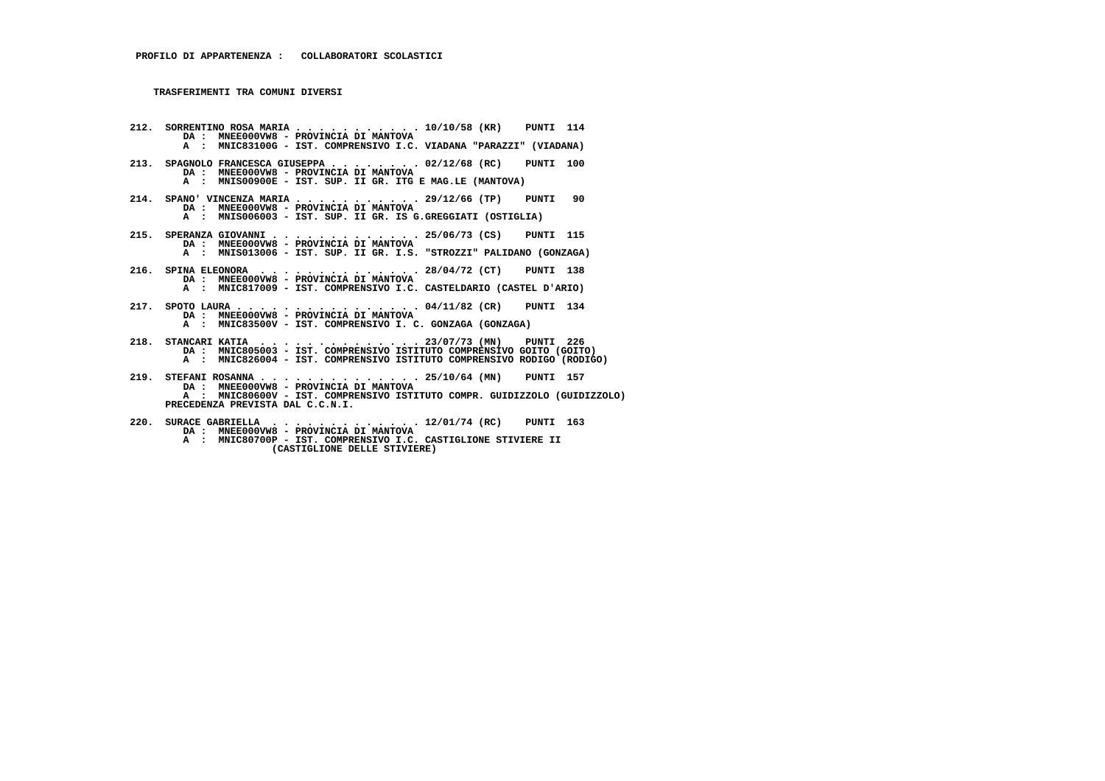- **212. SORRENTINO ROSA MARIA . . . . . . . . . . . 10/10/58 (KR) PUNTI 114 DA : MNEE000VW8 - PROVINCIA DI MANTOVA A : MNIC83100G - IST. COMPRENSIVO I.C. VIADANA "PARAZZI" (VIADANA) 213. SPAGNOLO FRANCESCA GIUSEPPA . . . . . . . . 02/12/68 (RC) PUNTI 100 DA : MNEE000VW8 - PROVINCIA DI MANTOVA A : MNIS00900E - IST. SUP. II GR. ITG E MAG.LE (MANTOVA) 214. SPANO' VINCENZA MARIA . . . . . . . . . . . 29/12/66 (TP) PUNTI 90 DA : MNEE000VW8 - PROVINCIA DI MANTOVA A : MNIS006003 - IST. SUP. II GR. IS G.GREGGIATI (OSTIGLIA) 215. SPERANZA GIOVANNI . . . . . . . . . . . . . 25/06/73 (CS) PUNTI 115 DA : MNEE000VW8 - PROVINCIA DI MANTOVA A : MNIS013006 - IST. SUP. II GR. I.S. "STROZZI" PALIDANO (GONZAGA) 216. SPINA ELEONORA . . . . . . . . . . . . . . 28/04/72 (CT) PUNTI 138 DA : MNEE000VW8 - PROVINCIA DI MANTOVA A : MNIC817009 - IST. COMPRENSIVO I.C. CASTELDARIO (CASTEL D'ARIO) 217. SPOTO LAURA . . . . . . . . . . . . . . . . 04/11/82 (CR) PUNTI 134 DA : MNEE000VW8 - PROVINCIA DI MANTOVA A : MNIC83500V - IST. COMPRENSIVO I. C. GONZAGA (GONZAGA) 218. STANCARI KATIA . . . . . . . . . . . . . . 23/07/73 (MN) PUNTI 226 DA : MNIC805003 - IST. COMPRENSIVO ISTITUTO COMPRENSIVO GOITO (GOITO) A : MNIC826004 - IST. COMPRENSIVO ISTITUTO COMPRENSIVO RODIGO (RODIGO) 219. STEFANI ROSANNA . . . . . . . . . . . . . . 25/10/64 (MN) PUNTI 157 DA : MNEE000VW8 - PROVINCIA DI MANTOVA A : MNIC80600V - IST. COMPRENSIVO ISTITUTO COMPR. GUIDIZZOLO (GUIDIZZOLO) PRECEDENZA PREVISTA DAL C.C.N.I.**
- **220. SURACE GABRIELLA . . . . . . . . . . . . . 12/01/74 (RC) PUNTI 163 DA : MNEE000VW8 PROVINCIA DI MANTOVA A : MNIC80700P - IST. COMPRENSIVO I.C. CASTIGLIONE STIVIERE II (CASTIGLIONE DELLE STIVIERE)**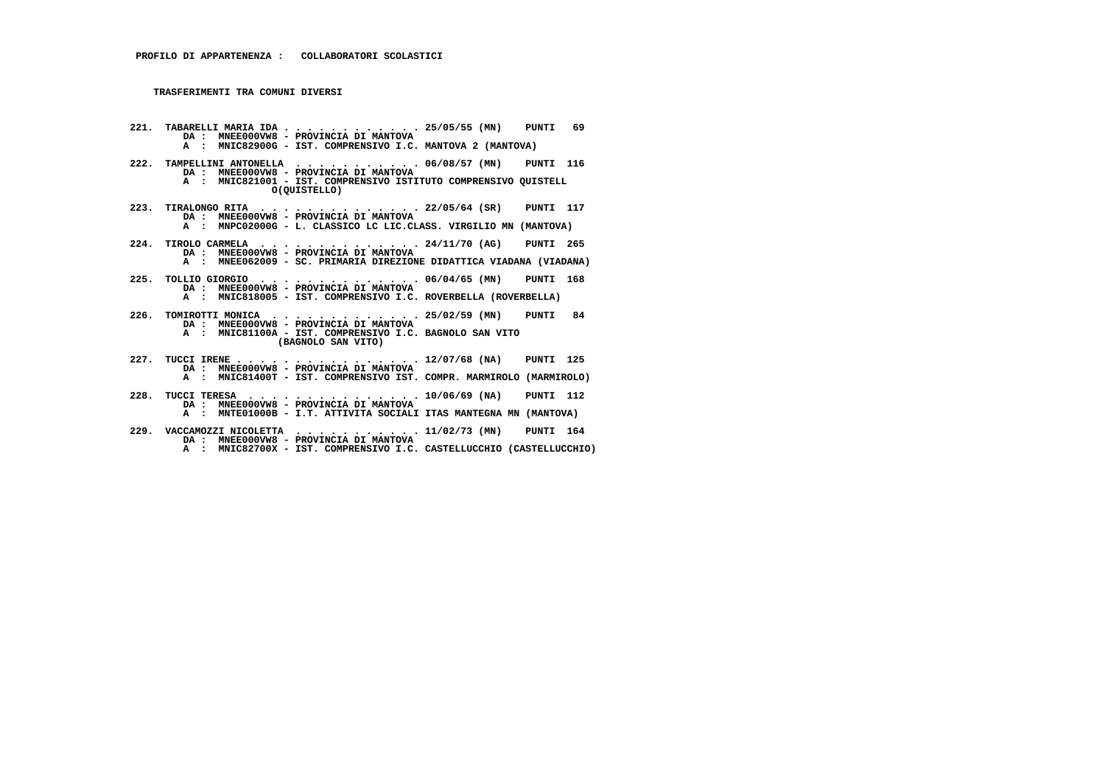- **221. TABARELLI MARIA IDA . . . . . . . . . . . . 25/05/55 (MN) PUNTI 69 DA : MNEE000VW8 - PROVINCIA DI MANTOVA A : MNIC82900G - IST. COMPRENSIVO I.C. MANTOVA 2 (MANTOVA)**
- **222. TAMPELLINI ANTONELLA . . . . . . . . . . . 06/08/57 (MN) PUNTI 116 DA : MNEE000VW8 - PROVINCIA DI MANTOVA A : MNIC821001 - IST. COMPRENSIVO ISTITUTO COMPRENSIVO QUISTELL O(QUISTELLO)**
- **223. TIRALONGO RITA . . . . . . . . . . . . . . 22/05/64 (SR) PUNTI 117 DA : MNEE000VW8 PROVINCIA DI MANTOVA A : MNPC02000G - L. CLASSICO LC LIC.CLASS. VIRGILIO MN (MANTOVA)**
- **224. TIROLO CARMELA . . . . . . . . . . . . . . 24/11/70 (AG) PUNTI 265 DA : MNEE000VW8 - PROVINCIA DI MANTOVA A : MNEE062009 - SC. PRIMARIA DIREZIONE DIDATTICA VIADANA (VIADANA)**
- **225. TOLLIO GIORGIO . . . . . . . . . . . . . . 06/04/65 (MN) PUNTI 168 DA : MNEE000VW8 - PROVINCIA DI MANTOVA A : MNIC818005 - IST. COMPRENSIVO I.C. ROVERBELLA (ROVERBELLA)**
- **226. TOMIROTTI MONICA . . . . . . . . . . . . . 25/02/59 (MN) PUNTI 84 DA : MNEE000VW8 PROVINCIA DI MANTOVA A : MNIC81100A - IST. COMPRENSIVO I.C. BAGNOLO SAN VITO (BAGNOLO SAN VITO)**
- **227. TUCCI IRENE . . . . . . . . . . . . . . . . 12/07/68 (NA) PUNTI 125 DA : MNEE000VW8 PROVINCIA DI MANTOVA A : MNIC81400T - IST. COMPRENSIVO IST. COMPR. MARMIROLO (MARMIROLO)**
- **228. TUCCI TERESA . . . . . . . . . . . . . . . 10/06/69 (NA) PUNTI 112 DA : MNEE000VW8 - PROVINCIA DI MANTOVA**
- **A : MNTE01000B I.T. ATTIVITA SOCIALI ITAS MANTEGNA MN (MANTOVA)**
- **229. VACCAMOZZI NICOLETTA . . . . . . . . . . . 11/02/73 (MN) PUNTI 164 DA : MNEE000VW8 - PROVINCIA DI MANTOVA A : MNIC82700X - IST. COMPRENSIVO I.C. CASTELLUCCHIO (CASTELLUCCHIO)**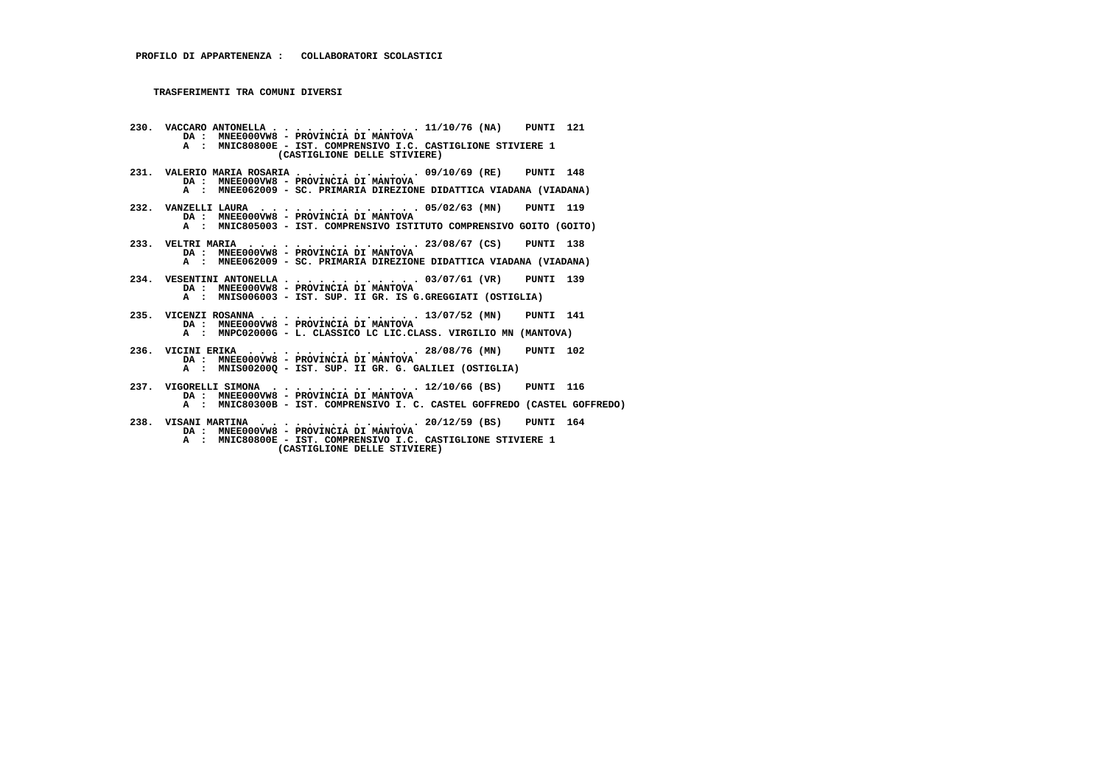- **230. VACCARO ANTONELLA . . . . . . . . . . . . . 11/10/76 (NA) PUNTI 121 DA : MNEE000VW8 PROVINCIA DI MANTOVA A : MNIC80800E - IST. COMPRENSIVO I.C. CASTIGLIONE STIVIERE 1 (CASTIGLIONE DELLE STIVIERE) 231. VALERIO MARIA ROSARIA . . . . . . . . . . . 09/10/69 (RE) PUNTI 148 DA : MNEE000VW8 - PROVINCIA DI MANTOVA A : MNEE062009 - SC. PRIMARIA DIREZIONE DIDATTICA VIADANA (VIADANA) 232. VANZELLI LAURA . . . . . . . . . . . . . . 05/02/63 (MN) PUNTI 119 DA : MNEE000VW8 - PROVINCIA DI MANTOVA A : MNIC805003 - IST. COMPRENSIVO ISTITUTO COMPRENSIVO GOITO (GOITO) 233. VELTRI MARIA . . . . . . . . . . . . . . . 23/08/67 (CS) PUNTI 138 DA : MNEE000VW8 - PROVINCIA DI MANTOVA A : MNEE062009 - SC. PRIMARIA DIREZIONE DIDATTICA VIADANA (VIADANA) 234. VESENTINI ANTONELLA . . . . . . . . . . . . 03/07/61 (VR) PUNTI 139 DA : MNEE000VW8 - PROVINCIA DI MANTOVA A : MNIS006003 - IST. SUP. II GR. IS G.GREGGIATI (OSTIGLIA) 235. VICENZI ROSANNA . . . . . . . . . . . . . . 13/07/52 (MN) PUNTI 141 DA : MNEE000VW8 - PROVINCIA DI MANTOVA A : MNPC02000G - L. CLASSICO LC LIC.CLASS. VIRGILIO MN (MANTOVA) 236. VICINI ERIKA . . . . . . . . . . . . . . . 28/08/76 (MN) PUNTI 102 DA : MNEE000VW8 - PROVINCIA DI MANTOVA A : MNIS00200Q - IST. SUP. II GR. G. GALILEI (OSTIGLIA) 237. VIGORELLI SIMONA . . . . . . . . . . . . . 12/10/66 (BS) PUNTI 116 DA : MNEE000VW8 - PROVINCIA DI MANTOVA A : MNIC80300B - IST. COMPRENSIVO I. C. CASTEL GOFFREDO (CASTEL GOFFREDO) 238. VISANI MARTINA . . . . . . . . . . . . . . 20/12/59 (BS) PUNTI 164 DA : MNEE000VW8 - PROVINCIA DI MANTOVA**
- **A : MNIC80800E IST. COMPRENSIVO I.C. CASTIGLIONE STIVIERE 1 (CASTIGLIONE DELLE STIVIERE)**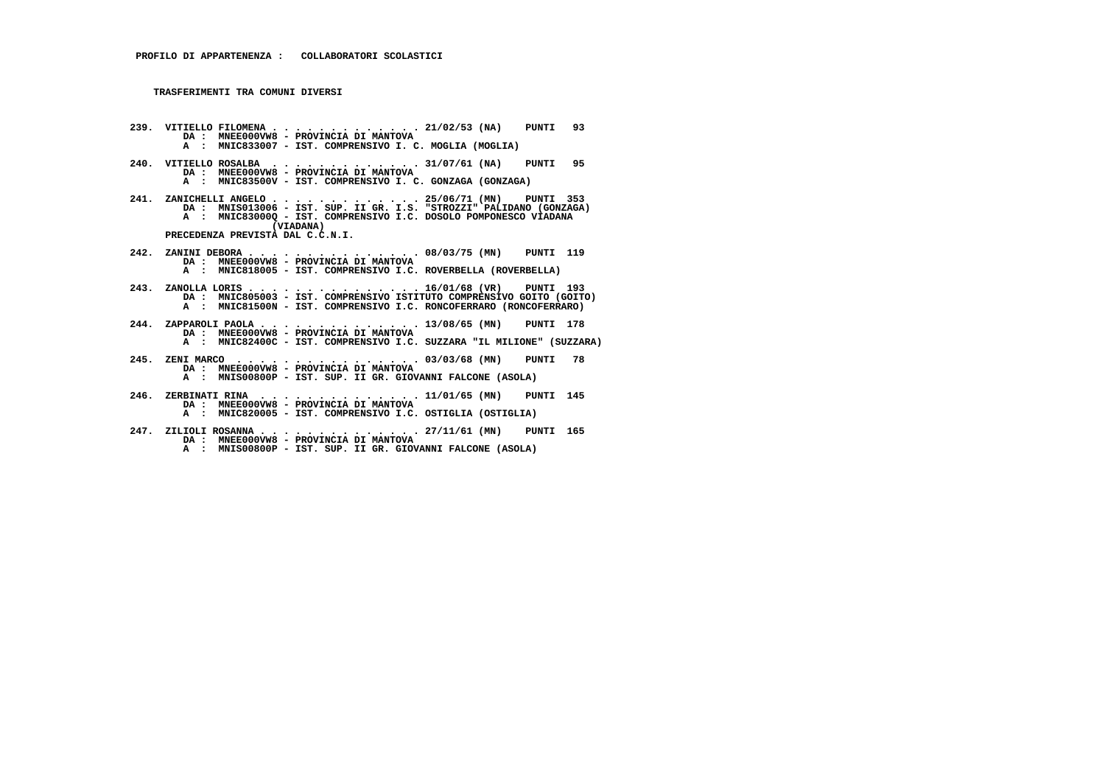- **239. VITIELLO FILOMENA . . . . . . . . . . . . . 21/02/53 (NA) PUNTI 93 DA : MNEE000VW8 PROVINCIA DI MANTOVA A : MNIC833007 - IST. COMPRENSIVO I. C. MOGLIA (MOGLIA)**
- **240. VITIELLO ROSALBA . . . . . . . . . . . . . 31/07/61 (NA) PUNTI 95 DA : MNEE000VW8 - PROVINCIA DI MANTOVA A : MNIC83500V - IST. COMPRENSIVO I. C. GONZAGA (GONZAGA)**
- 241. ZANICHELLI ANGELO . . . . . . . . . . . 25/06/71 (MN) PUNTI 353<br>DA : MNIS013006 IST. SUP. II GR. I.S. "STROZZI" PALIDANO (GONZAGA)<br>A : MNIC83000Q IST. COMPRENSIVO I.C. DOSOLO POMPONESCO VIADANA  **(VIADANA) PRECEDENZA PREVISTA DAL C.C.N.I.**
- **242. ZANINI DEBORA . . . . . . . . . . . . . . . 08/03/75 (MN) PUNTI 119 DA : MNEE000VW8 PROVINCIA DI MANTOVA A : MNIC818005 - IST. COMPRENSIVO I.C. ROVERBELLA (ROVERBELLA)**
- **243. ZANOLLA LORIS . . . . . . . . . . . . . . . 16/01/68 (VR) PUNTI 193 DA : MNIC805003 IST. COMPRENSIVO ISTITUTO COMPRENSIVO GOITO (GOITO) A : MNIC81500N - IST. COMPRENSIVO I.C. RONCOFERRARO (RONCOFERRARO)**
- **244. ZAPPAROLI PAOLA . . . . . . . . . . . . . . 13/08/65 (MN) PUNTI 178 DA : MNEE000VW8 PROVINCIA DI MANTOVA A : MNIC82400C - IST. COMPRENSIVO I.C. SUZZARA "IL MILIONE" (SUZZARA)**
- **245. ZENI MARCO . . . . . . . . . . . . . . . . 03/03/68 (MN) PUNTI 78 DA : MNEE000VW8 PROVINCIA DI MANTOVA A : MNIS00800P - IST. SUP. II GR. GIOVANNI FALCONE (ASOLA)**
- **246. ZERBINATI RINA . . . . . . . . . . . . . . 11/01/65 (MN) PUNTI 145 DA : MNEE000VW8 - PROVINCIA DI MANTOVA A : MNIC820005 - IST. COMPRENSIVO I.C. OSTIGLIA (OSTIGLIA)**
- **247. ZILIOLI ROSANNA . . . . . . . . . . . . . . 27/11/61 (MN) PUNTI 165 DA : MNEE000VW8 - PROVINCIA DI MANTOVA**
- **A : MNIS00800P IST. SUP. II GR. GIOVANNI FALCONE (ASOLA)**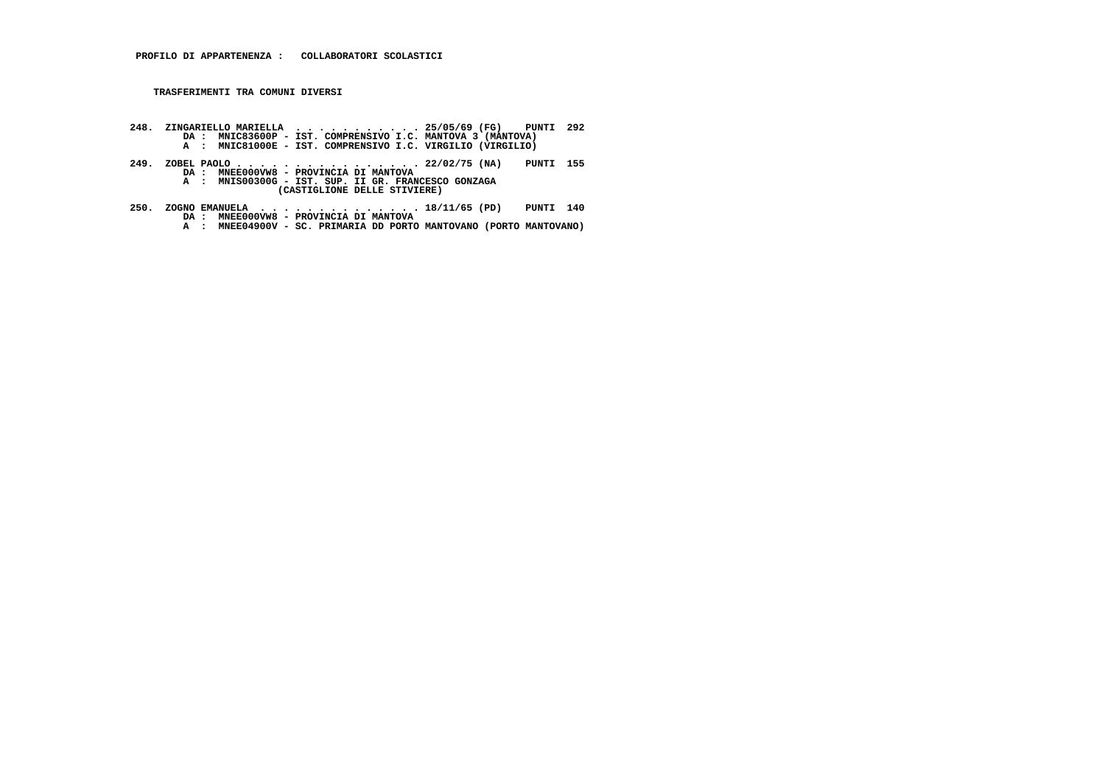- **248. ZINGARIELLO MARIELLA . . . . . . . . . . . 25/05/69 (FG) PUNTI 292 DA : MNIC83600P IST. COMPRENSIVO I.C. MANTOVA 3 (MANTOVA) A : MNIC81000E IST. COMPRENSIVO I.C. VIRGILIO (VIRGILIO)**
- **249. ZOBEL PAOLO . . . . . . . . . . . . . . . . 22/02/75 (NA) PUNTI 155 DA : MNEE000VW8 - PROVINCIA DI MANTOVA A : MNIS00300G - IST. SUP. II GR. FRANCESCO GONZAGA (CASTIGLIONE DELLE STIVIERE)**
- **250. ZOGNO EMANUELA . . . . . . . . . . . . . . 18/11/65 (PD) PUNTI 140 DA : MNEE000VW8 PROVINCIA DI MANTOVA A : MNEE04900V SC. PRIMARIA DD PORTO MANTOVANO (PORTO MANTOVANO)**
	-